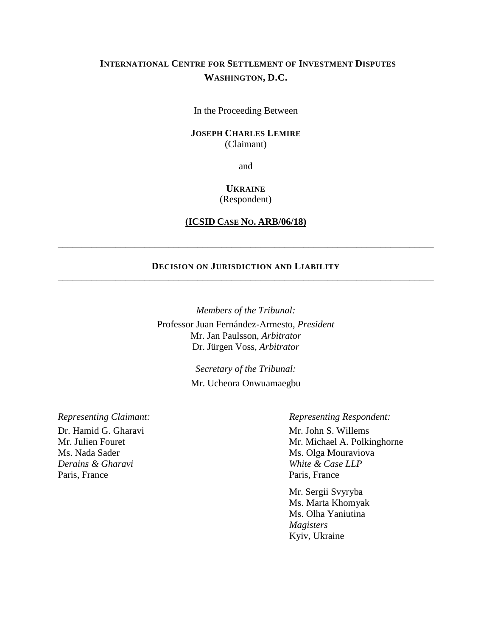# **INTERNATIONAL CENTRE FOR SETTLEMENT OF INVESTMENT DISPUTES WASHINGTON, D.C.**

In the Proceeding Between

#### **JOSEPH CHARLES LEMIRE** (Claimant)

and

#### **UKRAINE** (Respondent)

# **(ICSID CASE NO. ARB/06/18)**

#### **DECISION ON JURISDICTION AND LIABILITY** \_\_\_\_\_\_\_\_\_\_\_\_\_\_\_\_\_\_\_\_\_\_\_\_\_\_\_\_\_\_\_\_\_\_\_\_\_\_\_\_\_\_\_\_\_\_\_\_\_\_\_\_\_\_\_\_\_\_\_\_\_\_\_\_\_\_\_\_\_\_\_\_\_\_\_\_\_\_

\_\_\_\_\_\_\_\_\_\_\_\_\_\_\_\_\_\_\_\_\_\_\_\_\_\_\_\_\_\_\_\_\_\_\_\_\_\_\_\_\_\_\_\_\_\_\_\_\_\_\_\_\_\_\_\_\_\_\_\_\_\_\_\_\_\_\_\_\_\_\_\_\_\_\_\_\_\_

*Members of the Tribunal:* Professor Juan Fernández-Armesto, *President* Mr. Jan Paulsson, *Arbitrator* Dr. Jürgen Voss, *Arbitrator*

> *Secretary of the Tribunal:* Mr. Ucheora Onwuamaegbu

Dr. Hamid G. Gharavi Mr. Julien Fouret Ms. Nada Sader *Derains & Gharavi*  Paris, France

*Representing Claimant: Representing Respondent:* Mr. John S. Willems Mr. Michael A. Polkinghorne Ms. Olga Mouraviova *White & Case LLP* Paris, France

> Mr. Sergii Svyryba Ms. Marta Khomyak Ms. Olha Yaniutina *Magisters* Kyiv, Ukraine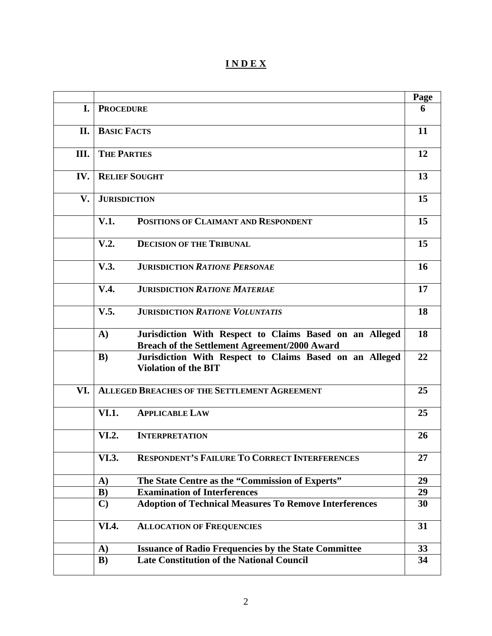# **I N D E X**

|             |                                                                                                                          | Page |  |
|-------------|--------------------------------------------------------------------------------------------------------------------------|------|--|
| I.          | <b>PROCEDURE</b>                                                                                                         | 6    |  |
| II.         | <b>BASIC FACTS</b>                                                                                                       | 11   |  |
| III.        | <b>THE PARTIES</b>                                                                                                       |      |  |
| IV.         | <b>RELIEF SOUGHT</b>                                                                                                     |      |  |
| ${\bf V}$ . | <b>JURISDICTION</b>                                                                                                      | 15   |  |
|             | V.1.<br>POSITIONS OF CLAIMANT AND RESPONDENT                                                                             | 15   |  |
|             | V.2.<br><b>DECISION OF THE TRIBUNAL</b>                                                                                  | 15   |  |
|             | <b>JURISDICTION RATIONE PERSONAE</b><br>V.3.                                                                             | 16   |  |
|             | V.4.<br><b>JURISDICTION RATIONE MATERIAE</b>                                                                             | 17   |  |
|             | V.5.<br><b>JURISDICTION RATIONE VOLUNTATIS</b>                                                                           | 18   |  |
|             | Jurisdiction With Respect to Claims Based on an Alleged<br>$\mathbf{A}$<br>Breach of the Settlement Agreement/2000 Award | 18   |  |
|             | Jurisdiction With Respect to Claims Based on an Alleged<br>$\bf{B}$ )<br><b>Violation of the BIT</b>                     | 22   |  |
| VI.         | <b>ALLEGED BREACHES OF THE SETTLEMENT AGREEMENT</b>                                                                      | 25   |  |
|             | <b>VI.1.</b><br><b>APPLICABLE LAW</b>                                                                                    | 25   |  |
|             | VI.2.<br><b>INTERPRETATION</b>                                                                                           | 26   |  |
|             | <b>RESPONDENT'S FAILURE TO CORRECT INTERFERENCES</b><br><b>VI.3.</b>                                                     | 27   |  |
|             | The State Centre as the "Commission of Experts"<br>A)                                                                    | 29   |  |
|             | B)<br><b>Examination of Interferences</b>                                                                                | 29   |  |
|             | <b>Adoption of Technical Measures To Remove Interferences</b><br>$\mathbf{C}$                                            | 30   |  |
|             | <b>VI.4.</b><br><b>ALLOCATION OF FREQUENCIES</b>                                                                         | 31   |  |
|             | <b>Issuance of Radio Frequencies by the State Committee</b><br>A)                                                        | 33   |  |
|             | B)<br><b>Late Constitution of the National Council</b>                                                                   | 34   |  |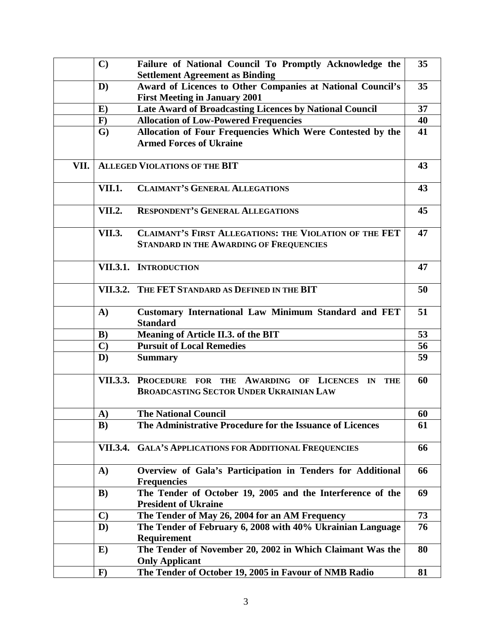|      | $\mathbf{C}$  | Failure of National Council To Promptly Acknowledge the       | 35 |
|------|---------------|---------------------------------------------------------------|----|
|      |               | <b>Settlement Agreement as Binding</b>                        |    |
|      | D)            | Award of Licences to Other Companies at National Council's    | 35 |
|      |               | <b>First Meeting in January 2001</b>                          |    |
|      | $\bf{E}$      | Late Award of Broadcasting Licences by National Council       | 37 |
|      | $\mathbf{F}$  | <b>Allocation of Low-Powered Frequencies</b>                  | 40 |
|      | $\mathbf{G}$  | Allocation of Four Frequencies Which Were Contested by the    | 41 |
|      |               | <b>Armed Forces of Ukraine</b>                                |    |
|      |               |                                                               |    |
| VII. |               | <b>ALLEGED VIOLATIONS OF THE BIT</b>                          | 43 |
|      |               |                                                               |    |
|      | <b>VII.1.</b> | <b>CLAIMANT'S GENERAL ALLEGATIONS</b>                         | 43 |
|      |               |                                                               |    |
|      | <b>VII.2.</b> | <b>RESPONDENT'S GENERAL ALLEGATIONS</b>                       | 45 |
|      |               |                                                               |    |
|      | <b>VII.3.</b> | <b>CLAIMANT'S FIRST ALLEGATIONS: THE VIOLATION OF THE FET</b> | 47 |
|      |               | <b>STANDARD IN THE AWARDING OF FREQUENCIES</b>                |    |
|      |               |                                                               |    |
|      |               | VII.3.1. INTRODUCTION                                         | 47 |
|      |               |                                                               |    |
|      |               | VII.3.2. THE FET STANDARD AS DEFINED IN THE BIT               | 50 |
|      |               |                                                               |    |
|      | $\mathbf{A}$  | <b>Customary International Law Minimum Standard and FET</b>   | 51 |
|      |               | <b>Standard</b>                                               |    |
|      | $\bf{B}$      | Meaning of Article II.3. of the BIT                           | 53 |
|      | $\mathbf{C}$  | <b>Pursuit of Local Remedies</b>                              | 56 |
|      | D)            | <b>Summary</b>                                                | 59 |
|      |               |                                                               |    |
|      | VII.3.3.      | PROCEDURE FOR THE AWARDING OF LICENCES IN<br><b>THE</b>       | 60 |
|      |               | <b>BROADCASTING SECTOR UNDER UKRAINIAN LAW</b>                |    |
|      |               |                                                               |    |
|      | $\mathbf{A}$  | <b>The National Council</b>                                   | 60 |
|      | $\bf{B}$ )    | The Administrative Procedure for the Issuance of Licences     | 61 |
|      |               |                                                               |    |
|      |               | VII.3.4. GALA'S APPLICATIONS FOR ADDITIONAL FREQUENCIES       | 66 |
|      |               | Overview of Gala's Participation in Tenders for Additional    | 66 |
|      | A)            | <b>Frequencies</b>                                            |    |
|      | $\bf{B})$     | The Tender of October 19, 2005 and the Interference of the    | 69 |
|      |               | <b>President of Ukraine</b>                                   |    |
|      | $\mathbf{C}$  | The Tender of May 26, 2004 for an AM Frequency                | 73 |
|      | D)            | The Tender of February 6, 2008 with 40% Ukrainian Language    | 76 |
|      |               | Requirement                                                   |    |
|      | E)            | The Tender of November 20, 2002 in Which Claimant Was the     | 80 |
|      |               | <b>Only Applicant</b>                                         |    |
|      | $\mathbf{F}$  | The Tender of October 19, 2005 in Favour of NMB Radio         | 81 |
|      |               |                                                               |    |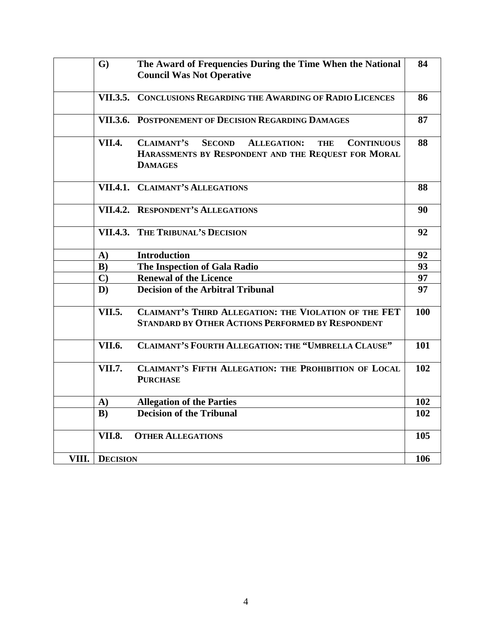|       | $\mathbf{G}$    | The Award of Frequencies During the Time When the National<br><b>Council Was Not Operative</b>                                                                | 84  |
|-------|-----------------|---------------------------------------------------------------------------------------------------------------------------------------------------------------|-----|
|       |                 | VII.3.5. CONCLUSIONS REGARDING THE AWARDING OF RADIO LICENCES                                                                                                 | 86  |
|       |                 | VII.3.6. POSTPONEMENT OF DECISION REGARDING DAMAGES                                                                                                           | 87  |
|       | <b>VII.4.</b>   | CLAIMANT'S<br><b>SECOND</b><br><b>ALLEGATION:</b><br><b>CONTINUOUS</b><br><b>THE</b><br>HARASSMENTS BY RESPONDENT AND THE REQUEST FOR MORAL<br><b>DAMAGES</b> | 88  |
|       |                 | VII.4.1. CLAIMANT'S ALLEGATIONS                                                                                                                               | 88  |
|       |                 | VII.4.2. RESPONDENT'S ALLEGATIONS                                                                                                                             | 90  |
|       |                 | VII.4.3. THE TRIBUNAL'S DECISION                                                                                                                              | 92  |
|       | $\mathbf{A}$    | <b>Introduction</b>                                                                                                                                           | 92  |
|       | B)              | The Inspection of Gala Radio                                                                                                                                  | 93  |
|       | $\mathbf{C}$    | <b>Renewal of the Licence</b>                                                                                                                                 | 97  |
|       | D)              | <b>Decision of the Arbitral Tribunal</b>                                                                                                                      | 97  |
|       | <b>VII.5.</b>   | CLAIMANT'S THIRD ALLEGATION: THE VIOLATION OF THE FET<br><b>STANDARD BY OTHER ACTIONS PERFORMED BY RESPONDENT</b>                                             | 100 |
|       | VII.6.          | CLAIMANT'S FOURTH ALLEGATION: THE "UMBRELLA CLAUSE"                                                                                                           | 101 |
|       | VII.7.          | CLAIMANT'S FIFTH ALLEGATION: THE PROHIBITION OF LOCAL<br><b>PURCHASE</b>                                                                                      | 102 |
|       | $\mathbf{A}$    | <b>Allegation of the Parties</b>                                                                                                                              | 102 |
|       | $\bf{B}$        | <b>Decision of the Tribunal</b>                                                                                                                               | 102 |
|       | <b>VII.8.</b>   | <b>OTHER ALLEGATIONS</b>                                                                                                                                      | 105 |
| VIII. | <b>DECISION</b> |                                                                                                                                                               | 106 |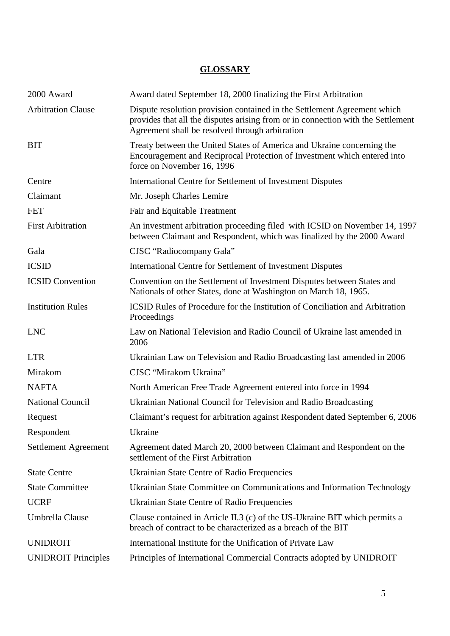# **GLOSSARY**

| 2000 Award                 | Award dated September 18, 2000 finalizing the First Arbitration                                                                                                                                                 |
|----------------------------|-----------------------------------------------------------------------------------------------------------------------------------------------------------------------------------------------------------------|
| <b>Arbitration Clause</b>  | Dispute resolution provision contained in the Settlement Agreement which<br>provides that all the disputes arising from or in connection with the Settlement<br>Agreement shall be resolved through arbitration |
| <b>BIT</b>                 | Treaty between the United States of America and Ukraine concerning the<br>Encouragement and Reciprocal Protection of Investment which entered into<br>force on November 16, 1996                                |
| Centre                     | International Centre for Settlement of Investment Disputes                                                                                                                                                      |
| Claimant                   | Mr. Joseph Charles Lemire                                                                                                                                                                                       |
| <b>FET</b>                 | Fair and Equitable Treatment                                                                                                                                                                                    |
| <b>First Arbitration</b>   | An investment arbitration proceeding filed with ICSID on November 14, 1997<br>between Claimant and Respondent, which was finalized by the 2000 Award                                                            |
| Gala                       | CJSC "Radiocompany Gala"                                                                                                                                                                                        |
| <b>ICSID</b>               | International Centre for Settlement of Investment Disputes                                                                                                                                                      |
| <b>ICSID Convention</b>    | Convention on the Settlement of Investment Disputes between States and<br>Nationals of other States, done at Washington on March 18, 1965.                                                                      |
| <b>Institution Rules</b>   | ICSID Rules of Procedure for the Institution of Conciliation and Arbitration<br>Proceedings                                                                                                                     |
| <b>LNC</b>                 | Law on National Television and Radio Council of Ukraine last amended in<br>2006                                                                                                                                 |
| <b>LTR</b>                 | Ukrainian Law on Television and Radio Broadcasting last amended in 2006                                                                                                                                         |
| Mirakom                    | CJSC "Mirakom Ukraina"                                                                                                                                                                                          |
| <b>NAFTA</b>               | North American Free Trade Agreement entered into force in 1994                                                                                                                                                  |
| <b>National Council</b>    | Ukrainian National Council for Television and Radio Broadcasting                                                                                                                                                |
| Request                    | Claimant's request for arbitration against Respondent dated September 6, 2006                                                                                                                                   |
| Respondent                 | Ukraine                                                                                                                                                                                                         |
| Settlement Agreement       | Agreement dated March 20, 2000 between Claimant and Respondent on the<br>settlement of the First Arbitration                                                                                                    |
| <b>State Centre</b>        | Ukrainian State Centre of Radio Frequencies                                                                                                                                                                     |
| <b>State Committee</b>     | Ukrainian State Committee on Communications and Information Technology                                                                                                                                          |
| <b>UCRF</b>                | Ukrainian State Centre of Radio Frequencies                                                                                                                                                                     |
| Umbrella Clause            | Clause contained in Article II.3 (c) of the US-Ukraine BIT which permits a<br>breach of contract to be characterized as a breach of the BIT                                                                     |
| <b>UNIDROIT</b>            | International Institute for the Unification of Private Law                                                                                                                                                      |
| <b>UNIDROIT</b> Principles | Principles of International Commercial Contracts adopted by UNIDROIT                                                                                                                                            |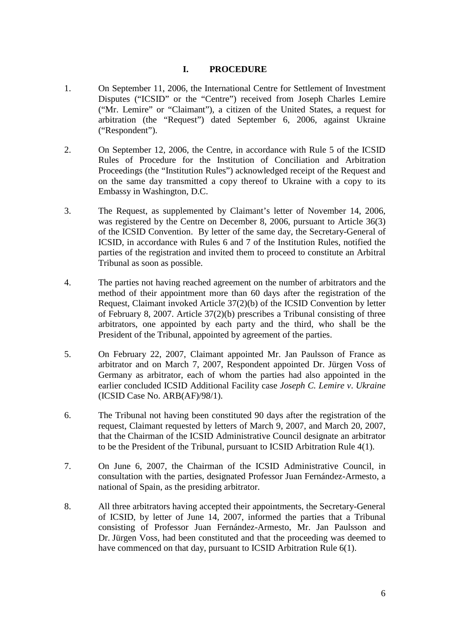## **I. PROCEDURE**

- 1. On September 11, 2006, the International Centre for Settlement of Investment Disputes ("ICSID" or the "Centre") received from Joseph Charles Lemire ("Mr. Lemire" or "Claimant"), a citizen of the United States, a request for arbitration (the "Request") dated September 6, 2006, against Ukraine ("Respondent").
- 2. On September 12, 2006, the Centre, in accordance with Rule 5 of the ICSID Rules of Procedure for the Institution of Conciliation and Arbitration Proceedings (the "Institution Rules") acknowledged receipt of the Request and on the same day transmitted a copy thereof to Ukraine with a copy to its Embassy in Washington, D.C.
- 3. The Request, as supplemented by Claimant's letter of November 14, 2006, was registered by the Centre on December 8, 2006, pursuant to Article 36(3) of the ICSID Convention. By letter of the same day, the Secretary-General of ICSID, in accordance with Rules 6 and 7 of the Institution Rules, notified the parties of the registration and invited them to proceed to constitute an Arbitral Tribunal as soon as possible.
- 4. The parties not having reached agreement on the number of arbitrators and the method of their appointment more than 60 days after the registration of the Request, Claimant invoked Article 37(2)(b) of the ICSID Convention by letter of February 8, 2007. Article 37(2)(b) prescribes a Tribunal consisting of three arbitrators, one appointed by each party and the third, who shall be the President of the Tribunal, appointed by agreement of the parties.
- 5. On February 22, 2007, Claimant appointed Mr. Jan Paulsson of France as arbitrator and on March 7, 2007, Respondent appointed Dr. Jürgen Voss of Germany as arbitrator, each of whom the parties had also appointed in the earlier concluded ICSID Additional Facility case *Joseph C. Lemire v*. *Ukraine* (ICSID Case No. ARB(AF)/98/1).
- 6. The Tribunal not having been constituted 90 days after the registration of the request, Claimant requested by letters of March 9, 2007, and March 20, 2007, that the Chairman of the ICSID Administrative Council designate an arbitrator to be the President of the Tribunal, pursuant to ICSID Arbitration Rule 4(1).
- 7. On June 6, 2007, the Chairman of the ICSID Administrative Council, in consultation with the parties, designated Professor Juan Fernández-Armesto, a national of Spain, as the presiding arbitrator.
- 8. All three arbitrators having accepted their appointments, the Secretary-General of ICSID, by letter of June 14, 2007, informed the parties that a Tribunal consisting of Professor Juan Fernández-Armesto, Mr. Jan Paulsson and Dr. Jürgen Voss, had been constituted and that the proceeding was deemed to have commenced on that day, pursuant to ICSID Arbitration Rule 6(1).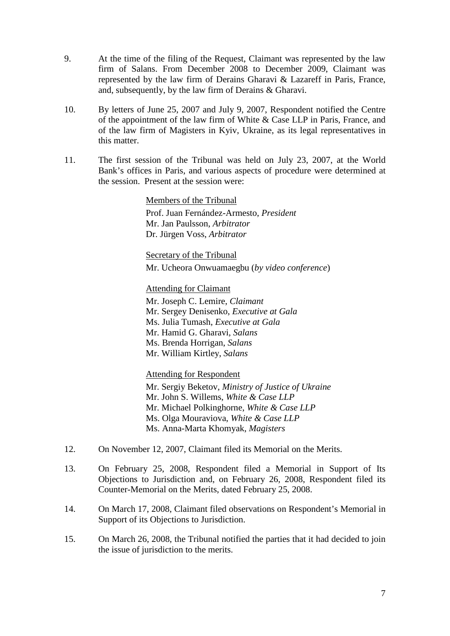- 9. At the time of the filing of the Request, Claimant was represented by the law firm of Salans. From December 2008 to December 2009, Claimant was represented by the law firm of Derains Gharavi & Lazareff in Paris, France, and, subsequently, by the law firm of Derains & Gharavi.
- 10. By letters of June 25, 2007 and July 9, 2007, Respondent notified the Centre of the appointment of the law firm of White & Case LLP in Paris, France, and of the law firm of Magisters in Kyiv, Ukraine, as its legal representatives in this matter.
- 11. The first session of the Tribunal was held on July 23, 2007, at the World Bank's offices in Paris, and various aspects of procedure were determined at the session. Present at the session were:

Members of the Tribunal Prof. Juan Fernández-Armesto, *President* Mr. Jan Paulsson, *Arbitrator* Dr. Jürgen Voss, *Arbitrator*

Secretary of the Tribunal

Mr. Ucheora Onwuamaegbu (*by video conference*)

#### Attending for Claimant

Mr. Joseph C. Lemire, *Claimant* Mr. Sergey Denisenko, *Executive at Gala* Ms. Julia Tumash, *Executive at Gala* Mr. Hamid G. Gharavi, *Salans* Ms. Brenda Horrigan, *Salans* Mr. William Kirtley, *Salans*

Attending for Respondent

Mr. Sergiy Beketov, *Ministry of Justice of Ukraine* Mr. John S. Willems, *White & Case LLP* Mr. Michael Polkinghorne, *White & Case LLP* Ms. Olga Mouraviova, *White & Case LLP* Ms. Anna-Marta Khomyak, *Magisters*

- 12. On November 12, 2007, Claimant filed its Memorial on the Merits.
- 13. On February 25, 2008, Respondent filed a Memorial in Support of Its Objections to Jurisdiction and, on February 26, 2008, Respondent filed its Counter-Memorial on the Merits, dated February 25, 2008.
- 14. On March 17, 2008, Claimant filed observations on Respondent's Memorial in Support of its Objections to Jurisdiction.
- 15. On March 26, 2008, the Tribunal notified the parties that it had decided to join the issue of jurisdiction to the merits.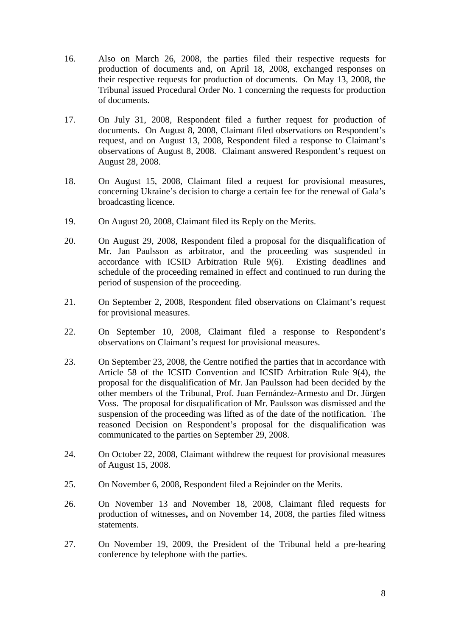- 16. Also on March 26, 2008, the parties filed their respective requests for production of documents and, on April 18, 2008, exchanged responses on their respective requests for production of documents. On May 13, 2008, the Tribunal issued Procedural Order No. 1 concerning the requests for production of documents.
- 17. On July 31, 2008, Respondent filed a further request for production of documents. On August 8, 2008, Claimant filed observations on Respondent's request, and on August 13, 2008, Respondent filed a response to Claimant's observations of August 8, 2008. Claimant answered Respondent's request on August 28, 2008.
- 18. On August 15, 2008, Claimant filed a request for provisional measures, concerning Ukraine's decision to charge a certain fee for the renewal of Gala's broadcasting licence.
- 19. On August 20, 2008, Claimant filed its Reply on the Merits.
- 20. On August 29, 2008, Respondent filed a proposal for the disqualification of Mr. Jan Paulsson as arbitrator, and the proceeding was suspended in accordance with ICSID Arbitration Rule 9(6). Existing deadlines and schedule of the proceeding remained in effect and continued to run during the period of suspension of the proceeding.
- 21. On September 2, 2008, Respondent filed observations on Claimant's request for provisional measures.
- 22. On September 10, 2008, Claimant filed a response to Respondent's observations on Claimant's request for provisional measures.
- 23. On September 23, 2008, the Centre notified the parties that in accordance with Article 58 of the ICSID Convention and ICSID Arbitration Rule 9(4), the proposal for the disqualification of Mr. Jan Paulsson had been decided by the other members of the Tribunal, Prof. Juan Fernández-Armesto and Dr. Jürgen Voss. The proposal for disqualification of Mr. Paulsson was dismissed and the suspension of the proceeding was lifted as of the date of the notification. The reasoned Decision on Respondent's proposal for the disqualification was communicated to the parties on September 29, 2008.
- 24. On October 22, 2008, Claimant withdrew the request for provisional measures of August 15, 2008.
- 25. On November 6, 2008, Respondent filed a Rejoinder on the Merits.
- 26. On November 13 and November 18, 2008, Claimant filed requests for production of witnesses**,** and on November 14, 2008, the parties filed witness statements.
- 27. On November 19, 2009, the President of the Tribunal held a pre-hearing conference by telephone with the parties.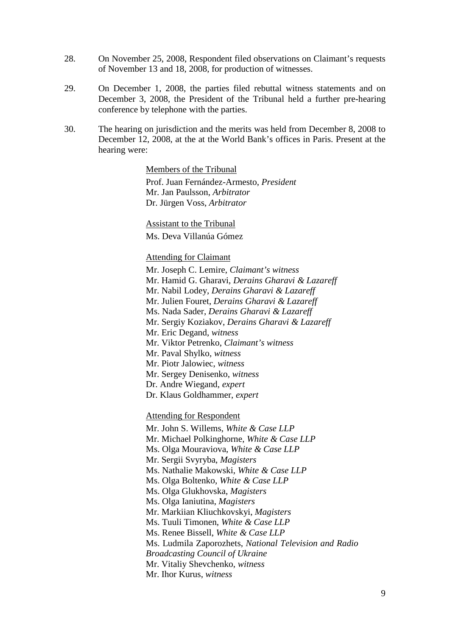- 28. On November 25, 2008, Respondent filed observations on Claimant's requests of November 13 and 18, 2008, for production of witnesses.
- 29. On December 1, 2008, the parties filed rebuttal witness statements and on December 3, 2008, the President of the Tribunal held a further pre-hearing conference by telephone with the parties.
- 30. The hearing on jurisdiction and the merits was held from December 8, 2008 to December 12, 2008, at the at the World Bank's offices in Paris. Present at the hearing were:

Members of the Tribunal

Prof. Juan Fernández-Armesto, *President* Mr. Jan Paulsson, *Arbitrator* Dr. Jürgen Voss, *Arbitrator*

Assistant to the Tribunal

Ms. Deva Villanúa Gómez

#### Attending for Claimant

Mr. Joseph C. Lemire, *Claimant's witness* Mr. Hamid G. Gharavi, *Derains Gharavi & Lazareff* Mr. Nabil Lodey, *Derains Gharavi & Lazareff* Mr. Julien Fouret, *Derains Gharavi & Lazareff* Ms. Nada Sader, *Derains Gharavi & Lazareff* Mr. Sergiy Koziakov, *Derains Gharavi & Lazareff* Mr. Eric Degand, *witness* Mr. Viktor Petrenko, *Claimant's witness* Mr. Paval Shylko, *witness* Mr. Piotr Jalowiec, *witness* Mr. Sergey Denisenko, *witness* Dr. Andre Wiegand, *expert* Dr. Klaus Goldhammer, *expert* Attending for Respondent

Mr. John S. Willems, *White & Case LLP* Mr. Michael Polkinghorne, *White & Case LLP* Ms. Olga Mouraviova, *White & Case LLP* Mr. Sergii Svyryba, *Magisters* Ms. Nathalie Makowski, *White & Case LLP* Ms. Olga Boltenko, *White & Case LLP* Ms. Olga Glukhovska, *Magisters* Ms. Olga Ianiutina, *Magisters* Mr. Markiian Kliuchkovskyi, *Magisters* Ms. Tuuli Timonen, *White & Case LLP* Ms. Renee Bissell, *White & Case LLP* Ms. Ludmila Zaporozhets, *National Television and Radio Broadcasting Council of Ukraine* Mr. Vitaliy Shevchenko, *witness* Mr. Ihor Kurus, *witness*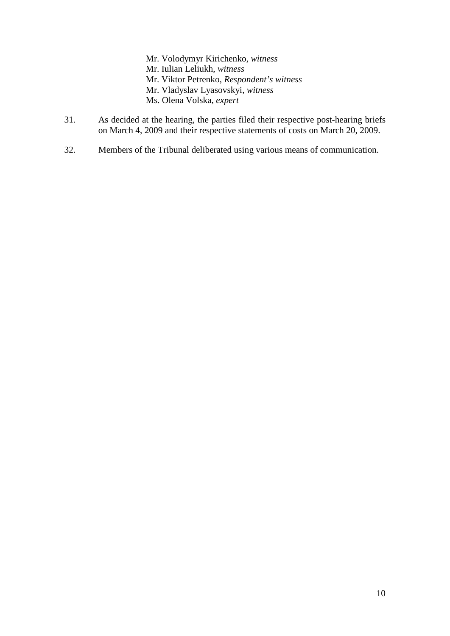Mr. Volodymyr Kirichenko, *witness* Mr. Iulian Leliukh, *witness* Mr. Viktor Petrenko, *Respondent's witness* Mr. Vladyslav Lyasovskyi, *witness* Ms. Olena Volska, *expert*

- 31. As decided at the hearing, the parties filed their respective post-hearing briefs on March 4, 2009 and their respective statements of costs on March 20, 2009.
- 32. Members of the Tribunal deliberated using various means of communication.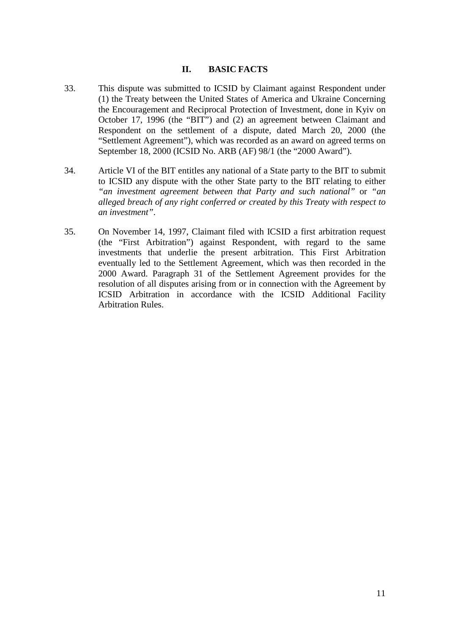#### **II. BASIC FACTS**

- 33. This dispute was submitted to ICSID by Claimant against Respondent under (1) the Treaty between the United States of America and Ukraine Concerning the Encouragement and Reciprocal Protection of Investment, done in Kyiv on October 17, 1996 (the "BIT") and (2) an agreement between Claimant and Respondent on the settlement of a dispute, dated March 20, 2000 (the "Settlement Agreement"), which was recorded as an award on agreed terms on September 18, 2000 (ICSID No. ARB (AF) 98/1 (the "2000 Award").
- 34. Article VI of the BIT entitles any national of a State party to the BIT to submit to ICSID any dispute with the other State party to the BIT relating to either *"an investment agreement between that Party and such national"* or *"an alleged breach of any right conferred or created by this Treaty with respect to an investment"*.
- 35. On November 14, 1997, Claimant filed with ICSID a first arbitration request (the "First Arbitration") against Respondent, with regard to the same investments that underlie the present arbitration. This First Arbitration eventually led to the Settlement Agreement, which was then recorded in the 2000 Award. Paragraph 31 of the Settlement Agreement provides for the resolution of all disputes arising from or in connection with the Agreement by ICSID Arbitration in accordance with the ICSID Additional Facility Arbitration Rules.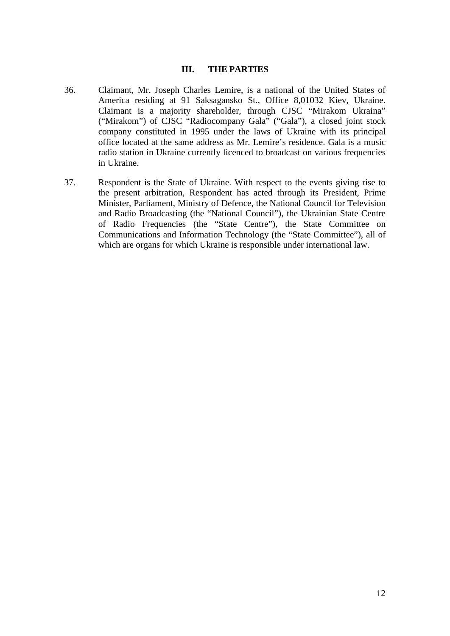#### **III. THE PARTIES**

- 36. Claimant, Mr. Joseph Charles Lemire, is a national of the United States of America residing at 91 Saksagansko St., Office 8,01032 Kiev, Ukraine. Claimant is a majority shareholder, through CJSC "Mirakom Ukraina" ("Mirakom") of CJSC "Radiocompany Gala" ("Gala"), a closed joint stock company constituted in 1995 under the laws of Ukraine with its principal office located at the same address as Mr. Lemire's residence. Gala is a music radio station in Ukraine currently licenced to broadcast on various frequencies in Ukraine.
- 37. Respondent is the State of Ukraine. With respect to the events giving rise to the present arbitration, Respondent has acted through its President, Prime Minister, Parliament, Ministry of Defence, the National Council for Television and Radio Broadcasting (the "National Council"), the Ukrainian State Centre of Radio Frequencies (the "State Centre"), the State Committee on Communications and Information Technology (the "State Committee"), all of which are organs for which Ukraine is responsible under international law.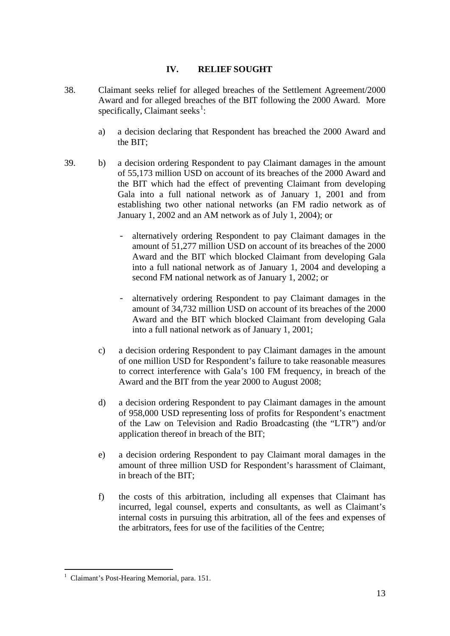## **IV. RELIEF SOUGHT**

- 38. Claimant seeks relief for alleged breaches of the Settlement Agreement/2000 Award and for alleged breaches of the BIT following the 2000 Award. More specifically, Claimant seeks $<sup>1</sup>$  $<sup>1</sup>$  $<sup>1</sup>$ :</sup>
	- a) a decision declaring that Respondent has breached the 2000 Award and the BIT;
- 39. b) a decision ordering Respondent to pay Claimant damages in the amount of 55,173 million USD on account of its breaches of the 2000 Award and the BIT which had the effect of preventing Claimant from developing Gala into a full national network as of January 1, 2001 and from establishing two other national networks (an FM radio network as of January 1, 2002 and an AM network as of July 1, 2004); or
	- alternatively ordering Respondent to pay Claimant damages in the amount of 51,277 million USD on account of its breaches of the 2000 Award and the BIT which blocked Claimant from developing Gala into a full national network as of January 1, 2004 and developing a second FM national network as of January 1, 2002; or
	- alternatively ordering Respondent to pay Claimant damages in the amount of 34,732 million USD on account of its breaches of the 2000 Award and the BIT which blocked Claimant from developing Gala into a full national network as of January 1, 2001;
	- c) a decision ordering Respondent to pay Claimant damages in the amount of one million USD for Respondent's failure to take reasonable measures to correct interference with Gala's 100 FM frequency, in breach of the Award and the BIT from the year 2000 to August 2008;
	- d) a decision ordering Respondent to pay Claimant damages in the amount of 958,000 USD representing loss of profits for Respondent's enactment of the Law on Television and Radio Broadcasting (the "LTR") and/or application thereof in breach of the BIT;
	- e) a decision ordering Respondent to pay Claimant moral damages in the amount of three million USD for Respondent's harassment of Claimant, in breach of the BIT;
	- f) the costs of this arbitration, including all expenses that Claimant has incurred, legal counsel, experts and consultants, as well as Claimant's internal costs in pursuing this arbitration, all of the fees and expenses of the arbitrators, fees for use of the facilities of the Centre;

<span id="page-12-0"></span> $\frac{1}{1}$ Claimant's Post-Hearing Memorial, para. 151.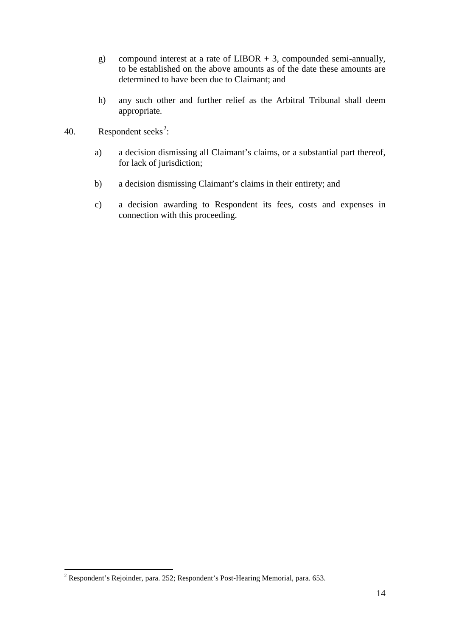- g) compound interest at a rate of LIBOR  $+$  3, compounded semi-annually, to be established on the above amounts as of the date these amounts are determined to have been due to Claimant; and
- h) any such other and further relief as the Arbitral Tribunal shall deem appropriate.
- 40. Respondent seeks<sup>[2](#page-13-0)</sup>:
	- a) a decision dismissing all Claimant's claims, or a substantial part thereof, for lack of jurisdiction;
	- b) a decision dismissing Claimant's claims in their entirety; and
	- c) a decision awarding to Respondent its fees, costs and expenses in connection with this proceeding.

<span id="page-13-0"></span> <sup>2</sup> Respondent's Rejoinder, para. 252; Respondent's Post-Hearing Memorial, para. 653.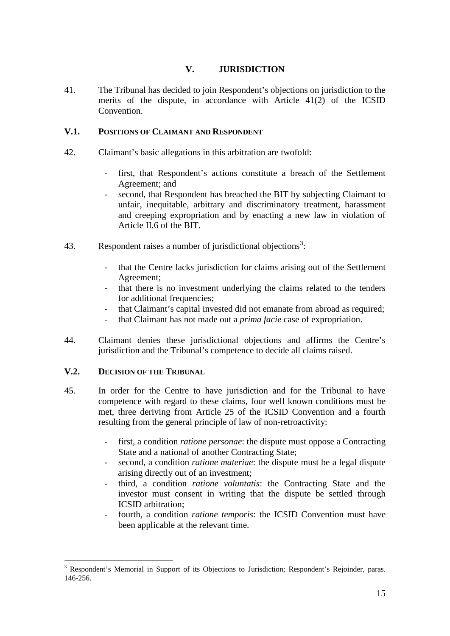# **V. JURISDICTION**

41. The Tribunal has decided to join Respondent's objections on jurisdiction to the merits of the dispute, in accordance with Article 41(2) of the ICSID Convention.

## **V.1. POSITIONS OF CLAIMANT AND RESPONDENT**

- 42. Claimant's basic allegations in this arbitration are twofold:
	- first, that Respondent's actions constitute a breach of the Settlement Agreement; and
	- second, that Respondent has breached the BIT by subjecting Claimant to unfair, inequitable, arbitrary and discriminatory treatment, harassment and creeping expropriation and by enacting a new law in violation of Article II.6 of the BIT.
- 4[3](#page-14-0). Respondent raises a number of jurisdictional objections<sup>3</sup>:
	- that the Centre lacks jurisdiction for claims arising out of the Settlement Agreement;
	- that there is no investment underlying the claims related to the tenders for additional frequencies;
	- that Claimant's capital invested did not emanate from abroad as required;
	- that Claimant has not made out a *prima facie* case of expropriation.
- 44. Claimant denies these jurisdictional objections and affirms the Centre's jurisdiction and the Tribunal's competence to decide all claims raised.

# **V.2. DECISION OF THE TRIBUNAL**

- 45. In order for the Centre to have jurisdiction and for the Tribunal to have competence with regard to these claims, four well known conditions must be met, three deriving from Article 25 of the ICSID Convention and a fourth resulting from the general principle of law of non-retroactivity:
	- first, a condition *ratione personae*: the dispute must oppose a Contracting State and a national of another Contracting State;
	- second, a condition *ratione materiae*: the dispute must be a legal dispute arising directly out of an investment;
	- third, a condition *ratione voluntatis*: the Contracting State and the investor must consent in writing that the dispute be settled through ICSID arbitration;
	- fourth, a condition *ratione temporis*: the ICSID Convention must have been applicable at the relevant time.

<span id="page-14-0"></span> <sup>3</sup> Respondent's Memorial in Support of its Objections to Jurisdiction; Respondent's Rejoinder, paras. 146-256.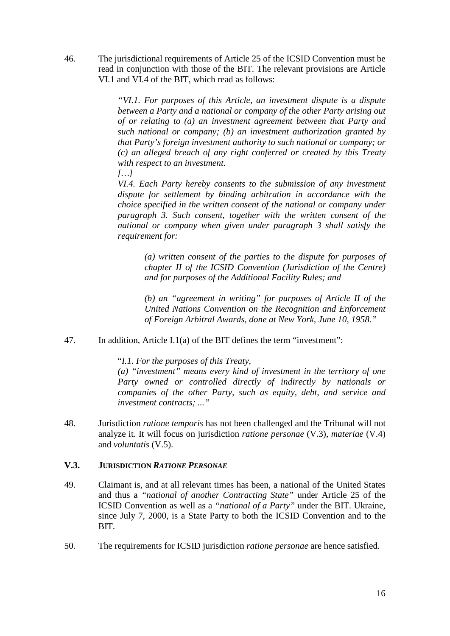46. The jurisdictional requirements of Article 25 of the ICSID Convention must be read in conjunction with those of the BIT. The relevant provisions are Article VI.1 and VI.4 of the BIT, which read as follows:

> *"VI.1. For purposes of this Article, an investment dispute is a dispute between a Party and a national or company of the other Party arising out of or relating to (a) an investment agreement between that Party and such national or company; (b) an investment authorization granted by that Party's foreign investment authority to such national or company; or (c) an alleged breach of any right conferred or created by this Treaty with respect to an investment.*

*[…]*

*VI.4. Each Party hereby consents to the submission of any investment dispute for settlement by binding arbitration in accordance with the choice specified in the written consent of the national or company under paragraph 3. Such consent, together with the written consent of the national or company when given under paragraph 3 shall satisfy the requirement for:*

*(a) written consent of the parties to the dispute for purposes of chapter II of the ICSID Convention (Jurisdiction of the Centre) and for purposes of the Additional Facility Rules; and*

*(b) an "agreement in writing" for purposes of Article II of the United Nations Convention on the Recognition and Enforcement of Foreign Arbitral Awards, done at New York, June 10, 1958."*

47. In addition, Article I.1(a) of the BIT defines the term "investment":

"*I.1. For the purposes of this Treaty,*

*(a) "investment" means every kind of investment in the territory of one Party owned or controlled directly of indirectly by nationals or companies of the other Party, such as equity, debt, and service and investment contracts; ..."*

48. Jurisdiction *ratione temporis* has not been challenged and the Tribunal will not analyze it. It will focus on jurisdiction *ratione personae* (V.3)*, materiae* (V.4) and *voluntatis* (V.5).

#### **V.3. JURISDICTION** *RATIONE PERSONAE*

- 49. Claimant is, and at all relevant times has been, a national of the United States and thus a *"national of another Contracting State"* under Article 25 of the ICSID Convention as well as a *"national of a Party"* under the BIT. Ukraine, since July 7, 2000, is a State Party to both the ICSID Convention and to the BIT.
- 50. The requirements for ICSID jurisdiction *ratione personae* are hence satisfied.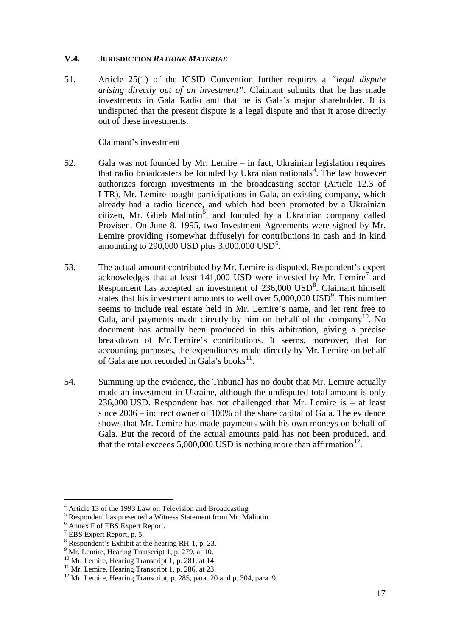#### **V.4. JURISDICTION** *RATIONE MATERIAE*

51. Article 25(1) of the ICSID Convention further requires a *"legal dispute arising directly out of an investment"*. Claimant submits that he has made investments in Gala Radio and that he is Gala's major shareholder. It is undisputed that the present dispute is a legal dispute and that it arose directly out of these investments.

## Claimant's investment

- 52. Gala was not founded by Mr. Lemire in fact, Ukrainian legislation requires that radio broadcasters be founded by Ukrainian nationals<sup>[4](#page-16-0)</sup>. The law however authorizes foreign investments in the broadcasting sector (Article 12.3 of LTR). Mr. Lemire bought participations in Gala, an existing company, which already had a radio licence, and which had been promoted by a Ukrainian citizen, Mr. Glieb Maliutin<sup>[5](#page-16-1)</sup>, and founded by a Ukrainian company called Provisen. On June 8, 1995, two Investment Agreements were signed by Mr. Lemire providing (somewhat diffusely) for contributions in cash and in kind amounting to 290,000 USD plus  $3,000,000$  USD<sup>[6](#page-16-2)</sup>.
- 53. The actual amount contributed by Mr. Lemire is disputed. Respondent's expert acknowledges that at least  $141,000$  USD were invested by Mr. Lemire<sup>[7](#page-16-3)</sup> and Respondent has accepted an investment of  $236,000$  USD<sup>[8](#page-16-4)</sup>. Claimant himself states that his investment amounts to well over 5,000,000 USD<sup>[9](#page-16-5)</sup>. This number seems to include real estate held in Mr. Lemire's name, and let rent free to Gala, and payments made directly by him on behalf of the company<sup>10</sup>. No document has actually been produced in this arbitration, giving a precise breakdown of Mr. Lemire's contributions. It seems, moreover, that for accounting purposes, the expenditures made directly by Mr. Lemire on behalf of Gala are not recorded in Gala's books $^{11}$ .
- 54. Summing up the evidence, the Tribunal has no doubt that Mr. Lemire actually made an investment in Ukraine, although the undisputed total amount is only 236,000 USD. Respondent has not challenged that Mr. Lemire is – at least since 2006 – indirect owner of 100% of the share capital of Gala. The evidence shows that Mr. Lemire has made payments with his own moneys on behalf of Gala. But the record of the actual amounts paid has not been produced, and that the total exceeds  $5,000,000$  USD is nothing more than affirmation<sup>12</sup>.

<span id="page-16-0"></span>

 $<sup>4</sup>$  Article 13 of the 1993 Law on Television and Broadcasting <br><sup>5</sup> Respondent has presented a Witness Statement from Mr. Maliutin.</sup>

<span id="page-16-4"></span><span id="page-16-3"></span>

<span id="page-16-2"></span><span id="page-16-1"></span><sup>&</sup>lt;sup>6</sup> Annex F of EBS Expert Report.<br>
<sup>7</sup> EBS Expert Report, p. 5.<br>
<sup>8</sup> Respondent's Exhibit at the hearing RH-1, p. 23.

<span id="page-16-5"></span>

<span id="page-16-6"></span>

<span id="page-16-8"></span><span id="page-16-7"></span>

<sup>&</sup>lt;sup>9</sup> Mr. Lemire, Hearing Transcript 1, p. 279, at 10.<br><sup>10</sup> Mr. Lemire, Hearing Transcript 1, p. 281, at 14.<br><sup>11</sup> Mr. Lemire, Hearing Transcript 1, p. 286, at 23.<br><sup>12</sup> Mr. Lemire, Hearing Transcript, p. 285, para. 20 and p.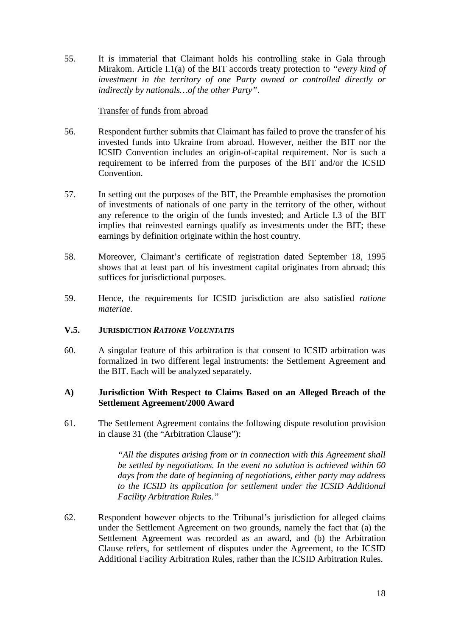55. It is immaterial that Claimant holds his controlling stake in Gala through Mirakom. Article I.1(a) of the BIT accords treaty protection to *"every kind of investment in the territory of one Party owned or controlled directly or indirectly by nationals…of the other Party"*.

## Transfer of funds from abroad

- 56. Respondent further submits that Claimant has failed to prove the transfer of his invested funds into Ukraine from abroad. However, neither the BIT nor the ICSID Convention includes an origin-of-capital requirement. Nor is such a requirement to be inferred from the purposes of the BIT and/or the ICSID Convention.
- 57. In setting out the purposes of the BIT, the Preamble emphasises the promotion of investments of nationals of one party in the territory of the other, without any reference to the origin of the funds invested; and Article I.3 of the BIT implies that reinvested earnings qualify as investments under the BIT; these earnings by definition originate within the host country.
- 58. Moreover, Claimant's certificate of registration dated September 18, 1995 shows that at least part of his investment capital originates from abroad; this suffices for jurisdictional purposes.
- 59. Hence, the requirements for ICSID jurisdiction are also satisfied *ratione materiae.*

#### **V.5. JURISDICTION** *RATIONE VOLUNTATIS*

60. A singular feature of this arbitration is that consent to ICSID arbitration was formalized in two different legal instruments: the Settlement Agreement and the BIT. Each will be analyzed separately.

### **A) Jurisdiction With Respect to Claims Based on an Alleged Breach of the Settlement Agreement/2000 Award**

61. The Settlement Agreement contains the following dispute resolution provision in clause 31 (the "Arbitration Clause"):

> *"All the disputes arising from or in connection with this Agreement shall be settled by negotiations. In the event no solution is achieved within 60 days from the date of beginning of negotiations, either party may address to the ICSID its application for settlement under the ICSID Additional Facility Arbitration Rules."*

62. Respondent however objects to the Tribunal's jurisdiction for alleged claims under the Settlement Agreement on two grounds, namely the fact that (a) the Settlement Agreement was recorded as an award, and (b) the Arbitration Clause refers, for settlement of disputes under the Agreement, to the ICSID Additional Facility Arbitration Rules, rather than the ICSID Arbitration Rules.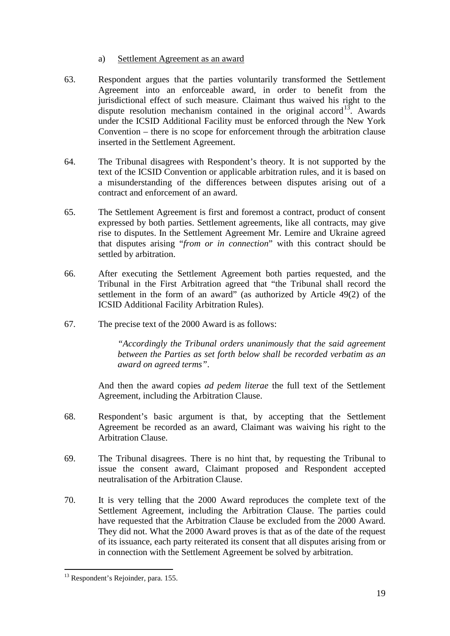### a) Settlement Agreement as an award

- 63. Respondent argues that the parties voluntarily transformed the Settlement Agreement into an enforceable award, in order to benefit from the jurisdictional effect of such measure. Claimant thus waived his right to the dispute resolution mechanism contained in the original accord<sup>[13](#page-18-0)</sup>. Awards under the ICSID Additional Facility must be enforced through the New York Convention – there is no scope for enforcement through the arbitration clause inserted in the Settlement Agreement.
- 64. The Tribunal disagrees with Respondent's theory. It is not supported by the text of the ICSID Convention or applicable arbitration rules, and it is based on a misunderstanding of the differences between disputes arising out of a contract and enforcement of an award.
- 65. The Settlement Agreement is first and foremost a contract, product of consent expressed by both parties. Settlement agreements, like all contracts, may give rise to disputes. In the Settlement Agreement Mr. Lemire and Ukraine agreed that disputes arising "*from or in connection*" with this contract should be settled by arbitration.
- 66. After executing the Settlement Agreement both parties requested, and the Tribunal in the First Arbitration agreed that "the Tribunal shall record the settlement in the form of an award" (as authorized by Article 49(2) of the ICSID Additional Facility Arbitration Rules).
- 67. The precise text of the 2000 Award is as follows:

*"Accordingly the Tribunal orders unanimously that the said agreement between the Parties as set forth below shall be recorded verbatim as an award on agreed terms"*.

And then the award copies *ad pedem literae* the full text of the Settlement Agreement, including the Arbitration Clause.

- 68. Respondent's basic argument is that, by accepting that the Settlement Agreement be recorded as an award, Claimant was waiving his right to the Arbitration Clause.
- 69. The Tribunal disagrees. There is no hint that, by requesting the Tribunal to issue the consent award, Claimant proposed and Respondent accepted neutralisation of the Arbitration Clause.
- 70. It is very telling that the 2000 Award reproduces the complete text of the Settlement Agreement, including the Arbitration Clause. The parties could have requested that the Arbitration Clause be excluded from the 2000 Award. They did not. What the 2000 Award proves is that as of the date of the request of its issuance, each party reiterated its consent that all disputes arising from or in connection with the Settlement Agreement be solved by arbitration.

<span id="page-18-0"></span><sup>&</sup>lt;sup>13</sup> Respondent's Rejoinder, para. 155.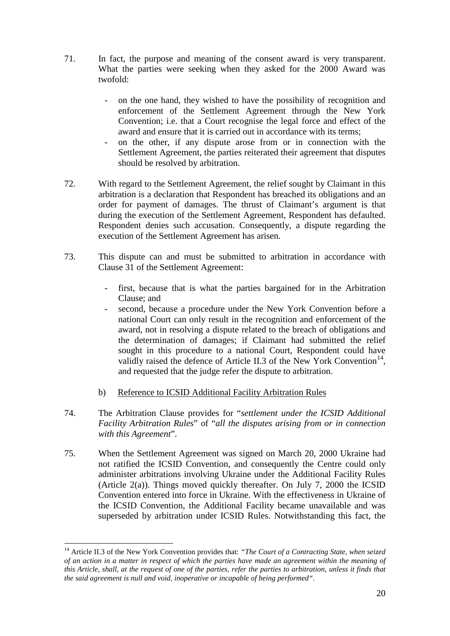- 71. In fact, the purpose and meaning of the consent award is very transparent. What the parties were seeking when they asked for the 2000 Award was twofold:
	- on the one hand, they wished to have the possibility of recognition and enforcement of the Settlement Agreement through the New York Convention; i.e. that a Court recognise the legal force and effect of the award and ensure that it is carried out in accordance with its terms;
	- on the other, if any dispute arose from or in connection with the Settlement Agreement, the parties reiterated their agreement that disputes should be resolved by arbitration.
- 72. With regard to the Settlement Agreement, the relief sought by Claimant in this arbitration is a declaration that Respondent has breached its obligations and an order for payment of damages. The thrust of Claimant's argument is that during the execution of the Settlement Agreement, Respondent has defaulted. Respondent denies such accusation. Consequently, a dispute regarding the execution of the Settlement Agreement has arisen.
- 73. This dispute can and must be submitted to arbitration in accordance with Clause 31 of the Settlement Agreement:
	- first, because that is what the parties bargained for in the Arbitration Clause; and
	- second, because a procedure under the New York Convention before a national Court can only result in the recognition and enforcement of the award, not in resolving a dispute related to the breach of obligations and the determination of damages; if Claimant had submitted the relief sought in this procedure to a national Court, Respondent could have validly raised the defence of Article II.3 of the New York Convention<sup>[14](#page-19-0)</sup>, and requested that the judge refer the dispute to arbitration.
	- b) Reference to ICSID Additional Facility Arbitration Rules
- 74. The Arbitration Clause provides for "*settlement under the ICSID Additional Facility Arbitration Rules*" of "*all the disputes arising from or in connection with this Agreement*".
- 75. When the Settlement Agreement was signed on March 20, 2000 Ukraine had not ratified the ICSID Convention, and consequently the Centre could only administer arbitrations involving Ukraine under the Additional Facility Rules (Article  $2(a)$ ). Things moved quickly thereafter. On July 7, 2000 the ICSID Convention entered into force in Ukraine. With the effectiveness in Ukraine of the ICSID Convention, the Additional Facility became unavailable and was superseded by arbitration under ICSID Rules. Notwithstanding this fact, the

<span id="page-19-0"></span> <sup>14</sup> Article II.3 of the New York Convention provides that: *"The Court of a Contracting State, when seized of an action in a matter in respect of which the parties have made an agreement within the meaning of this Article, shall, at the request of one of the parties, refer the parties to arbitration, unless it finds that the said agreement is null and void, inoperative or incapable of being performed".*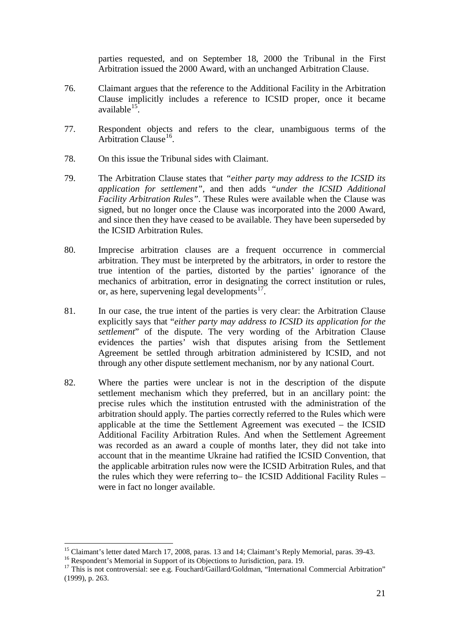parties requested, and on September 18, 2000 the Tribunal in the First Arbitration issued the 2000 Award, with an unchanged Arbitration Clause.

- 76. Claimant argues that the reference to the Additional Facility in the Arbitration Clause implicitly includes a reference to ICSID proper, once it became available<sup>[15](#page-20-0)</sup>.
- 77. Respondent objects and refers to the clear, unambiguous terms of the Arbitration Clause<sup>[16](#page-20-1)</sup>.
- 78. On this issue the Tribunal sides with Claimant.
- 79. The Arbitration Clause states that *"either party may address to the ICSID its application for settlement"*, and then adds *"under the ICSID Additional Facility Arbitration Rules*". These Rules were available when the Clause was signed, but no longer once the Clause was incorporated into the 2000 Award, and since then they have ceased to be available. They have been superseded by the ICSID Arbitration Rules.
- 80. Imprecise arbitration clauses are a frequent occurrence in commercial arbitration. They must be interpreted by the arbitrators, in order to restore the true intention of the parties, distorted by the parties' ignorance of the mechanics of arbitration, error in designating the correct institution or rules, or, as here, supervening legal developments $17$ .
- 81. In our case, the true intent of the parties is very clear: the Arbitration Clause explicitly says that "*either party may address to ICSID its application for the settlement*" of the dispute. The very wording of the Arbitration Clause evidences the parties' wish that disputes arising from the Settlement Agreement be settled through arbitration administered by ICSID, and not through any other dispute settlement mechanism, nor by any national Court.
- 82. Where the parties were unclear is not in the description of the dispute settlement mechanism which they preferred, but in an ancillary point: the precise rules which the institution entrusted with the administration of the arbitration should apply. The parties correctly referred to the Rules which were applicable at the time the Settlement Agreement was executed – the ICSID Additional Facility Arbitration Rules. And when the Settlement Agreement was recorded as an award a couple of months later, they did not take into account that in the meantime Ukraine had ratified the ICSID Convention, that the applicable arbitration rules now were the ICSID Arbitration Rules, and that the rules which they were referring to– the ICSID Additional Facility Rules – were in fact no longer available.

<span id="page-20-1"></span><span id="page-20-0"></span>

<span id="page-20-2"></span>

<sup>&</sup>lt;sup>15</sup> Claimant's letter dated March 17, 2008, paras. 13 and 14; Claimant's Reply Memorial, paras. 39-43.<br><sup>16</sup> Respondent's Memorial in Support of its Objections to Jurisdiction, para. 19.<br><sup>17</sup> This is not controversial: se (1999), p. 263.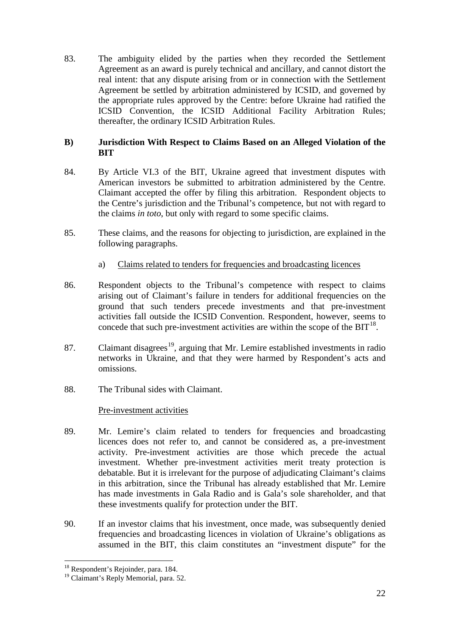83. The ambiguity elided by the parties when they recorded the Settlement Agreement as an award is purely technical and ancillary, and cannot distort the real intent: that any dispute arising from or in connection with the Settlement Agreement be settled by arbitration administered by ICSID, and governed by the appropriate rules approved by the Centre: before Ukraine had ratified the ICSID Convention, the ICSID Additional Facility Arbitration Rules; thereafter, the ordinary ICSID Arbitration Rules.

# **B) Jurisdiction With Respect to Claims Based on an Alleged Violation of the BIT**

- 84. By Article VI.3 of the BIT, Ukraine agreed that investment disputes with American investors be submitted to arbitration administered by the Centre. Claimant accepted the offer by filing this arbitration. Respondent objects to the Centre's jurisdiction and the Tribunal's competence, but not with regard to the claims *in toto*, but only with regard to some specific claims.
- 85. These claims, and the reasons for objecting to jurisdiction, are explained in the following paragraphs.
	- a) Claims related to tenders for frequencies and broadcasting licences
- 86. Respondent objects to the Tribunal's competence with respect to claims arising out of Claimant's failure in tenders for additional frequencies on the ground that such tenders precede investments and that pre-investment activities fall outside the ICSID Convention. Respondent, however, seems to concede that such pre-investment activities are within the scope of the  $BIT<sup>18</sup>$ .
- 87. Claimant disagrees<sup>19</sup>, arguing that Mr. Lemire established investments in radio networks in Ukraine, and that they were harmed by Respondent's acts and omissions.
- 88. The Tribunal sides with Claimant.

# Pre-investment activities

- 89. Mr. Lemire's claim related to tenders for frequencies and broadcasting licences does not refer to, and cannot be considered as, a pre-investment activity. Pre-investment activities are those which precede the actual investment. Whether pre-investment activities merit treaty protection is debatable. But it is irrelevant for the purpose of adjudicating Claimant's claims in this arbitration, since the Tribunal has already established that Mr. Lemire has made investments in Gala Radio and is Gala's sole shareholder, and that these investments qualify for protection under the BIT.
- 90. If an investor claims that his investment, once made, was subsequently denied frequencies and broadcasting licences in violation of Ukraine's obligations as assumed in the BIT, this claim constitutes an "investment dispute" for the

<span id="page-21-0"></span><sup>&</sup>lt;sup>18</sup> Respondent's Rejoinder, para. 184.

<span id="page-21-1"></span><sup>&</sup>lt;sup>19</sup> Claimant's Reply Memorial, para. 52.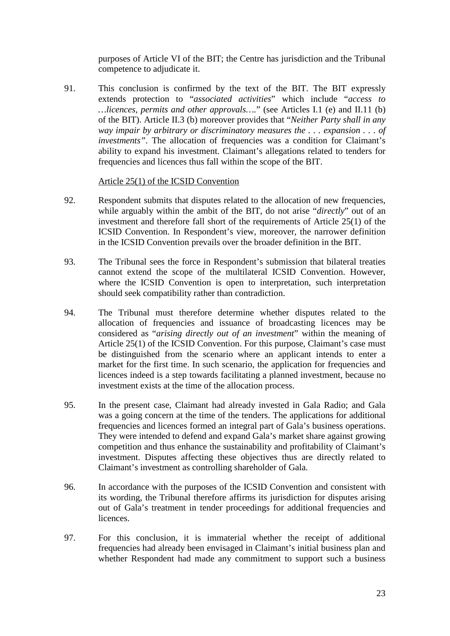purposes of Article VI of the BIT; the Centre has jurisdiction and the Tribunal competence to adjudicate it.

91. This conclusion is confirmed by the text of the BIT. The BIT expressly extends protection to "*associated activities*" which include "*access to …licences, permits and other approvals….*" (see Articles I.1 (e) and II.11 (b) of the BIT). Article II.3 (b) moreover provides that "*Neither Party shall in any way impair by arbitrary or discriminatory measures the . . . expansion . . . of investments"*. The allocation of frequencies was a condition for Claimant's ability to expand his investment. Claimant's allegations related to tenders for frequencies and licences thus fall within the scope of the BIT.

### Article 25(1) of the ICSID Convention

- 92. Respondent submits that disputes related to the allocation of new frequencies, while arguably within the ambit of the BIT, do not arise "*directly*" out of an investment and therefore fall short of the requirements of Article 25(1) of the ICSID Convention. In Respondent's view, moreover, the narrower definition in the ICSID Convention prevails over the broader definition in the BIT.
- 93. The Tribunal sees the force in Respondent's submission that bilateral treaties cannot extend the scope of the multilateral ICSID Convention. However, where the ICSID Convention is open to interpretation, such interpretation should seek compatibility rather than contradiction.
- 94. The Tribunal must therefore determine whether disputes related to the allocation of frequencies and issuance of broadcasting licences may be considered as "*arising directly out of an investment*" within the meaning of Article 25(1) of the ICSID Convention. For this purpose, Claimant's case must be distinguished from the scenario where an applicant intends to enter a market for the first time. In such scenario, the application for frequencies and licences indeed is a step towards facilitating a planned investment, because no investment exists at the time of the allocation process.
- 95. In the present case, Claimant had already invested in Gala Radio; and Gala was a going concern at the time of the tenders. The applications for additional frequencies and licences formed an integral part of Gala's business operations. They were intended to defend and expand Gala's market share against growing competition and thus enhance the sustainability and profitability of Claimant's investment. Disputes affecting these objectives thus are directly related to Claimant's investment as controlling shareholder of Gala.
- 96. In accordance with the purposes of the ICSID Convention and consistent with its wording, the Tribunal therefore affirms its jurisdiction for disputes arising out of Gala's treatment in tender proceedings for additional frequencies and licences.
- 97. For this conclusion, it is immaterial whether the receipt of additional frequencies had already been envisaged in Claimant's initial business plan and whether Respondent had made any commitment to support such a business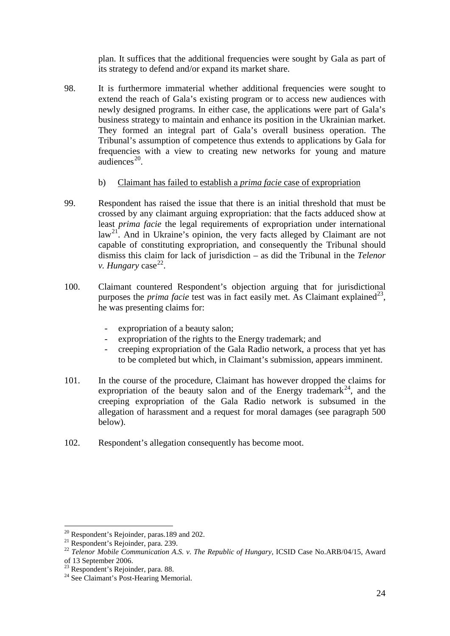plan. It suffices that the additional frequencies were sought by Gala as part of its strategy to defend and/or expand its market share.

- 98. It is furthermore immaterial whether additional frequencies were sought to extend the reach of Gala's existing program or to access new audiences with newly designed programs. In either case, the applications were part of Gala's business strategy to maintain and enhance its position in the Ukrainian market. They formed an integral part of Gala's overall business operation. The Tribunal's assumption of competence thus extends to applications by Gala for frequencies with a view to creating new networks for young and mature audiences $^{20}$  $^{20}$  $^{20}$ .
	- b) Claimant has failed to establish a *prima facie* case of expropriation
- 99. Respondent has raised the issue that there is an initial threshold that must be crossed by any claimant arguing expropriation: that the facts adduced show at least *prima facie* the legal requirements of expropriation under international  $law<sup>21</sup>$  $law<sup>21</sup>$  $law<sup>21</sup>$ . And in Ukraine's opinion, the very facts alleged by Claimant are not capable of constituting expropriation, and consequently the Tribunal should dismiss this claim for lack of jurisdiction – as did the Tribunal in the *Telenor v. Hungary* case [22](#page-23-2).
- 100. Claimant countered Respondent's objection arguing that for jurisdictional purposes the *prima facie* test was in fact easily met. As Claimant explained<sup>[23](#page-23-3)</sup>, he was presenting claims for:
	- expropriation of a beauty salon;
	- expropriation of the rights to the Energy trademark; and
	- creeping expropriation of the Gala Radio network, a process that yet has to be completed but which, in Claimant's submission, appears imminent.
- 101. In the course of the procedure, Claimant has however dropped the claims for expropriation of the beauty salon and of the Energy trademark<sup>24</sup>, and the creeping expropriation of the Gala Radio network is subsumed in the allegation of harassment and a request for moral damages (see paragraph 500 below).
- 102. Respondent's allegation consequently has become moot.

<span id="page-23-2"></span>

<span id="page-23-1"></span><span id="page-23-0"></span><sup>&</sup>lt;sup>20</sup> Respondent's Rejoinder, paras.189 and 202.<br><sup>21</sup> Respondent's Rejoinder, para. 239.<br><sup>22</sup> *Telenor Mobile Communication A.S. v. The Republic of Hungary*, ICSID Case No.ARB/04/15, Award<br>of 13 September 2006.

<span id="page-23-4"></span><span id="page-23-3"></span><sup>&</sup>lt;sup>23</sup> Respondent's Rejoinder, para. 88. <sup>24</sup> See Claimant's Post-Hearing Memorial.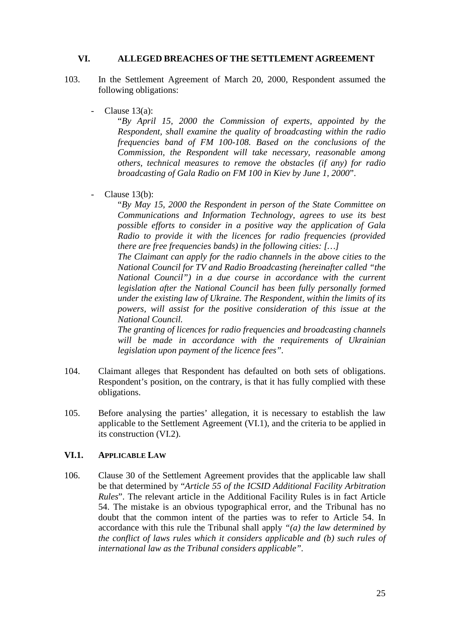#### **VI. ALLEGED BREACHES OF THE SETTLEMENT AGREEMENT**

- 103. In the Settlement Agreement of March 20, 2000, Respondent assumed the following obligations:
	- Clause  $13(a)$ :

"*By April 15, 2000 the Commission of experts, appointed by the Respondent, shall examine the quality of broadcasting within the radio frequencies band of FM 100-108. Based on the conclusions of the Commission, the Respondent will take necessary, reasonable among others, technical measures to remove the obstacles (if any) for radio broadcasting of Gala Radio on FM 100 in Kiev by June 1, 2000*".

Clause  $13(b)$ :

"*By May 15, 2000 the Respondent in person of the State Committee on Communications and Information Technology, agrees to use its best possible efforts to consider in a positive way the application of Gala Radio to provide it with the licences for radio frequencies (provided there are free frequencies bands) in the following cities: […]*

*The Claimant can apply for the radio channels in the above cities to the National Council for TV and Radio Broadcasting (hereinafter called "the National Council") in a due course in accordance with the current legislation after the National Council has been fully personally formed under the existing law of Ukraine. The Respondent, within the limits of its powers, will assist for the positive consideration of this issue at the National Council.*

*The granting of licences for radio frequencies and broadcasting channels will be made in accordance with the requirements of Ukrainian legislation upon payment of the licence fees".*

- 104. Claimant alleges that Respondent has defaulted on both sets of obligations. Respondent's position, on the contrary, is that it has fully complied with these obligations.
- 105. Before analysing the parties' allegation, it is necessary to establish the law applicable to the Settlement Agreement (VI.1), and the criteria to be applied in its construction (VI.2).

#### **VI.1. APPLICABLE LAW**

106. Clause 30 of the Settlement Agreement provides that the applicable law shall be that determined by "*Article 55 of the ICSID Additional Facility Arbitration Rules*". The relevant article in the Additional Facility Rules is in fact Article 54. The mistake is an obvious typographical error, and the Tribunal has no doubt that the common intent of the parties was to refer to Article 54. In accordance with this rule the Tribunal shall apply *"(a) the law determined by the conflict of laws rules which it considers applicable and (b) such rules of international law as the Tribunal considers applicable".*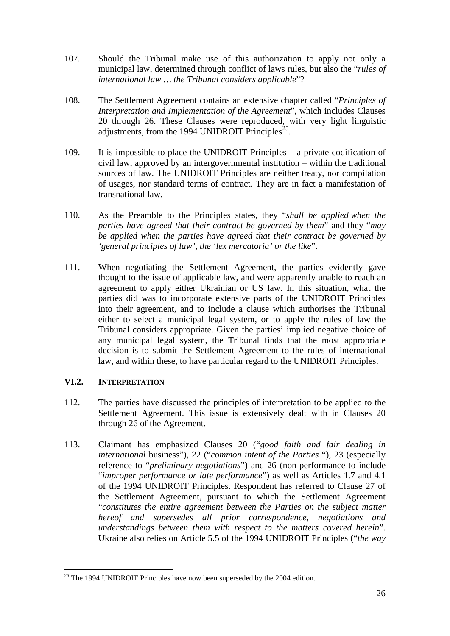- 107. Should the Tribunal make use of this authorization to apply not only a municipal law, determined through conflict of laws rules, but also the "*rules of international law … the Tribunal considers applicable*"?
- 108. The Settlement Agreement contains an extensive chapter called "*Principles of Interpretation and Implementation of the Agreement*", which includes Clauses 20 through 26. These Clauses were reproduced, with very light linguistic adjustments, from the 1994 UNIDROIT Principles<sup>25</sup>.
- 109. It is impossible to place the UNIDROIT Principles a private codification of civil law, approved by an intergovernmental institution – within the traditional sources of law. The UNIDROIT Principles are neither treaty, nor compilation of usages, nor standard terms of contract. They are in fact a manifestation of transnational law.
- 110. As the Preamble to the Principles states, they "*shall be applied when the parties have agreed that their contract be governed by them*" and they "*may be applied when the parties have agreed that their contract be governed by 'general principles of law', the 'lex mercatoria' or the like*".
- 111. When negotiating the Settlement Agreement, the parties evidently gave thought to the issue of applicable law, and were apparently unable to reach an agreement to apply either Ukrainian or US law. In this situation, what the parties did was to incorporate extensive parts of the UNIDROIT Principles into their agreement, and to include a clause which authorises the Tribunal either to select a municipal legal system, or to apply the rules of law the Tribunal considers appropriate. Given the parties' implied negative choice of any municipal legal system, the Tribunal finds that the most appropriate decision is to submit the Settlement Agreement to the rules of international law, and within these, to have particular regard to the UNIDROIT Principles.

# **VI.2. INTERPRETATION**

- 112. The parties have discussed the principles of interpretation to be applied to the Settlement Agreement. This issue is extensively dealt with in Clauses 20 through 26 of the Agreement.
- 113. Claimant has emphasized Clauses 20 ("*good faith and fair dealing in international* business"), 22 ("*common intent of the Parties* "), 23 (especially reference to "*preliminary negotiations*") and 26 (non-performance to include "*improper performance or late performance*") as well as Articles 1.7 and 4.1 of the 1994 UNIDROIT Principles. Respondent has referred to Clause 27 of the Settlement Agreement, pursuant to which the Settlement Agreement "*constitutes the entire agreement between the Parties on the subject matter hereof and supersedes all prior correspondence, negotiations and understandings between them with respect to the matters covered herein*". Ukraine also relies on Article 5.5 of the 1994 UNIDROIT Principles ("*the way*

<span id="page-25-0"></span><sup>&</sup>lt;sup>25</sup> The 1994 UNIDROIT Principles have now been superseded by the 2004 edition.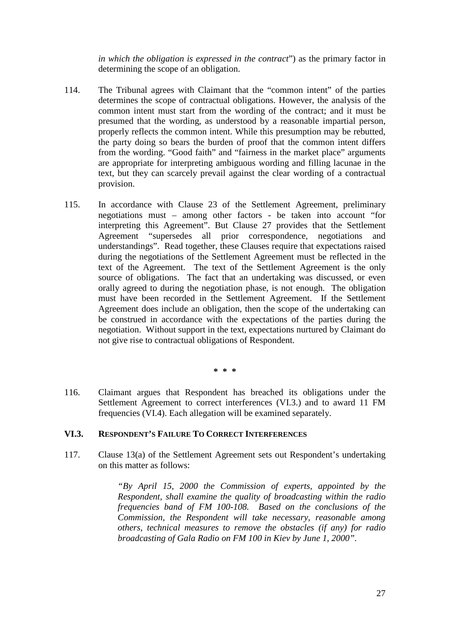*in which the obligation is expressed in the contract*") as the primary factor in determining the scope of an obligation.

- 114. The Tribunal agrees with Claimant that the "common intent" of the parties determines the scope of contractual obligations. However, the analysis of the common intent must start from the wording of the contract; and it must be presumed that the wording, as understood by a reasonable impartial person, properly reflects the common intent. While this presumption may be rebutted, the party doing so bears the burden of proof that the common intent differs from the wording. "Good faith" and "fairness in the market place" arguments are appropriate for interpreting ambiguous wording and filling lacunae in the text, but they can scarcely prevail against the clear wording of a contractual provision.
- 115. In accordance with Clause 23 of the Settlement Agreement, preliminary negotiations must – among other factors - be taken into account "for interpreting this Agreement". But Clause 27 provides that the Settlement Agreement "supersedes all prior correspondence, negotiations and understandings". Read together, these Clauses require that expectations raised during the negotiations of the Settlement Agreement must be reflected in the text of the Agreement. The text of the Settlement Agreement is the only source of obligations. The fact that an undertaking was discussed, or even orally agreed to during the negotiation phase, is not enough. The obligation must have been recorded in the Settlement Agreement. If the Settlement Agreement does include an obligation, then the scope of the undertaking can be construed in accordance with the expectations of the parties during the negotiation. Without support in the text, expectations nurtured by Claimant do not give rise to contractual obligations of Respondent.

**\* \* \***

116. Claimant argues that Respondent has breached its obligations under the Settlement Agreement to correct interferences (VI.3.) and to award 11 FM frequencies (VI.4). Each allegation will be examined separately.

# **VI.3. RESPONDENT'S FAILURE TO CORRECT INTERFERENCES**

117. Clause 13(a) of the Settlement Agreement sets out Respondent's undertaking on this matter as follows:

> *"By April 15, 2000 the Commission of experts, appointed by the Respondent, shall examine the quality of broadcasting within the radio frequencies band of FM 100-108. Based on the conclusions of the Commission, the Respondent will take necessary, reasonable among others, technical measures to remove the obstacles (if any) for radio broadcasting of Gala Radio on FM 100 in Kiev by June 1, 2000".*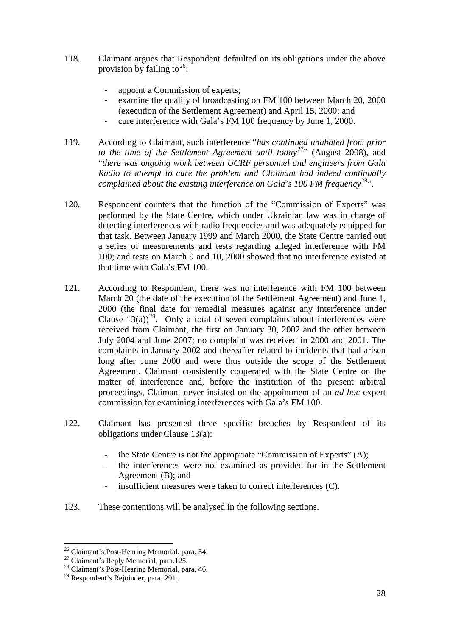- 118. Claimant argues that Respondent defaulted on its obligations under the above provision by failing to<sup>26</sup>:
	- appoint a Commission of experts;
	- examine the quality of broadcasting on FM 100 between March 20, 2000 (execution of the Settlement Agreement) and April 15, 2000; and
	- cure interference with Gala's FM 100 frequency by June 1, 2000.
- 119. According to Claimant, such interference "*has continued unabated from prior to the time of the Settlement Agreement until today*<sup>27</sup>" (August 2008), and "*there was ongoing work between UCRF personnel and engineers from Gala Radio to attempt to cure the problem and Claimant had indeed continually complained about the existing interference on Gala's 100 FM frequency*[28](#page-27-2)".
- 120. Respondent counters that the function of the "Commission of Experts" was performed by the State Centre, which under Ukrainian law was in charge of detecting interferences with radio frequencies and was adequately equipped for that task. Between January 1999 and March 2000, the State Centre carried out a series of measurements and tests regarding alleged interference with FM 100; and tests on March 9 and 10, 2000 showed that no interference existed at that time with Gala's FM 100.
- 121. According to Respondent, there was no interference with FM 100 between March 20 (the date of the execution of the Settlement Agreement) and June 1, 2000 (the final date for remedial measures against any interference under Clause  $13(a)$ <sup>29</sup>. Only a total of seven complaints about interferences were received from Claimant, the first on January 30, 2002 and the other between July 2004 and June 2007; no complaint was received in 2000 and 2001. The complaints in January 2002 and thereafter related to incidents that had arisen long after June 2000 and were thus outside the scope of the Settlement Agreement. Claimant consistently cooperated with the State Centre on the matter of interference and, before the institution of the present arbitral proceedings, Claimant never insisted on the appointment of an *ad hoc*-expert commission for examining interferences with Gala's FM 100.
- 122. Claimant has presented three specific breaches by Respondent of its obligations under Clause 13(a):
	- the State Centre is not the appropriate "Commission of Experts" (A);
	- the interferences were not examined as provided for in the Settlement Agreement (B); and
	- insufficient measures were taken to correct interferences (C).
- 123. These contentions will be analysed in the following sections.

<span id="page-27-1"></span><span id="page-27-0"></span><sup>&</sup>lt;sup>26</sup> Claimant's Post-Hearing Memorial, para. 54.<br><sup>27</sup> Claimant's Reply Memorial, para.125.<br><sup>28</sup> Claimant's Post-Hearing Memorial, para. 46.

<span id="page-27-2"></span>

<span id="page-27-3"></span> $29$  Respondent's Rejoinder, para. 291.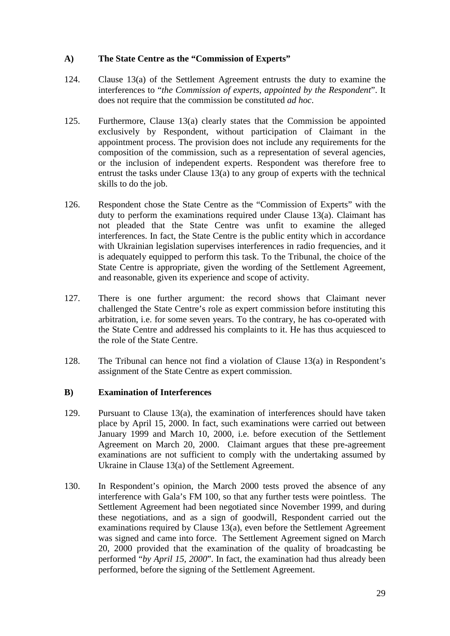## **A) The State Centre as the "Commission of Experts"**

- 124. Clause 13(a) of the Settlement Agreement entrusts the duty to examine the interferences to "*the Commission of experts, appointed by the Respondent*". It does not require that the commission be constituted *ad hoc*.
- 125. Furthermore, Clause 13(a) clearly states that the Commission be appointed exclusively by Respondent, without participation of Claimant in the appointment process. The provision does not include any requirements for the composition of the commission, such as a representation of several agencies, or the inclusion of independent experts. Respondent was therefore free to entrust the tasks under Clause 13(a) to any group of experts with the technical skills to do the job.
- 126. Respondent chose the State Centre as the "Commission of Experts" with the duty to perform the examinations required under Clause 13(a). Claimant has not pleaded that the State Centre was unfit to examine the alleged interferences. In fact, the State Centre is the public entity which in accordance with Ukrainian legislation supervises interferences in radio frequencies, and it is adequately equipped to perform this task. To the Tribunal, the choice of the State Centre is appropriate, given the wording of the Settlement Agreement, and reasonable, given its experience and scope of activity.
- 127. There is one further argument: the record shows that Claimant never challenged the State Centre's role as expert commission before instituting this arbitration, i.e. for some seven years. To the contrary, he has co-operated with the State Centre and addressed his complaints to it. He has thus acquiesced to the role of the State Centre.
- 128. The Tribunal can hence not find a violation of Clause 13(a) in Respondent's assignment of the State Centre as expert commission.

# **B) Examination of Interferences**

- 129. Pursuant to Clause 13(a), the examination of interferences should have taken place by April 15, 2000. In fact, such examinations were carried out between January 1999 and March 10, 2000, i.e. before execution of the Settlement Agreement on March 20, 2000. Claimant argues that these pre-agreement examinations are not sufficient to comply with the undertaking assumed by Ukraine in Clause 13(a) of the Settlement Agreement.
- 130. In Respondent's opinion, the March 2000 tests proved the absence of any interference with Gala's FM 100, so that any further tests were pointless. The Settlement Agreement had been negotiated since November 1999, and during these negotiations, and as a sign of goodwill, Respondent carried out the examinations required by Clause 13(a), even before the Settlement Agreement was signed and came into force. The Settlement Agreement signed on March 20, 2000 provided that the examination of the quality of broadcasting be performed "*by April 15, 2000*". In fact, the examination had thus already been performed, before the signing of the Settlement Agreement.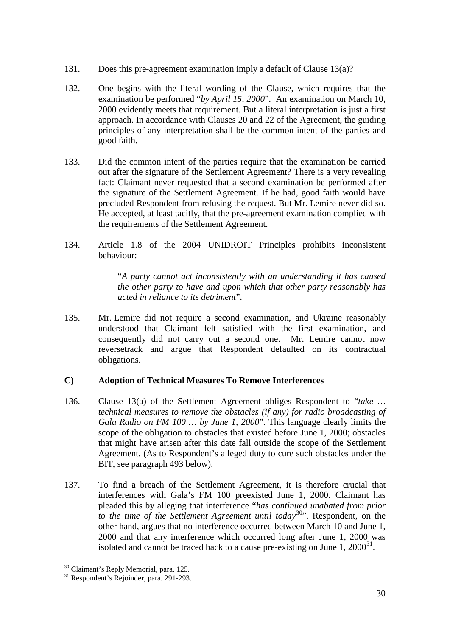- 131. Does this pre-agreement examination imply a default of Clause 13(a)?
- 132. One begins with the literal wording of the Clause, which requires that the examination be performed "*by April 15, 2000*". An examination on March 10, 2000 evidently meets that requirement. But a literal interpretation is just a first approach. In accordance with Clauses 20 and 22 of the Agreement, the guiding principles of any interpretation shall be the common intent of the parties and good faith.
- 133. Did the common intent of the parties require that the examination be carried out after the signature of the Settlement Agreement? There is a very revealing fact: Claimant never requested that a second examination be performed after the signature of the Settlement Agreement. If he had, good faith would have precluded Respondent from refusing the request. But Mr. Lemire never did so. He accepted, at least tacitly, that the pre-agreement examination complied with the requirements of the Settlement Agreement.
- 134. Article 1.8 of the 2004 UNIDROIT Principles prohibits inconsistent behaviour:

"*A party cannot act inconsistently with an understanding it has caused the other party to have and upon which that other party reasonably has acted in reliance to its detriment*".

135. Mr. Lemire did not require a second examination, and Ukraine reasonably understood that Claimant felt satisfied with the first examination, and consequently did not carry out a second one. Mr. Lemire cannot now reversetrack and argue that Respondent defaulted on its contractual obligations.

# **C) Adoption of Technical Measures To Remove Interferences**

- 136. Clause 13(a) of the Settlement Agreement obliges Respondent to "*take … technical measures to remove the obstacles (if any) for radio broadcasting of Gala Radio on FM 100 … by June 1, 2000*". This language clearly limits the scope of the obligation to obstacles that existed before June 1, 2000; obstacles that might have arisen after this date fall outside the scope of the Settlement Agreement. (As to Respondent's alleged duty to cure such obstacles under the BIT, see paragraph 493 below).
- 137. To find a breach of the Settlement Agreement, it is therefore crucial that interferences with Gala's FM 100 preexisted June 1, 2000. Claimant has pleaded this by alleging that interference "*has continued unabated from prior to the time of the Settlement Agreement until today*<sup>[30](#page-29-0)</sup>. Respondent, on the other hand, argues that no interference occurred between March 10 and June 1, 2000 and that any interference which occurred long after June 1, 2000 was isolated and cannot be traced back to a cause pre-existing on June 1,  $2000<sup>31</sup>$  $2000<sup>31</sup>$  $2000<sup>31</sup>$ .

<sup>&</sup>lt;sup>30</sup> Claimant's Reply Memorial, para. 125.

<span id="page-29-1"></span><span id="page-29-0"></span><sup>&</sup>lt;sup>31</sup> Respondent's Rejoinder, para. 291-293.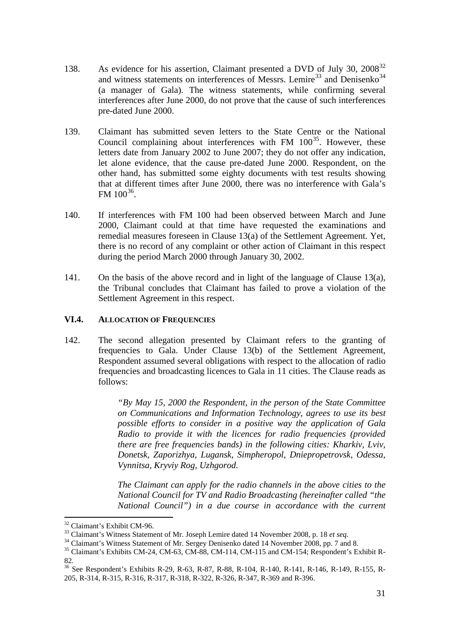- 138. As evidence for his assertion, Claimant presented a DVD of July 30, 2008<sup>[32](#page-30-0)</sup> and witness statements on interferences of Messrs. Lemire<sup>[33](#page-30-1)</sup> and Denisenko<sup>[34](#page-30-2)</sup> (a manager of Gala). The witness statements, while confirming several interferences after June 2000, do not prove that the cause of such interferences pre-dated June 2000.
- 139. Claimant has submitted seven letters to the State Centre or the National Council complaining about interferences with FM  $100^{35}$  $100^{35}$  $100^{35}$ . However, these letters date from January 2002 to June 2007; they do not offer any indication, let alone evidence, that the cause pre-dated June 2000. Respondent, on the other hand, has submitted some eighty documents with test results showing that at different times after June 2000, there was no interference with Gala's  $FM 100^{36}$  $FM 100^{36}$  $FM 100^{36}$ .
- 140. If interferences with FM 100 had been observed between March and June 2000, Claimant could at that time have requested the examinations and remedial measures foreseen in Clause 13(a) of the Settlement Agreement. Yet, there is no record of any complaint or other action of Claimant in this respect during the period March 2000 through January 30, 2002.
- 141. On the basis of the above record and in light of the language of Clause 13(a), the Tribunal concludes that Claimant has failed to prove a violation of the Settlement Agreement in this respect.

#### **VI.4. ALLOCATION OF FREQUENCIES**

142. The second allegation presented by Claimant refers to the granting of frequencies to Gala. Under Clause 13(b) of the Settlement Agreement, Respondent assumed several obligations with respect to the allocation of radio frequencies and broadcasting licences to Gala in 11 cities. The Clause reads as follows:

> *"By May 15, 2000 the Respondent, in the person of the State Committee on Communications and Information Technology, agrees to use its best possible efforts to consider in a positive way the application of Gala Radio to provide it with the licences for radio frequencies (provided there are free frequencies bands) in the following cities: Kharkiv, Lviv, Donetsk, Zaporizhya, Lugansk, Simpheropol, Dniepropetrovsk, Odessa, Vynnitsa, Kryviy Rog, Uzhgorod.*

> *The Claimant can apply for the radio channels in the above cities to the National Council for TV and Radio Broadcasting (hereinafter called "the National Council") in a due course in accordance with the current*

<span id="page-30-3"></span><span id="page-30-2"></span>

<span id="page-30-1"></span><span id="page-30-0"></span><sup>&</sup>lt;sup>32</sup> Claimant's Exhibit CM-96.<br><sup>33</sup> Claimant's Witness Statement of Mr. Joseph Lemire dated 14 November 2008, p. 18 *et seq*.<br><sup>34</sup> Claimant's Witness Statement of Mr. Sergey Denisenko dated 14 November 2008, pp. 7 and 8.<br> 82.

<span id="page-30-4"></span><sup>36</sup> See Respondent's Exhibits R-29, R-63, R-87, R-88, R-104, R-140, R-141, R-146, R-149, R-155, R-205, R-314, R-315, R-316, R-317, R-318, R-322, R-326, R-347, R-369 and R-396.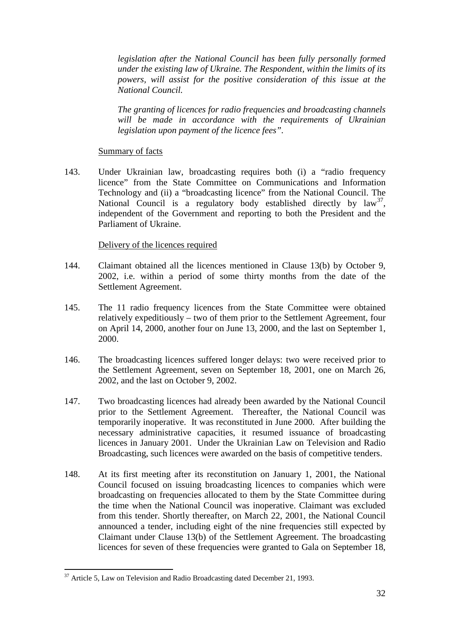*legislation after the National Council has been fully personally formed under the existing law of Ukraine. The Respondent, within the limits of its powers, will assist for the positive consideration of this issue at the National Council.*

*The granting of licences for radio frequencies and broadcasting channels will be made in accordance with the requirements of Ukrainian legislation upon payment of the licence fees".*

#### Summary of facts

143. Under Ukrainian law, broadcasting requires both (i) a "radio frequency licence" from the State Committee on Communications and Information Technology and (ii) a "broadcasting licence" from the National Council. The National Council is a regulatory body established directly by  $law^{37}$  $law^{37}$  $law^{37}$ , independent of the Government and reporting to both the President and the Parliament of Ukraine.

### Delivery of the licences required

- 144. Claimant obtained all the licences mentioned in Clause 13(b) by October 9, 2002, i.e. within a period of some thirty months from the date of the Settlement Agreement.
- 145. The 11 radio frequency licences from the State Committee were obtained relatively expeditiously – two of them prior to the Settlement Agreement, four on April 14, 2000, another four on June 13, 2000, and the last on September 1, 2000.
- 146. The broadcasting licences suffered longer delays: two were received prior to the Settlement Agreement, seven on September 18, 2001, one on March 26, 2002, and the last on October 9, 2002.
- 147. Two broadcasting licences had already been awarded by the National Council prior to the Settlement Agreement. Thereafter, the National Council was temporarily inoperative. It was reconstituted in June 2000. After building the necessary administrative capacities, it resumed issuance of broadcasting licences in January 2001. Under the Ukrainian Law on Television and Radio Broadcasting, such licences were awarded on the basis of competitive tenders.
- 148. At its first meeting after its reconstitution on January 1, 2001, the National Council focused on issuing broadcasting licences to companies which were broadcasting on frequencies allocated to them by the State Committee during the time when the National Council was inoperative. Claimant was excluded from this tender. Shortly thereafter, on March 22, 2001, the National Council announced a tender, including eight of the nine frequencies still expected by Claimant under Clause 13(b) of the Settlement Agreement. The broadcasting licences for seven of these frequencies were granted to Gala on September 18,

<span id="page-31-0"></span> $37$  Article 5, Law on Television and Radio Broadcasting dated December 21, 1993.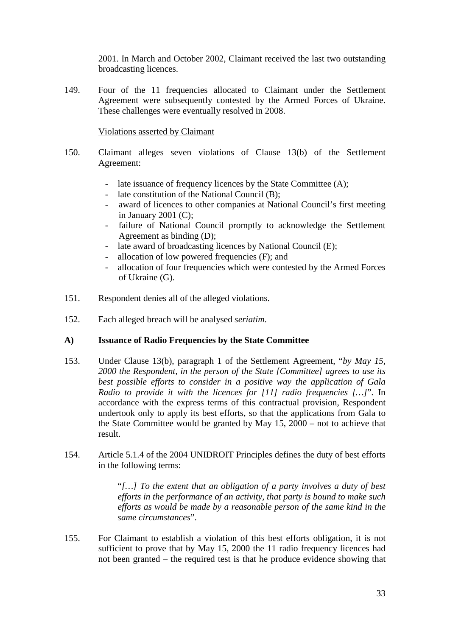2001. In March and October 2002, Claimant received the last two outstanding broadcasting licences.

149. Four of the 11 frequencies allocated to Claimant under the Settlement Agreement were subsequently contested by the Armed Forces of Ukraine. These challenges were eventually resolved in 2008.

## Violations asserted by Claimant

- 150. Claimant alleges seven violations of Clause 13(b) of the Settlement Agreement:
	- late issuance of frequency licences by the State Committee (A);
	- late constitution of the National Council (B);
	- award of licences to other companies at National Council's first meeting in January 2001 (C);
	- failure of National Council promptly to acknowledge the Settlement Agreement as binding (D);
	- late award of broadcasting licences by National Council (E);
	- allocation of low powered frequencies (F); and
	- allocation of four frequencies which were contested by the Armed Forces of Ukraine (G).
- 151. Respondent denies all of the alleged violations.
- 152. Each alleged breach will be analysed *seriatim*.

# **A) Issuance of Radio Frequencies by the State Committee**

- 153. Under Clause 13(b), paragraph 1 of the Settlement Agreement, "*by May 15, 2000 the Respondent, in the person of the State [Committee] agrees to use its best possible efforts to consider in a positive way the application of Gala Radio to provide it with the licences for [11] radio frequencies […]*". In accordance with the express terms of this contractual provision, Respondent undertook only to apply its best efforts, so that the applications from Gala to the State Committee would be granted by May 15, 2000 – not to achieve that result.
- 154. Article 5.1.4 of the 2004 UNIDROIT Principles defines the duty of best efforts in the following terms:

"*[…] To the extent that an obligation of a party involves a duty of best efforts in the performance of an activity, that party is bound to make such efforts as would be made by a reasonable person of the same kind in the same circumstances*".

155. For Claimant to establish a violation of this best efforts obligation, it is not sufficient to prove that by May 15, 2000 the 11 radio frequency licences had not been granted – the required test is that he produce evidence showing that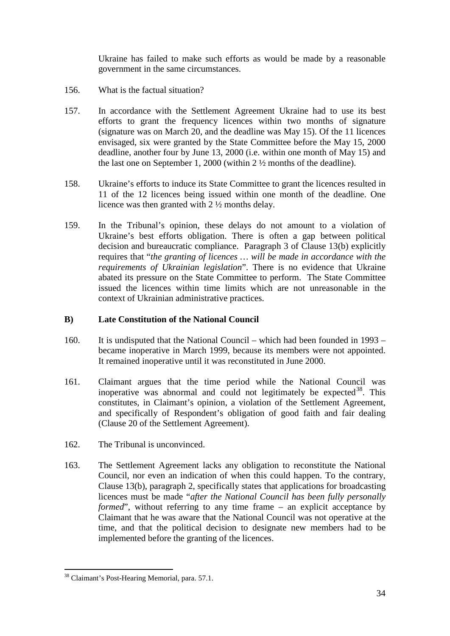Ukraine has failed to make such efforts as would be made by a reasonable government in the same circumstances.

- 156. What is the factual situation?
- 157. In accordance with the Settlement Agreement Ukraine had to use its best efforts to grant the frequency licences within two months of signature (signature was on March 20, and the deadline was May 15). Of the 11 licences envisaged, six were granted by the State Committee before the May 15, 2000 deadline, another four by June 13, 2000 (i.e. within one month of May 15) and the last one on September 1, 2000 (within 2 ½ months of the deadline).
- 158. Ukraine's efforts to induce its State Committee to grant the licences resulted in 11 of the 12 licences being issued within one month of the deadline. One licence was then granted with 2 ½ months delay.
- 159. In the Tribunal's opinion, these delays do not amount to a violation of Ukraine's best efforts obligation. There is often a gap between political decision and bureaucratic compliance. Paragraph 3 of Clause 13(b) explicitly requires that "*the granting of licences … will be made in accordance with the requirements of Ukrainian legislation*". There is no evidence that Ukraine abated its pressure on the State Committee to perform. The State Committee issued the licences within time limits which are not unreasonable in the context of Ukrainian administrative practices.

#### **B) Late Constitution of the National Council**

- 160. It is undisputed that the National Council which had been founded in 1993 became inoperative in March 1999, because its members were not appointed. It remained inoperative until it was reconstituted in June 2000.
- 161. Claimant argues that the time period while the National Council was inoperative was abnormal and could not legitimately be expected  $38$ . This constitutes, in Claimant's opinion, a violation of the Settlement Agreement, and specifically of Respondent's obligation of good faith and fair dealing (Clause 20 of the Settlement Agreement).
- 162. The Tribunal is unconvinced.
- 163. The Settlement Agreement lacks any obligation to reconstitute the National Council, nor even an indication of when this could happen. To the contrary, Clause 13(b), paragraph 2, specifically states that applications for broadcasting licences must be made "*after the National Council has been fully personally formed*", without referring to any time frame – an explicit acceptance by Claimant that he was aware that the National Council was not operative at the time, and that the political decision to designate new members had to be implemented before the granting of the licences.

<span id="page-33-0"></span><sup>&</sup>lt;sup>38</sup> Claimant's Post-Hearing Memorial, para. 57.1.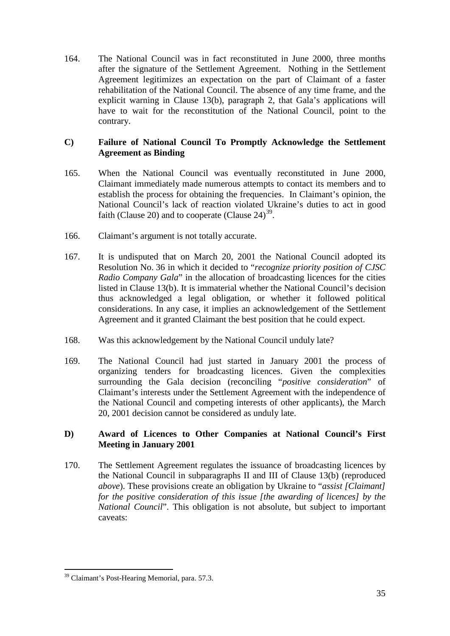164. The National Council was in fact reconstituted in June 2000, three months after the signature of the Settlement Agreement. Nothing in the Settlement Agreement legitimizes an expectation on the part of Claimant of a faster rehabilitation of the National Council. The absence of any time frame, and the explicit warning in Clause 13(b), paragraph 2, that Gala's applications will have to wait for the reconstitution of the National Council, point to the contrary.

# **C) Failure of National Council To Promptly Acknowledge the Settlement Agreement as Binding**

- 165. When the National Council was eventually reconstituted in June 2000, Claimant immediately made numerous attempts to contact its members and to establish the process for obtaining the frequencies. In Claimant's opinion, the National Council's lack of reaction violated Ukraine's duties to act in good faith (Clause 20) and to cooperate (Clause  $24^{39}$  $24^{39}$  $24^{39}$ .
- 166. Claimant's argument is not totally accurate.
- 167. It is undisputed that on March 20, 2001 the National Council adopted its Resolution No. 36 in which it decided to "*recognize priority position of CJSC Radio Company Gala*" in the allocation of broadcasting licences for the cities listed in Clause 13(b). It is immaterial whether the National Council's decision thus acknowledged a legal obligation, or whether it followed political considerations. In any case, it implies an acknowledgement of the Settlement Agreement and it granted Claimant the best position that he could expect.
- 168. Was this acknowledgement by the National Council unduly late?
- 169. The National Council had just started in January 2001 the process of organizing tenders for broadcasting licences. Given the complexities surrounding the Gala decision (reconciling "*positive consideration*" of Claimant's interests under the Settlement Agreement with the independence of the National Council and competing interests of other applicants), the March 20, 2001 decision cannot be considered as unduly late.

### **D) Award of Licences to Other Companies at National Council's First Meeting in January 2001**

170. The Settlement Agreement regulates the issuance of broadcasting licences by the National Council in subparagraphs II and III of Clause 13(b) (reproduced *above*). These provisions create an obligation by Ukraine to "*assist [Claimant] for the positive consideration of this issue [the awarding of licences] by the National Council*". This obligation is not absolute, but subject to important caveats:

<span id="page-34-0"></span><sup>&</sup>lt;sup>39</sup> Claimant's Post-Hearing Memorial, para. 57.3.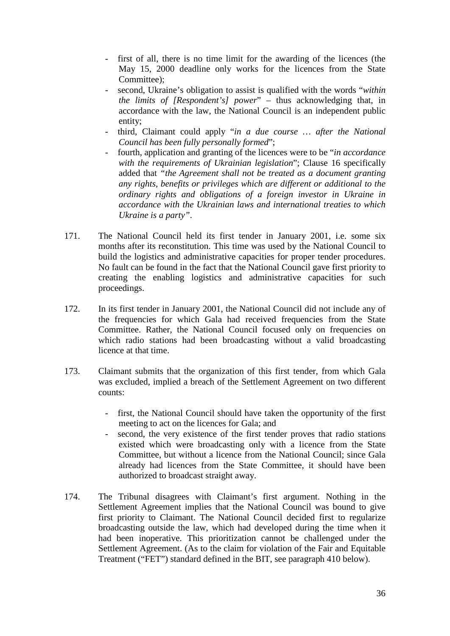- first of all, there is no time limit for the awarding of the licences (the May 15, 2000 deadline only works for the licences from the State Committee);
- second, Ukraine's obligation to assist is qualified with the words "*within the limits of [Respondent's] power*" – thus acknowledging that, in accordance with the law, the National Council is an independent public entity;
- third, Claimant could apply "*in a due course … after the National Council has been fully personally formed*";
- fourth, application and granting of the licences were to be "*in accordance with the requirements of Ukrainian legislation*"; Clause 16 specifically added that *"the Agreement shall not be treated as a document granting any rights, benefits or privileges which are different or additional to the ordinary rights and obligations of a foreign investor in Ukraine in accordance with the Ukrainian laws and international treaties to which Ukraine is a party"*.
- 171. The National Council held its first tender in January 2001, i.e. some six months after its reconstitution. This time was used by the National Council to build the logistics and administrative capacities for proper tender procedures. No fault can be found in the fact that the National Council gave first priority to creating the enabling logistics and administrative capacities for such proceedings.
- 172. In its first tender in January 2001, the National Council did not include any of the frequencies for which Gala had received frequencies from the State Committee. Rather, the National Council focused only on frequencies on which radio stations had been broadcasting without a valid broadcasting licence at that time.
- 173. Claimant submits that the organization of this first tender, from which Gala was excluded, implied a breach of the Settlement Agreement on two different counts:
	- first, the National Council should have taken the opportunity of the first meeting to act on the licences for Gala; and
	- second, the very existence of the first tender proves that radio stations existed which were broadcasting only with a licence from the State Committee, but without a licence from the National Council; since Gala already had licences from the State Committee, it should have been authorized to broadcast straight away.
- 174. The Tribunal disagrees with Claimant's first argument. Nothing in the Settlement Agreement implies that the National Council was bound to give first priority to Claimant. The National Council decided first to regularize broadcasting outside the law, which had developed during the time when it had been inoperative. This prioritization cannot be challenged under the Settlement Agreement. (As to the claim for violation of the Fair and Equitable Treatment ("FET") standard defined in the BIT, see paragraph 410 below).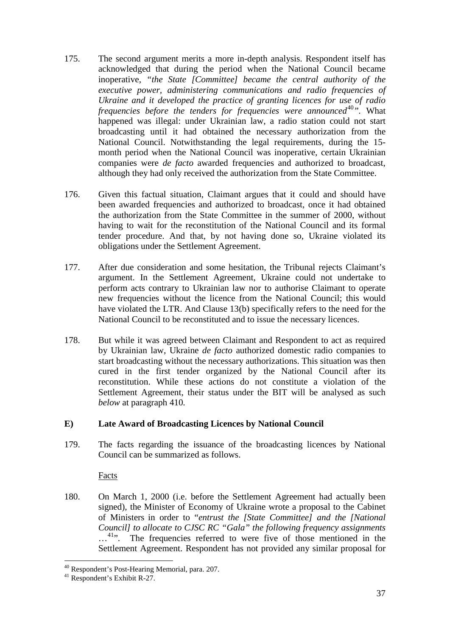- 175. The second argument merits a more in-depth analysis. Respondent itself has acknowledged that during the period when the National Council became inoperative, *"the State [Committee] became the central authority of the executive power, administering communications and radio frequencies of Ukraine and it developed the practice of granting licences for use of radio frequencies before the tenders for frequencies were announced*<sup>[40](#page-36-0)</sup><sup>"</sup>. What happened was illegal: under Ukrainian law, a radio station could not start broadcasting until it had obtained the necessary authorization from the National Council. Notwithstanding the legal requirements, during the 15 month period when the National Council was inoperative, certain Ukrainian companies were *de facto* awarded frequencies and authorized to broadcast, although they had only received the authorization from the State Committee.
- 176. Given this factual situation, Claimant argues that it could and should have been awarded frequencies and authorized to broadcast, once it had obtained the authorization from the State Committee in the summer of 2000, without having to wait for the reconstitution of the National Council and its formal tender procedure. And that, by not having done so, Ukraine violated its obligations under the Settlement Agreement.
- 177. After due consideration and some hesitation, the Tribunal rejects Claimant's argument. In the Settlement Agreement, Ukraine could not undertake to perform acts contrary to Ukrainian law nor to authorise Claimant to operate new frequencies without the licence from the National Council; this would have violated the LTR. And Clause 13(b) specifically refers to the need for the National Council to be reconstituted and to issue the necessary licences.
- 178. But while it was agreed between Claimant and Respondent to act as required by Ukrainian law, Ukraine *de facto* authorized domestic radio companies to start broadcasting without the necessary authorizations. This situation was then cured in the first tender organized by the National Council after its reconstitution. While these actions do not constitute a violation of the Settlement Agreement, their status under the BIT will be analysed as such *below* at paragraph 410*.*

# **E) Late Award of Broadcasting Licences by National Council**

179. The facts regarding the issuance of the broadcasting licences by National Council can be summarized as follows.

Facts

180. On March 1, 2000 (i.e. before the Settlement Agreement had actually been signed), the Minister of Economy of Ukraine wrote a proposal to the Cabinet of Ministers in order to "*entrust the [State Committee] and the [National Council] to allocate to CJSC RC "Gala" the following frequency assignments* ...<sup>[41](#page-36-1)</sup>". The frequencies referred to were five of those mentioned in the Settlement Agreement. Respondent has not provided any similar proposal for

 <sup>40</sup> Respondent's Post-Hearing Memorial, para. 207.

<span id="page-36-1"></span><span id="page-36-0"></span><sup>41</sup> Respondent's Exhibit R-27.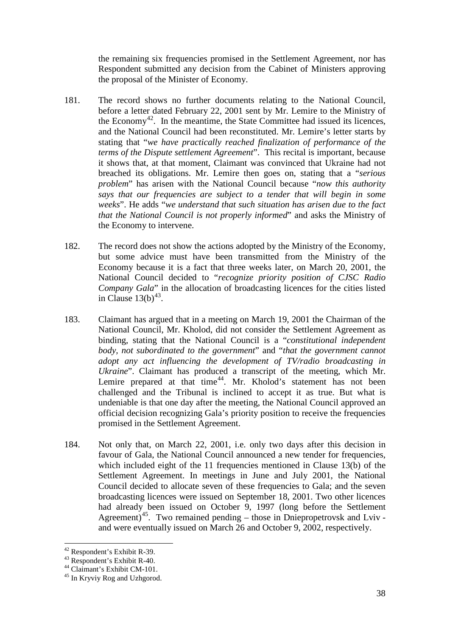the remaining six frequencies promised in the Settlement Agreement, nor has Respondent submitted any decision from the Cabinet of Ministers approving the proposal of the Minister of Economy.

- 181. The record shows no further documents relating to the National Council, before a letter dated February 22, 2001 sent by Mr. Lemire to the Ministry of the Economy<sup>42</sup>. In the meantime, the State Committee had issued its licences, and the National Council had been reconstituted. Mr. Lemire's letter starts by stating that "*we have practically reached finalization of performance of the terms of the Dispute settlement Agreement*". This recital is important, because it shows that, at that moment, Claimant was convinced that Ukraine had not breached its obligations. Mr. Lemire then goes on, stating that a "*serious problem*" has arisen with the National Council because "*now this authority says that our frequencies are subject to a tender that will begin in some weeks*". He adds "*we understand that such situation has arisen due to the fact that the National Council is not properly informed*" and asks the Ministry of the Economy to intervene.
- 182. The record does not show the actions adopted by the Ministry of the Economy, but some advice must have been transmitted from the Ministry of the Economy because it is a fact that three weeks later, on March 20, 2001, the National Council decided to "*recognize priority position of CJSC Radio Company Gala*" in the allocation of broadcasting licences for the cities listed in Clause  $13(b)^{43}$ .
- 183. Claimant has argued that in a meeting on March 19, 2001 the Chairman of the National Council, Mr. Kholod, did not consider the Settlement Agreement as binding, stating that the National Council is a "*constitutional independent body, not subordinated to the government*" and "*that the government cannot adopt any act influencing the development of TV/radio broadcasting in Ukraine*". Claimant has produced a transcript of the meeting, which Mr. Lemire prepared at that time<sup>[44](#page-37-2)</sup>. Mr. Kholod's statement has not been challenged and the Tribunal is inclined to accept it as true. But what is undeniable is that one day after the meeting, the National Council approved an official decision recognizing Gala's priority position to receive the frequencies promised in the Settlement Agreement.
- 184. Not only that, on March 22, 2001, i.e. only two days after this decision in favour of Gala, the National Council announced a new tender for frequencies, which included eight of the 11 frequencies mentioned in Clause 13(b) of the Settlement Agreement. In meetings in June and July 2001, the National Council decided to allocate seven of these frequencies to Gala; and the seven broadcasting licences were issued on September 18, 2001. Two other licences had already been issued on October 9, 1997 (long before the Settlement Agreement)<sup>[45](#page-37-3)</sup>. Two remained pending – those in Dniepropetrovsk and Lviv and were eventually issued on March 26 and October 9, 2002, respectively.

<span id="page-37-0"></span><sup>&</sup>lt;sup>42</sup> Respondent's Exhibit R-39.<br><sup>43</sup> Respondent's Exhibit R-40.

<span id="page-37-2"></span><span id="page-37-1"></span><sup>&</sup>lt;sup>44</sup> Claimant's Exhibit CM-101.<br><sup>45</sup> In Kryviy Rog and Uzhgorod.

<span id="page-37-3"></span>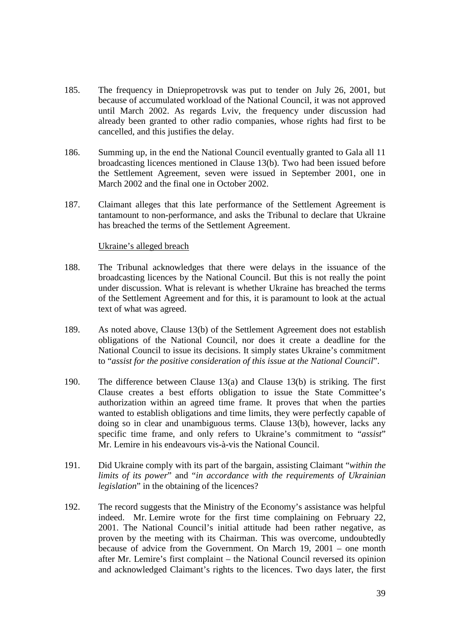- 185. The frequency in Dniepropetrovsk was put to tender on July 26, 2001, but because of accumulated workload of the National Council, it was not approved until March 2002. As regards Lviv, the frequency under discussion had already been granted to other radio companies, whose rights had first to be cancelled, and this justifies the delay.
- 186. Summing up, in the end the National Council eventually granted to Gala all 11 broadcasting licences mentioned in Clause 13(b). Two had been issued before the Settlement Agreement, seven were issued in September 2001, one in March 2002 and the final one in October 2002.
- 187. Claimant alleges that this late performance of the Settlement Agreement is tantamount to non-performance, and asks the Tribunal to declare that Ukraine has breached the terms of the Settlement Agreement.

#### Ukraine's alleged breach

- 188. The Tribunal acknowledges that there were delays in the issuance of the broadcasting licences by the National Council. But this is not really the point under discussion. What is relevant is whether Ukraine has breached the terms of the Settlement Agreement and for this, it is paramount to look at the actual text of what was agreed.
- 189. As noted above, Clause 13(b) of the Settlement Agreement does not establish obligations of the National Council, nor does it create a deadline for the National Council to issue its decisions. It simply states Ukraine's commitment to "*assist for the positive consideration of this issue at the National Council*".
- 190. The difference between Clause 13(a) and Clause 13(b) is striking. The first Clause creates a best efforts obligation to issue the State Committee's authorization within an agreed time frame. It proves that when the parties wanted to establish obligations and time limits, they were perfectly capable of doing so in clear and unambiguous terms. Clause 13(b), however, lacks any specific time frame, and only refers to Ukraine's commitment to "*assist*" Mr. Lemire in his endeavours vis-à-vis the National Council.
- 191. Did Ukraine comply with its part of the bargain, assisting Claimant "*within the limits of its power*" and "*in accordance with the requirements of Ukrainian legislation*" in the obtaining of the licences?
- 192. The record suggests that the Ministry of the Economy's assistance was helpful indeed. Mr. Lemire wrote for the first time complaining on February 22, 2001. The National Council's initial attitude had been rather negative, as proven by the meeting with its Chairman. This was overcome, undoubtedly because of advice from the Government. On March 19, 2001 – one month after Mr. Lemire's first complaint – the National Council reversed its opinion and acknowledged Claimant's rights to the licences. Two days later, the first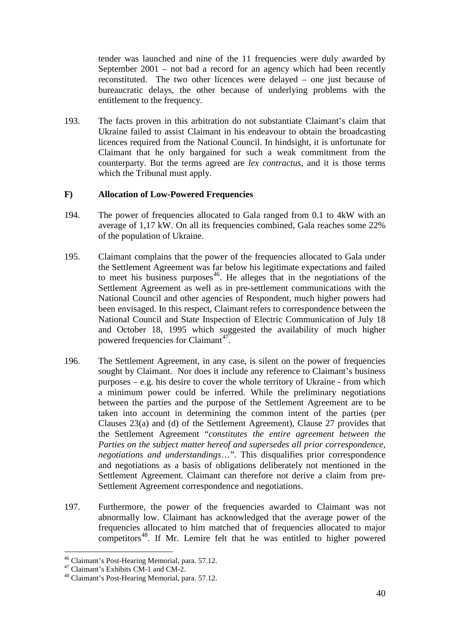tender was launched and nine of the 11 frequencies were duly awarded by September 2001 – not bad a record for an agency which had been recently reconstituted. The two other licences were delayed – one just because of bureaucratic delays, the other because of underlying problems with the entitlement to the frequency.

193. The facts proven in this arbitration do not substantiate Claimant's claim that Ukraine failed to assist Claimant in his endeavour to obtain the broadcasting licences required from the National Council. In hindsight, it is unfortunate for Claimant that he only bargained for such a weak commitment from the counterparty. But the terms agreed are *lex contractus*, and it is those terms which the Tribunal must apply.

## **F) Allocation of Low-Powered Frequencies**

- 194. The power of frequencies allocated to Gala ranged from 0.1 to 4kW with an average of 1,17 kW. On all its frequencies combined, Gala reaches some 22% of the population of Ukraine.
- 195. Claimant complains that the power of the frequencies allocated to Gala under the Settlement Agreement was far below his legitimate expectations and failed to meet his business purposes<sup>46</sup>. He alleges that in the negotiations of the Settlement Agreement as well as in pre-settlement communications with the National Council and other agencies of Respondent, much higher powers had been envisaged. In this respect, Claimant refers to correspondence between the National Council and State Inspection of Electric Communication of July 18 and October 18, 1995 which suggested the availability of much higher powered frequencies for Claimant<sup>47</sup>.
- 196. The Settlement Agreement, in any case, is silent on the power of frequencies sought by Claimant. Nor does it include any reference to Claimant's business purposes – e.g. his desire to cover the whole territory of Ukraine - from which a minimum power could be inferred. While the preliminary negotiations between the parties and the purpose of the Settlement Agreement are to be taken into account in determining the common intent of the parties (per Clauses 23(a) and (d) of the Settlement Agreement), Clause 27 provides that the Settlement Agreement "*constitutes the entire agreement between the Parties on the subject matter hereof and supersedes all prior correspondence, negotiations and understandings*…". This disqualifies prior correspondence and negotiations as a basis of obligations deliberately not mentioned in the Settlement Agreement. Claimant can therefore not derive a claim from pre-Settlement Agreement correspondence and negotiations.
- 197. Furthermore, the power of the frequencies awarded to Claimant was not abnormally low. Claimant has acknowledged that the average power of the frequencies allocated to him matched that of frequencies allocated to major competitors<sup>[48](#page-39-2)</sup>. If Mr. Lemire felt that he was entitled to higher powered

<span id="page-39-0"></span> $^{46}$  Claimant's Post-Hearing Memorial, para. 57.12.<br> $^{47}$  Claimant's Exhibits CM-1 and CM-2.

<span id="page-39-2"></span><span id="page-39-1"></span><sup>&</sup>lt;sup>48</sup> Claimant's Post-Hearing Memorial, para. 57.12.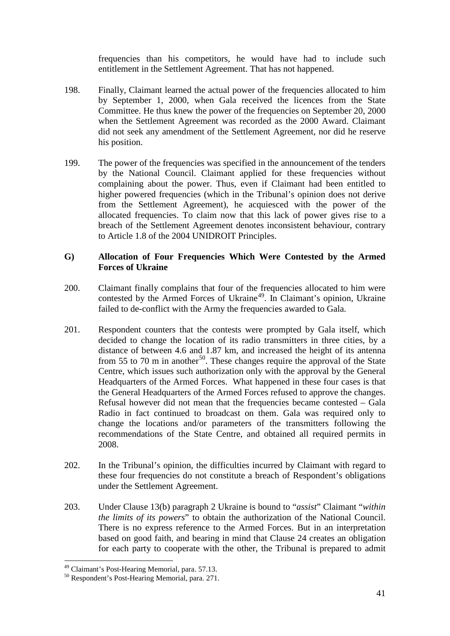frequencies than his competitors, he would have had to include such entitlement in the Settlement Agreement. That has not happened.

- 198. Finally, Claimant learned the actual power of the frequencies allocated to him by September 1, 2000, when Gala received the licences from the State Committee. He thus knew the power of the frequencies on September 20, 2000 when the Settlement Agreement was recorded as the 2000 Award. Claimant did not seek any amendment of the Settlement Agreement, nor did he reserve his position.
- 199. The power of the frequencies was specified in the announcement of the tenders by the National Council. Claimant applied for these frequencies without complaining about the power. Thus, even if Claimant had been entitled to higher powered frequencies (which in the Tribunal's opinion does not derive from the Settlement Agreement), he acquiesced with the power of the allocated frequencies. To claim now that this lack of power gives rise to a breach of the Settlement Agreement denotes inconsistent behaviour, contrary to Article 1.8 of the 2004 UNIDROIT Principles.

## **G) Allocation of Four Frequencies Which Were Contested by the Armed Forces of Ukraine**

- 200. Claimant finally complains that four of the frequencies allocated to him were contested by the Armed Forces of Ukraine<sup>49</sup>. In Claimant's opinion, Ukraine failed to de-conflict with the Army the frequencies awarded to Gala.
- 201. Respondent counters that the contests were prompted by Gala itself, which decided to change the location of its radio transmitters in three cities, by a distance of between 4.6 and 1.87 km, and increased the height of its antenna from 55 to 70 m in another<sup>50</sup>. These changes require the approval of the State Centre, which issues such authorization only with the approval by the General Headquarters of the Armed Forces. What happened in these four cases is that the General Headquarters of the Armed Forces refused to approve the changes. Refusal however did not mean that the frequencies became contested – Gala Radio in fact continued to broadcast on them. Gala was required only to change the locations and/or parameters of the transmitters following the recommendations of the State Centre, and obtained all required permits in 2008.
- 202. In the Tribunal's opinion, the difficulties incurred by Claimant with regard to these four frequencies do not constitute a breach of Respondent's obligations under the Settlement Agreement.
- 203. Under Clause 13(b) paragraph 2 Ukraine is bound to "*assist*" Claimant "*within the limits of its powers*" to obtain the authorization of the National Council. There is no express reference to the Armed Forces. But in an interpretation based on good faith, and bearing in mind that Clause 24 creates an obligation for each party to cooperate with the other, the Tribunal is prepared to admit

<span id="page-40-1"></span><span id="page-40-0"></span><sup>&</sup>lt;sup>49</sup> Claimant's Post-Hearing Memorial, para. 57.13.<br><sup>50</sup> Respondent's Post-Hearing Memorial, para. 271.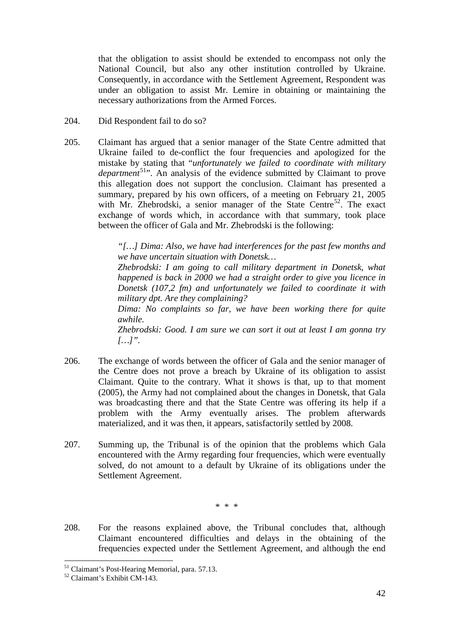that the obligation to assist should be extended to encompass not only the National Council, but also any other institution controlled by Ukraine. Consequently, in accordance with the Settlement Agreement, Respondent was under an obligation to assist Mr. Lemire in obtaining or maintaining the necessary authorizations from the Armed Forces.

- 204. Did Respondent fail to do so?
- 205. Claimant has argued that a senior manager of the State Centre admitted that Ukraine failed to de-conflict the four frequencies and apologized for the mistake by stating that "*unfortunately we failed to coordinate with military*  department<sup>51</sup>. An analysis of the evidence submitted by Claimant to prove this allegation does not support the conclusion. Claimant has presented a summary, prepared by his own officers, of a meeting on February 21, 2005 with Mr. Zhebrodski, a senior manager of the State Centre<sup>[52](#page-41-1)</sup>. The exact exchange of words which, in accordance with that summary, took place between the officer of Gala and Mr. Zhebrodski is the following:

*"[…] Dima: Also, we have had interferences for the past few months and we have uncertain situation with Donetsk…*

*Zhebrodski: I am going to call military department in Donetsk, what happened is back in 2000 we had a straight order to give you licence in Donetsk (107,2 fm) and unfortunately we failed to coordinate it with military dpt. Are they complaining?*

*Dima: No complaints so far, we have been working there for quite awhile.*

*Zhebrodski: Good. I am sure we can sort it out at least I am gonna try […]".*

- 206. The exchange of words between the officer of Gala and the senior manager of the Centre does not prove a breach by Ukraine of its obligation to assist Claimant. Quite to the contrary. What it shows is that, up to that moment (2005), the Army had not complained about the changes in Donetsk, that Gala was broadcasting there and that the State Centre was offering its help if a problem with the Army eventually arises. The problem afterwards materialized, and it was then, it appears, satisfactorily settled by 2008.
- 207. Summing up, the Tribunal is of the opinion that the problems which Gala encountered with the Army regarding four frequencies, which were eventually solved, do not amount to a default by Ukraine of its obligations under the Settlement Agreement.

\* \* \*

208. For the reasons explained above, the Tribunal concludes that, although Claimant encountered difficulties and delays in the obtaining of the frequencies expected under the Settlement Agreement, and although the end

<span id="page-41-1"></span><span id="page-41-0"></span><sup>&</sup>lt;sup>51</sup> Claimant's Post-Hearing Memorial, para. 57.13.<br><sup>52</sup> Claimant's Exhibit CM-143.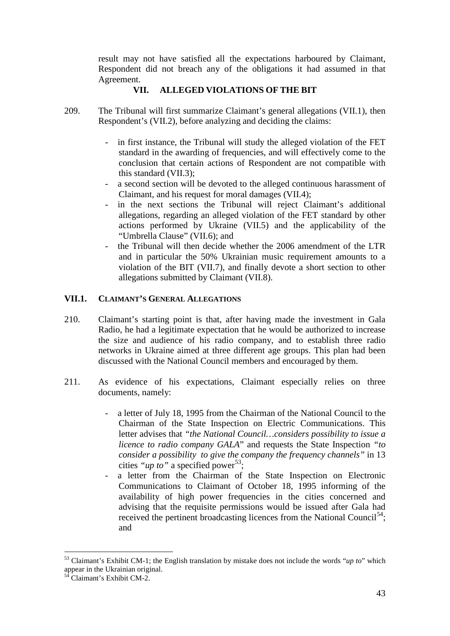result may not have satisfied all the expectations harboured by Claimant, Respondent did not breach any of the obligations it had assumed in that Agreement.

## **VII. ALLEGED VIOLATIONS OF THE BIT**

- 209. The Tribunal will first summarize Claimant's general allegations (VII.1), then Respondent's (VII.2), before analyzing and deciding the claims:
	- in first instance, the Tribunal will study the alleged violation of the FET standard in the awarding of frequencies, and will effectively come to the conclusion that certain actions of Respondent are not compatible with this standard (VII.3);
	- a second section will be devoted to the alleged continuous harassment of Claimant, and his request for moral damages (VII.4);
	- in the next sections the Tribunal will reject Claimant's additional allegations, regarding an alleged violation of the FET standard by other actions performed by Ukraine (VII.5) and the applicability of the "Umbrella Clause" (VII.6); and
	- the Tribunal will then decide whether the 2006 amendment of the LTR and in particular the 50% Ukrainian music requirement amounts to a violation of the BIT (VII.7), and finally devote a short section to other allegations submitted by Claimant (VII.8).

## **VII.1. CLAIMANT'S GENERAL ALLEGATIONS**

- 210. Claimant's starting point is that, after having made the investment in Gala Radio, he had a legitimate expectation that he would be authorized to increase the size and audience of his radio company, and to establish three radio networks in Ukraine aimed at three different age groups. This plan had been discussed with the National Council members and encouraged by them.
- 211. As evidence of his expectations, Claimant especially relies on three documents, namely:
	- a letter of July 18, 1995 from the Chairman of the National Council to the Chairman of the State Inspection on Electric Communications. This letter advises that *"the National Council…considers possibility to issue a licence to radio company GALA*" and requests the State Inspection *"to consider a possibility to give the company the frequency channels"* in 13 cities "*up to*" a specified power<sup>[53](#page-42-0)</sup>;
	- a letter from the Chairman of the State Inspection on Electronic Communications to Claimant of October 18, 1995 informing of the availability of high power frequencies in the cities concerned and advising that the requisite permissions would be issued after Gala had received the pertinent broadcasting licences from the National Council<sup>[54](#page-42-1)</sup>; and

<span id="page-42-0"></span> <sup>53</sup> Claimant's Exhibit CM-1; the English translation by mistake does not include the words "*up to*" which  $\frac{1}{2}$ appear in the Ukrainian original.

<span id="page-42-1"></span>Claimant's Exhibit CM-2.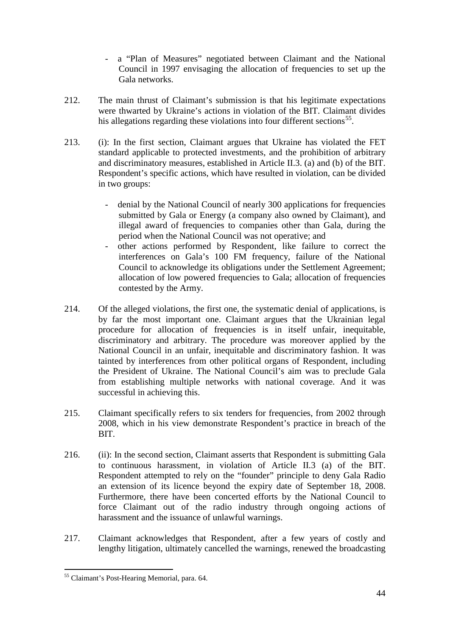- a "Plan of Measures" negotiated between Claimant and the National Council in 1997 envisaging the allocation of frequencies to set up the Gala networks.
- 212. The main thrust of Claimant's submission is that his legitimate expectations were thwarted by Ukraine's actions in violation of the BIT. Claimant divides his allegations regarding these violations into four different sections<sup>[55](#page-43-0)</sup>.
- 213. (i): In the first section, Claimant argues that Ukraine has violated the FET standard applicable to protected investments, and the prohibition of arbitrary and discriminatory measures, established in Article II.3. (a) and (b) of the BIT. Respondent's specific actions, which have resulted in violation, can be divided in two groups:
	- denial by the National Council of nearly 300 applications for frequencies submitted by Gala or Energy (a company also owned by Claimant), and illegal award of frequencies to companies other than Gala, during the period when the National Council was not operative; and
	- other actions performed by Respondent, like failure to correct the interferences on Gala's 100 FM frequency, failure of the National Council to acknowledge its obligations under the Settlement Agreement; allocation of low powered frequencies to Gala; allocation of frequencies contested by the Army.
- 214. Of the alleged violations, the first one, the systematic denial of applications, is by far the most important one. Claimant argues that the Ukrainian legal procedure for allocation of frequencies is in itself unfair, inequitable, discriminatory and arbitrary. The procedure was moreover applied by the National Council in an unfair, inequitable and discriminatory fashion. It was tainted by interferences from other political organs of Respondent, including the President of Ukraine. The National Council's aim was to preclude Gala from establishing multiple networks with national coverage. And it was successful in achieving this.
- 215. Claimant specifically refers to six tenders for frequencies, from 2002 through 2008, which in his view demonstrate Respondent's practice in breach of the BIT.
- 216. (ii): In the second section, Claimant asserts that Respondent is submitting Gala to continuous harassment, in violation of Article II.3 (a) of the BIT. Respondent attempted to rely on the "founder" principle to deny Gala Radio an extension of its licence beyond the expiry date of September 18, 2008. Furthermore, there have been concerted efforts by the National Council to force Claimant out of the radio industry through ongoing actions of harassment and the issuance of unlawful warnings.
- 217. Claimant acknowledges that Respondent, after a few years of costly and lengthy litigation, ultimately cancelled the warnings, renewed the broadcasting

<span id="page-43-0"></span> <sup>55</sup> Claimant's Post-Hearing Memorial, para. 64.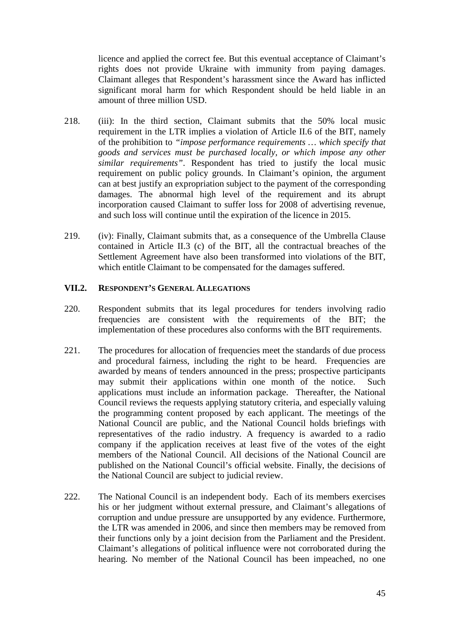licence and applied the correct fee. But this eventual acceptance of Claimant's rights does not provide Ukraine with immunity from paying damages. Claimant alleges that Respondent's harassment since the Award has inflicted significant moral harm for which Respondent should be held liable in an amount of three million USD.

- 218. (iii): In the third section, Claimant submits that the 50% local music requirement in the LTR implies a violation of Article II.6 of the BIT, namely of the prohibition to *"impose performance requirements … which specify that goods and services must be purchased locally, or which impose any other similar requirements"*. Respondent has tried to justify the local music requirement on public policy grounds. In Claimant's opinion, the argument can at best justify an expropriation subject to the payment of the corresponding damages. The abnormal high level of the requirement and its abrupt incorporation caused Claimant to suffer loss for 2008 of advertising revenue, and such loss will continue until the expiration of the licence in 2015.
- 219. (iv): Finally, Claimant submits that, as a consequence of the Umbrella Clause contained in Article II.3 (c) of the BIT, all the contractual breaches of the Settlement Agreement have also been transformed into violations of the BIT, which entitle Claimant to be compensated for the damages suffered.

## **VII.2. RESPONDENT'S GENERAL ALLEGATIONS**

- 220. Respondent submits that its legal procedures for tenders involving radio frequencies are consistent with the requirements of the BIT; the implementation of these procedures also conforms with the BIT requirements.
- 221. The procedures for allocation of frequencies meet the standards of due process and procedural fairness, including the right to be heard. Frequencies are awarded by means of tenders announced in the press; prospective participants may submit their applications within one month of the notice. Such applications must include an information package. Thereafter, the National Council reviews the requests applying statutory criteria, and especially valuing the programming content proposed by each applicant. The meetings of the National Council are public, and the National Council holds briefings with representatives of the radio industry. A frequency is awarded to a radio company if the application receives at least five of the votes of the eight members of the National Council. All decisions of the National Council are published on the National Council's official website. Finally, the decisions of the National Council are subject to judicial review.
- 222. The National Council is an independent body. Each of its members exercises his or her judgment without external pressure, and Claimant's allegations of corruption and undue pressure are unsupported by any evidence. Furthermore, the LTR was amended in 2006, and since then members may be removed from their functions only by a joint decision from the Parliament and the President. Claimant's allegations of political influence were not corroborated during the hearing. No member of the National Council has been impeached, no one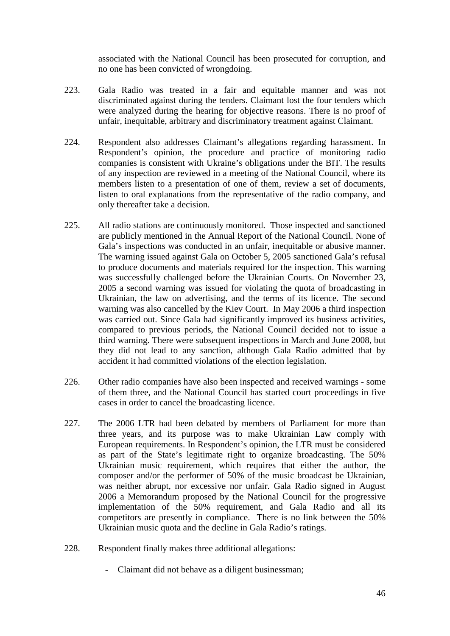associated with the National Council has been prosecuted for corruption, and no one has been convicted of wrongdoing.

- 223. Gala Radio was treated in a fair and equitable manner and was not discriminated against during the tenders. Claimant lost the four tenders which were analyzed during the hearing for objective reasons. There is no proof of unfair, inequitable, arbitrary and discriminatory treatment against Claimant.
- 224. Respondent also addresses Claimant's allegations regarding harassment. In Respondent's opinion, the procedure and practice of monitoring radio companies is consistent with Ukraine's obligations under the BIT. The results of any inspection are reviewed in a meeting of the National Council, where its members listen to a presentation of one of them, review a set of documents, listen to oral explanations from the representative of the radio company, and only thereafter take a decision.
- 225. All radio stations are continuously monitored. Those inspected and sanctioned are publicly mentioned in the Annual Report of the National Council. None of Gala's inspections was conducted in an unfair, inequitable or abusive manner. The warning issued against Gala on October 5, 2005 sanctioned Gala's refusal to produce documents and materials required for the inspection. This warning was successfully challenged before the Ukrainian Courts. On November 23, 2005 a second warning was issued for violating the quota of broadcasting in Ukrainian, the law on advertising, and the terms of its licence. The second warning was also cancelled by the Kiev Court. In May 2006 a third inspection was carried out. Since Gala had significantly improved its business activities, compared to previous periods, the National Council decided not to issue a third warning. There were subsequent inspections in March and June 2008, but they did not lead to any sanction, although Gala Radio admitted that by accident it had committed violations of the election legislation.
- 226. Other radio companies have also been inspected and received warnings some of them three, and the National Council has started court proceedings in five cases in order to cancel the broadcasting licence.
- 227. The 2006 LTR had been debated by members of Parliament for more than three years, and its purpose was to make Ukrainian Law comply with European requirements. In Respondent's opinion, the LTR must be considered as part of the State's legitimate right to organize broadcasting. The 50% Ukrainian music requirement, which requires that either the author, the composer and/or the performer of 50% of the music broadcast be Ukrainian, was neither abrupt, nor excessive nor unfair. Gala Radio signed in August 2006 a Memorandum proposed by the National Council for the progressive implementation of the 50% requirement, and Gala Radio and all its competitors are presently in compliance. There is no link between the 50% Ukrainian music quota and the decline in Gala Radio's ratings.
- 228. Respondent finally makes three additional allegations:
	- Claimant did not behave as a diligent businessman;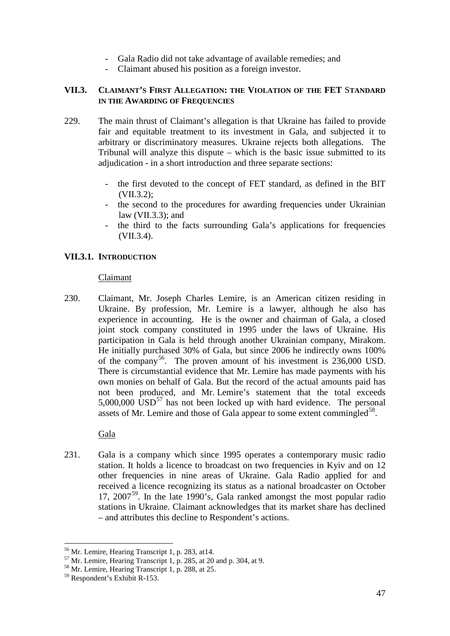- Gala Radio did not take advantage of available remedies; and
- Claimant abused his position as a foreign investor.

## **VII.3. CLAIMANT'S FIRST ALLEGATION: THE VIOLATION OF THE FET** S**TANDARD IN THE AWARDING OF FREQUENCIES**

- 229. The main thrust of Claimant's allegation is that Ukraine has failed to provide fair and equitable treatment to its investment in Gala, and subjected it to arbitrary or discriminatory measures. Ukraine rejects both allegations. The Tribunal will analyze this dispute – which is the basic issue submitted to its adjudication - in a short introduction and three separate sections:
	- the first devoted to the concept of FET standard, as defined in the BIT (VII.3.2);
	- the second to the procedures for awarding frequencies under Ukrainian law (VII.3.3); and
	- the third to the facts surrounding Gala's applications for frequencies (VII.3.4).

# **VII.3.1. INTRODUCTION**

## Claimant

230. Claimant, Mr. Joseph Charles Lemire, is an American citizen residing in Ukraine. By profession, Mr. Lemire is a lawyer, although he also has experience in accounting. He is the owner and chairman of Gala, a closed joint stock company constituted in 1995 under the laws of Ukraine. His participation in Gala is held through another Ukrainian company, Mirakom. He initially purchased 30% of Gala, but since 2006 he indirectly owns 100% of the company[56.](#page-46-0) The proven amount of his investment is 236,000 USD. There is circumstantial evidence that Mr. Lemire has made payments with his own monies on behalf of Gala. But the record of the actual amounts paid has not been produced, and Mr. Lemire's statement that the total exceeds  $5,000,000$  USD<sup>[57](#page-46-1)</sup> has not been locked up with hard evidence. The personal assets of Mr. Lemire and those of Gala appear to some extent commingled<sup>[58](#page-46-2)</sup>.

#### Gala

231. Gala is a company which since 1995 operates a contemporary music radio station. It holds a licence to broadcast on two frequencies in Kyiv and on 12 other frequencies in nine areas of Ukraine. Gala Radio applied for and received a licence recognizing its status as a national broadcaster on October 17,  $2007^{59}$ . In the late 1990's, Gala ranked amongst the most popular radio stations in Ukraine. Claimant acknowledges that its market share has declined – and attributes this decline to Respondent's actions.

<span id="page-46-1"></span>

<span id="page-46-0"></span><sup>&</sup>lt;sup>56</sup> Mr. Lemire, Hearing Transcript 1, p. 283, at 14.<br><sup>57</sup> Mr. Lemire, Hearing Transcript 1, p. 285, at 20 and p. 304, at 9.<br><sup>58</sup> Mr. Lemire, Hearing Transcript 1, p. 288, at 25.

<span id="page-46-3"></span><span id="page-46-2"></span><sup>59</sup> Respondent's Exhibit R-153.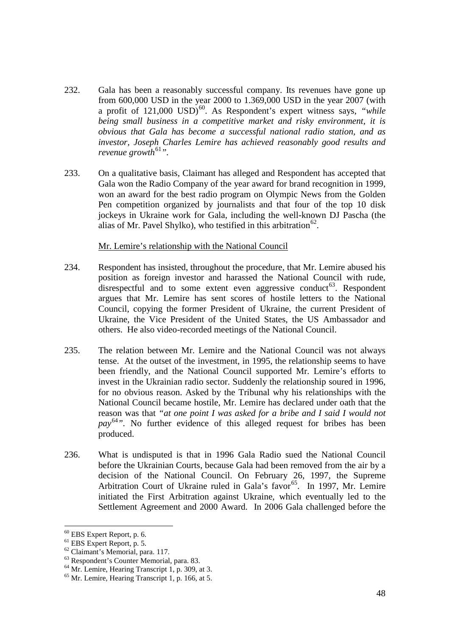- 232. Gala has been a reasonably successful company. Its revenues have gone up from 600,000 USD in the year 2000 to 1.369,000 USD in the year 2007 (with a profit of 121,000 USD)<sup>[60](#page-47-0)</sup>. As Respondent's expert witness says, *"while being small business in a competitive market and risky environment, it is obvious that Gala has become a successful national radio station, and as investor, Joseph Charles Lemire has achieved reasonably good results and revenue growth*<sup>[61](#page-47-1)</sup>".
- 233. On a qualitative basis, Claimant has alleged and Respondent has accepted that Gala won the Radio Company of the year award for brand recognition in 1999, won an award for the best radio program on Olympic News from the Golden Pen competition organized by journalists and that four of the top 10 disk jockeys in Ukraine work for Gala, including the well-known DJ Pascha (the alias of Mr. Pavel Shylko), who testified in this arbitration<sup>[62](#page-47-2)</sup>.

#### Mr. Lemire's relationship with the National Council

- 234. Respondent has insisted, throughout the procedure, that Mr. Lemire abused his position as foreign investor and harassed the National Council with rude, disrespectful and to some extent even aggressive conduct<sup>63</sup>. Respondent argues that Mr. Lemire has sent scores of hostile letters to the National Council, copying the former President of Ukraine, the current President of Ukraine, the Vice President of the United States, the US Ambassador and others. He also video-recorded meetings of the National Council.
- 235. The relation between Mr. Lemire and the National Council was not always tense. At the outset of the investment, in 1995, the relationship seems to have been friendly, and the National Council supported Mr. Lemire's efforts to invest in the Ukrainian radio sector. Suddenly the relationship soured in 1996, for no obvious reason. Asked by the Tribunal why his relationships with the National Council became hostile, Mr. Lemire has declared under oath that the reason was that *"at one point I was asked for a bribe and I said I would not pay* [64](#page-47-4)*".* No further evidence of this alleged request for bribes has been produced.
- 236. What is undisputed is that in 1996 Gala Radio sued the National Council before the Ukrainian Courts, because Gala had been removed from the air by a decision of the National Council. On February 26, 1997, the Supreme Arbitration Court of Ukraine ruled in Gala's favor<sup>[65](#page-47-5)</sup>. In 1997, Mr. Lemire initiated the First Arbitration against Ukraine, which eventually led to the Settlement Agreement and 2000 Award. In 2006 Gala challenged before the

<span id="page-47-0"></span> $^{60}$  EBS Expert Report, p. 6.<br> $^{61}$  EBS Expert Report, p. 5.

<span id="page-47-3"></span>

<span id="page-47-2"></span><span id="page-47-1"></span><sup>&</sup>lt;sup>62</sup> Claimant's Memorial, para. 117.<br><sup>63</sup> Respondent's Counter Memorial, para. 83.<br><sup>64</sup> Mr. Lemire, Hearing Transcript 1, p. 309, at 3.<br><sup>65</sup> Mr. Lemire, Hearing Transcript 1, p. 166, at 5.

<span id="page-47-5"></span><span id="page-47-4"></span>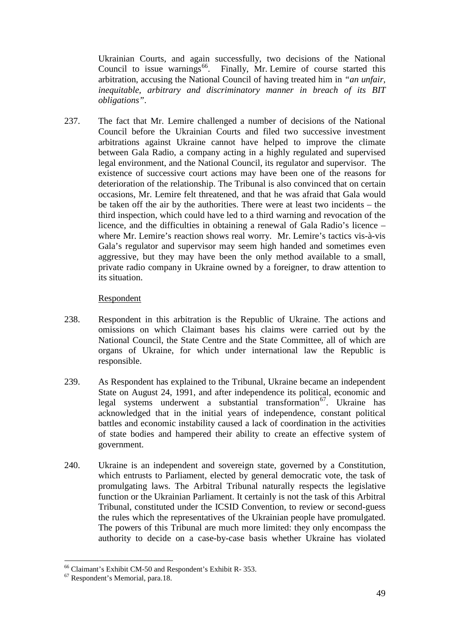Ukrainian Courts, and again successfully, two decisions of the National Council to issue warnings<sup>[66](#page-48-0)</sup>. Finally, Mr. Lemire of course started this arbitration, accusing the National Council of having treated him in *"an unfair, inequitable, arbitrary and discriminatory manner in breach of its BIT obligations"*.

237. The fact that Mr. Lemire challenged a number of decisions of the National Council before the Ukrainian Courts and filed two successive investment arbitrations against Ukraine cannot have helped to improve the climate between Gala Radio, a company acting in a highly regulated and supervised legal environment, and the National Council, its regulator and supervisor. The existence of successive court actions may have been one of the reasons for deterioration of the relationship. The Tribunal is also convinced that on certain occasions, Mr. Lemire felt threatened, and that he was afraid that Gala would be taken off the air by the authorities. There were at least two incidents – the third inspection, which could have led to a third warning and revocation of the licence, and the difficulties in obtaining a renewal of Gala Radio's licence – where Mr. Lemire's reaction shows real worry. Mr. Lemire's tactics vis-à-vis Gala's regulator and supervisor may seem high handed and sometimes even aggressive, but they may have been the only method available to a small, private radio company in Ukraine owned by a foreigner, to draw attention to its situation.

# Respondent

- 238. Respondent in this arbitration is the Republic of Ukraine. The actions and omissions on which Claimant bases his claims were carried out by the National Council, the State Centre and the State Committee, all of which are organs of Ukraine, for which under international law the Republic is responsible.
- 239. As Respondent has explained to the Tribunal, Ukraine became an independent State on August 24, 1991, and after independence its political, economic and legal systems underwent a substantial transformation<sup>67</sup>. Ukraine has acknowledged that in the initial years of independence, constant political battles and economic instability caused a lack of coordination in the activities of state bodies and hampered their ability to create an effective system of government.
- 240. Ukraine is an independent and sovereign state, governed by a Constitution, which entrusts to Parliament, elected by general democratic vote, the task of promulgating laws. The Arbitral Tribunal naturally respects the legislative function or the Ukrainian Parliament. It certainly is not the task of this Arbitral Tribunal, constituted under the ICSID Convention, to review or second-guess the rules which the representatives of the Ukrainian people have promulgated. The powers of this Tribunal are much more limited: they only encompass the authority to decide on a case-by-case basis whether Ukraine has violated

<span id="page-48-0"></span><sup>&</sup>lt;sup>66</sup> Claimant's Exhibit CM-50 and Respondent's Exhibit R- 353.<br><sup>67</sup> Respondent's Memorial, para.18.

<span id="page-48-1"></span>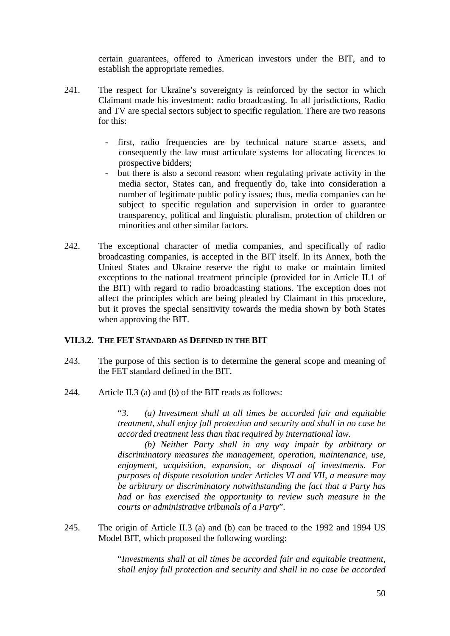certain guarantees, offered to American investors under the BIT, and to establish the appropriate remedies.

- 241. The respect for Ukraine's sovereignty is reinforced by the sector in which Claimant made his investment: radio broadcasting. In all jurisdictions, Radio and TV are special sectors subject to specific regulation. There are two reasons for this:
	- first, radio frequencies are by technical nature scarce assets, and consequently the law must articulate systems for allocating licences to prospective bidders;
	- but there is also a second reason: when regulating private activity in the media sector, States can, and frequently do, take into consideration a number of legitimate public policy issues; thus, media companies can be subject to specific regulation and supervision in order to guarantee transparency, political and linguistic pluralism, protection of children or minorities and other similar factors.
- 242. The exceptional character of media companies, and specifically of radio broadcasting companies, is accepted in the BIT itself. In its Annex, both the United States and Ukraine reserve the right to make or maintain limited exceptions to the national treatment principle (provided for in Article II.1 of the BIT) with regard to radio broadcasting stations. The exception does not affect the principles which are being pleaded by Claimant in this procedure, but it proves the special sensitivity towards the media shown by both States when approving the BIT.

#### **VII.3.2. THE FET STANDARD AS DEFINED IN THE BIT**

- 243. The purpose of this section is to determine the general scope and meaning of the FET standard defined in the BIT.
- 244. Article II.3 (a) and (b) of the BIT reads as follows:

"*3. (a) Investment shall at all times be accorded fair and equitable treatment, shall enjoy full protection and security and shall in no case be accorded treatment less than that required by international law.*

*(b) Neither Party shall in any way impair by arbitrary or discriminatory measures the management, operation, maintenance, use, enjoyment, acquisition, expansion, or disposal of investments. For purposes of dispute resolution under Articles VI and VII, a measure may be arbitrary or discriminatory notwithstanding the fact that a Party has had or has exercised the opportunity to review such measure in the courts or administrative tribunals of a Party*".

245. The origin of Article II.3 (a) and (b) can be traced to the 1992 and 1994 US Model BIT, which proposed the following wording:

> "*Investments shall at all times be accorded fair and equitable treatment, shall enjoy full protection and security and shall in no case be accorded*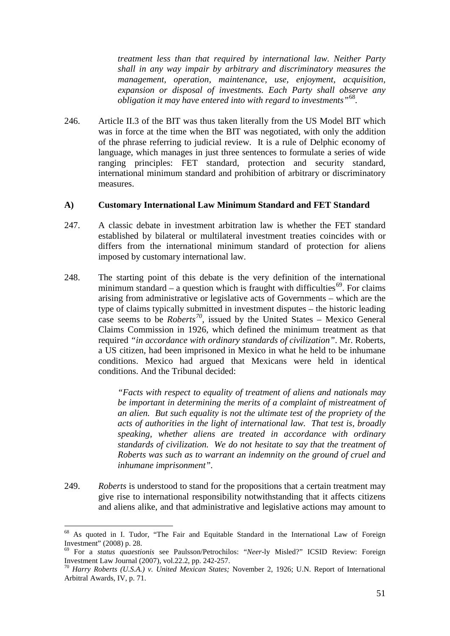*treatment less than that required by international law. Neither Party shall in any way impair by arbitrary and discriminatory measures the management, operation, maintenance, use, enjoyment, acquisition, expansion or disposal of investments. Each Party shall observe any obligation it may have entered into with regard to investments"*[68](#page-50-0)*.*

246. Article II.3 of the BIT was thus taken literally from the US Model BIT which was in force at the time when the BIT was negotiated, with only the addition of the phrase referring to judicial review. It is a rule of Delphic economy of language, which manages in just three sentences to formulate a series of wide ranging principles: FET standard, protection and security standard, international minimum standard and prohibition of arbitrary or discriminatory measures.

#### **A) Customary International Law Minimum Standard and FET Standard**

- 247. A classic debate in investment arbitration law is whether the FET standard established by bilateral or multilateral investment treaties coincides with or differs from the international minimum standard of protection for aliens imposed by customary international law.
- 248. The starting point of this debate is the very definition of the international minimum standard – a question which is fraught with difficulties<sup>69</sup>. For claims arising from administrative or legislative acts of Governments – which are the type of claims typically submitted in investment disputes – the historic leading case seems to be *Roberts*<sup>[70](#page-50-2)</sup>, issued by the United States – Mexico General Claims Commission in 1926, which defined the minimum treatment as that required *"in accordance with ordinary standards of civilization"*. Mr. Roberts, a US citizen, had been imprisoned in Mexico in what he held to be inhumane conditions. Mexico had argued that Mexicans were held in identical conditions. And the Tribunal decided:

*"Facts with respect to equality of treatment of aliens and nationals may be important in determining the merits of a complaint of mistreatment of an alien. But such equality is not the ultimate test of the propriety of the acts of authorities in the light of international law. That test is, broadly speaking, whether aliens are treated in accordance with ordinary standards of civilization. We do not hesitate to say that the treatment of Roberts was such as to warrant an indemnity on the ground of cruel and inhumane imprisonment".*

249. *Roberts* is understood to stand for the propositions that a certain treatment may give rise to international responsibility notwithstanding that it affects citizens and aliens alike, and that administrative and legislative actions may amount to

<span id="page-50-0"></span><sup>&</sup>lt;sup>68</sup> As quoted in I. Tudor, "The Fair and Equitable Standard in the International Law of Foreign Investment" (2008) p. 28.

<span id="page-50-1"></span><sup>&</sup>lt;sup>69</sup> For a *status quaestionis* see Paulsson/Petrochilos: "*Neer*-ly Misled?" ICSID Review: Foreign Investment Law Journal (2007), vol.22.2, pp. 242-257.

<span id="page-50-2"></span><sup>&</sup>lt;sup>70</sup> Harry Roberts (U.S.A.) v. United Mexican States; November 2, 1926; U.N. Report of International Arbitral Awards, IV, p. 71.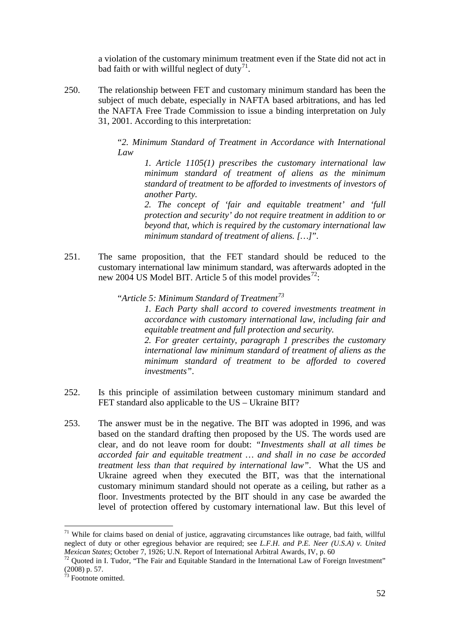a violation of the customary minimum treatment even if the State did not act in bad faith or with willful neglect of duty<sup>[71](#page-51-0)</sup>.

250. The relationship between FET and customary minimum standard has been the subject of much debate, especially in NAFTA based arbitrations, and has led the NAFTA Free Trade Commission to issue a binding interpretation on July 31, 2001. According to this interpretation:

> "*2. Minimum Standard of Treatment in Accordance with International Law*

*1. Article 1105(1) prescribes the customary international law minimum standard of treatment of aliens as the minimum standard of treatment to be afforded to investments of investors of another Party.*

*2. The concept of 'fair and equitable treatment' and 'full protection and security' do not require treatment in addition to or beyond that, which is required by the customary international law minimum standard of treatment of aliens. […]*".

251. The same proposition, that the FET standard should be reduced to the customary international law minimum standard, was afterwards adopted in the new 2004 US Model BIT. Article 5 of this model provides  $^{72}$ :

"*Article 5: Minimum Standard of Treatment[73](#page-51-2)*

*1. Each Party shall accord to covered investments treatment in accordance with customary international law, including fair and equitable treatment and full protection and security. 2. For greater certainty, paragraph 1 prescribes the customary international law minimum standard of treatment of aliens as the minimum standard of treatment to be afforded to covered investments"*.

- 252. Is this principle of assimilation between customary minimum standard and FET standard also applicable to the US – Ukraine BIT?
- 253. The answer must be in the negative. The BIT was adopted in 1996, and was based on the standard drafting then proposed by the US. The words used are clear, and do not leave room for doubt: *"Investments shall at all times be accorded fair and equitable treatment … and shall in no case be accorded treatment less than that required by international law"*. What the US and Ukraine agreed when they executed the BIT, was that the international customary minimum standard should not operate as a ceiling, but rather as a floor. Investments protected by the BIT should in any case be awarded the level of protection offered by customary international law. But this level of

<span id="page-51-0"></span> $71$  While for claims based on denial of justice, aggravating circumstances like outrage, bad faith, willful neglect of duty or other egregious behavior are required; see *L.F.H. and P.E. Neer (U.S.A) v. United Mexican States*; October 7, 1926; U.N. Report of International Arbitral Awards, IV, p. 60

<span id="page-51-1"></span><sup>&</sup>lt;sup>72</sup> Quoted in I. Tudor, "The Fair and Equitable Standard in the International Law of Foreign Investment"  $(2008)$  p. 57.<br><sup>73</sup> Footnote omitted.

<span id="page-51-2"></span>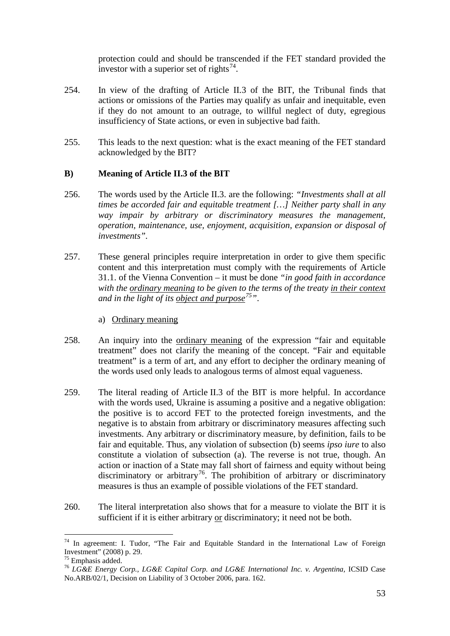protection could and should be transcended if the FET standard provided the investor with a superior set of rights<sup>[74](#page-52-0)</sup>.

- 254. In view of the drafting of Article II.3 of the BIT, the Tribunal finds that actions or omissions of the Parties may qualify as unfair and inequitable, even if they do not amount to an outrage, to willful neglect of duty, egregious insufficiency of State actions, or even in subjective bad faith.
- 255. This leads to the next question: what is the exact meaning of the FET standard acknowledged by the BIT?

# **B) Meaning of Article II.3 of the BIT**

- 256. The words used by the Article II.3. are the following: *"Investments shall at all times be accorded fair and equitable treatment […] Neither party shall in any way impair by arbitrary or discriminatory measures the management, operation, maintenance, use, enjoyment, acquisition, expansion or disposal of investments".*
- 257. These general principles require interpretation in order to give them specific content and this interpretation must comply with the requirements of Article 31.1. of the Vienna Convention – it must be done *"in good faith in accordance with the ordinary meaning to be given to the terms of the treaty in their context and in the light of its object and purpose[75](#page-52-1)"*.
	- a) Ordinary meaning
- 258. An inquiry into the ordinary meaning of the expression "fair and equitable treatment" does not clarify the meaning of the concept. "Fair and equitable treatment" is a term of art, and any effort to decipher the ordinary meaning of the words used only leads to analogous terms of almost equal vagueness.
- 259. The literal reading of Article II.3 of the BIT is more helpful. In accordance with the words used, Ukraine is assuming a positive and a negative obligation: the positive is to accord FET to the protected foreign investments, and the negative is to abstain from arbitrary or discriminatory measures affecting such investments. Any arbitrary or discriminatory measure, by definition, fails to be fair and equitable. Thus, any violation of subsection (b) seems *ipso iure* to also constitute a violation of subsection (a). The reverse is not true, though. An action or inaction of a State may fall short of fairness and equity without being discriminatory or arbitrary<sup>[76](#page-52-2)</sup>. The prohibition of arbitrary or discriminatory measures is thus an example of possible violations of the FET standard.
- 260. The literal interpretation also shows that for a measure to violate the BIT it is sufficient if it is either arbitrary or discriminatory; it need not be both.

<span id="page-52-0"></span><sup>&</sup>lt;sup>74</sup> In agreement: I. Tudor, "The Fair and Equitable Standard in the International Law of Foreign Investment" (2008) p. 29.

<span id="page-52-2"></span><span id="page-52-1"></span><sup>&</sup>lt;sup>75</sup> Emphasis added.<br><sup>76</sup> LG&E Energy Corp., LG&E Capital Corp. and LG&E International Inc. v. Argentina, ICSID Case No.ARB/02/1, Decision on Liability of 3 October 2006, para. 162.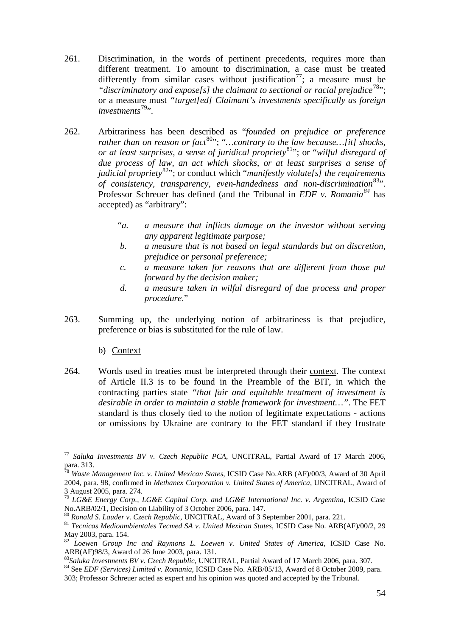- 261. Discrimination, in the words of pertinent precedents, requires more than different treatment. To amount to discrimination, a case must be treated differently from similar cases without justification<sup>77</sup>; a measure must be *"discriminatory and expose[s] the claimant to sectional or racial prejudice*[78"](#page-53-1); or a measure must *"target[ed] Claimant's investments specifically as foreign investments*<sup>79</sup>*"*.
- 262. Arbitrariness has been described as "*founded on prejudice or preference rather than on reason or fact*<sup>[80](#page-53-3)</sup>"; "...contrary to the law because... [it] shocks, *or at least surprises, a sense of juridical propriety*[81](#page-53-4)"; or "*wilful disregard of due process of law, an act which shocks, or at least surprises a sense of judicial propriety*[82](#page-53-5)"; or conduct which "*manifestly violate[s] the requirements of consistency, transparency, even-handedness and non-discrimination*[83](#page-53-6)". Professor Schreuer has defined (and the Tribunal in *EDF v. Romania[84](#page-53-7)* has accepted) as "arbitrary":
	- "*a. a measure that inflicts damage on the investor without serving any apparent legitimate purpose;*
	- *b. a measure that is not based on legal standards but on discretion, prejudice or personal preference;*
	- *c. a measure taken for reasons that are different from those put forward by the decision maker;*
	- *d. a measure taken in wilful disregard of due process and proper procedure*."
- 263. Summing up, the underlying notion of arbitrariness is that prejudice, preference or bias is substituted for the rule of law.
	- b) Context
- 264. Words used in treaties must be interpreted through their context. The context of Article II.3 is to be found in the Preamble of the BIT, in which the contracting parties state *"that fair and equitable treatment of investment is desirable in order to maintain a stable framework for investment…"*. The FET standard is thus closely tied to the notion of legitimate expectations - actions or omissions by Ukraine are contrary to the FET standard if they frustrate

<span id="page-53-0"></span> <sup>77</sup> *Saluka Investments BV v. Czech Republic PCA,* UNCITRAL, Partial Award of 17 March 2006,

<span id="page-53-1"></span><sup>&</sup>lt;sup>3</sup> Waste Management Inc. v. United Mexican States, ICSID Case No.ARB (AF)/00/3, Award of 30 April 2004, para. 98, confirmed in *Methanex Corporation v. United States of America*, UNCITRAL, Award of

<span id="page-53-2"></span><sup>3</sup> August 2005, para. 274.<br><sup>79</sup> *LG&E Energy Corp., LG&E Capital Corp. and LG&E International Inc. v. Argentina, ICSID Case* No.ARB/02/1, Decision on Liability of 3 October 2006, para. 147.

<span id="page-53-4"></span><span id="page-53-3"></span><sup>&</sup>lt;sup>80</sup> Ronald S. Lauder v. Czech Republic, UNCITRAL, Award of 3 September 2001, para. 221.<br><sup>81</sup> Tecnicas Medioambientales Tecmed SA v. United Mexican States, ICSID Case No. ARB(AF)/00/2, 29<br>May 2003. para. 154.

<span id="page-53-5"></span><sup>&</sup>lt;sup>82</sup> Loewen Group Inc and Raymons L. Loewen v. United States of America, ICSID Case No. ARB(AF)98/3, Award of 26 June 2003, para. 131.<br><sup>83</sup>Saluka Investments BV v. Czech Republic, UNCITRAL, Partial Award of 17 March 2006, para. 307.

<span id="page-53-7"></span><span id="page-53-6"></span><sup>&</sup>lt;sup>84</sup> See *EDF (Services) Limited v. Romania*, ICSID Case No. ARB/05/13, Award of 8 October 2009, para. 303; Professor Schreuer acted as expert and his opinion was quoted and accepted by the Tribunal.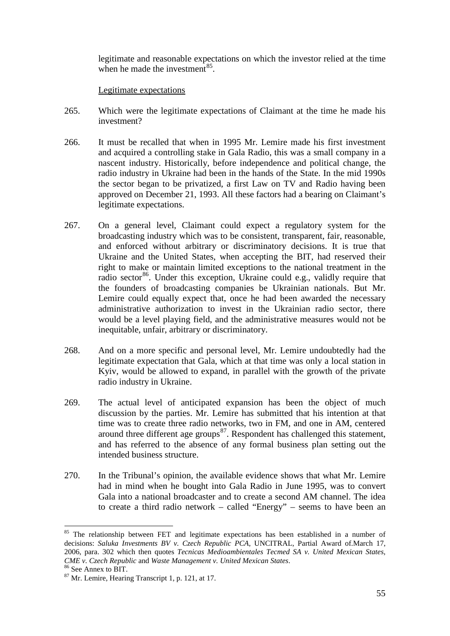legitimate and reasonable expectations on which the investor relied at the time when he made the investment<sup>[85](#page-54-0)</sup>.

#### Legitimate expectations

- 265. Which were the legitimate expectations of Claimant at the time he made his investment?
- 266. It must be recalled that when in 1995 Mr. Lemire made his first investment and acquired a controlling stake in Gala Radio, this was a small company in a nascent industry. Historically, before independence and political change, the radio industry in Ukraine had been in the hands of the State. In the mid 1990s the sector began to be privatized, a first Law on TV and Radio having been approved on December 21, 1993. All these factors had a bearing on Claimant's legitimate expectations.
- 267. On a general level, Claimant could expect a regulatory system for the broadcasting industry which was to be consistent, transparent, fair, reasonable, and enforced without arbitrary or discriminatory decisions. It is true that Ukraine and the United States, when accepting the BIT, had reserved their right to make or maintain limited exceptions to the national treatment in the radio sector<sup>86</sup>. Under this exception, Ukraine could e.g., validly require that the founders of broadcasting companies be Ukrainian nationals. But Mr. Lemire could equally expect that, once he had been awarded the necessary administrative authorization to invest in the Ukrainian radio sector, there would be a level playing field, and the administrative measures would not be inequitable, unfair, arbitrary or discriminatory.
- 268. And on a more specific and personal level, Mr. Lemire undoubtedly had the legitimate expectation that Gala, which at that time was only a local station in Kyiv, would be allowed to expand, in parallel with the growth of the private radio industry in Ukraine.
- 269. The actual level of anticipated expansion has been the object of much discussion by the parties. Mr. Lemire has submitted that his intention at that time was to create three radio networks, two in FM, and one in AM, centered around three different age groups $87$ . Respondent has challenged this statement, and has referred to the absence of any formal business plan setting out the intended business structure.
- 270. In the Tribunal's opinion, the available evidence shows that what Mr. Lemire had in mind when he bought into Gala Radio in June 1995, was to convert Gala into a national broadcaster and to create a second AM channel. The idea to create a third radio network – called "Energy" – seems to have been an

<span id="page-54-0"></span><sup>&</sup>lt;sup>85</sup> The relationship between FET and legitimate expectations has been established in a number of decisions: *Saluka Investments BV v. Czech Republic PCA,* UNCITRAL, Partial Award of.March 17, 2006, para. 302 which then quotes *Tecnicas Medioambientales Tecmed SA v. United Mexican States*, *CME v. Czech Republic* and *Waste Management v. United Mexican States*. <sup>86</sup> See Annex to BIT. <sup>87</sup> Mr. Lemire, Hearing Transcript 1, p. 121, at 17.

<span id="page-54-2"></span><span id="page-54-1"></span>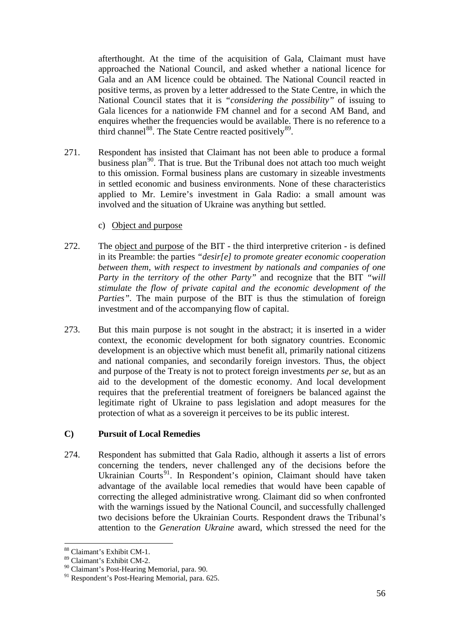afterthought. At the time of the acquisition of Gala, Claimant must have approached the National Council, and asked whether a national licence for Gala and an AM licence could be obtained. The National Council reacted in positive terms, as proven by a letter addressed to the State Centre, in which the National Council states that it is *"considering the possibility"* of issuing to Gala licences for a nationwide FM channel and for a second AM Band, and enquires whether the frequencies would be available. There is no reference to a third channel<sup>88</sup>. The State Centre reacted positively<sup>[89](#page-55-1)</sup>.

- 271. Respondent has insisted that Claimant has not been able to produce a formal business plan $90$ . That is true. But the Tribunal does not attach too much weight to this omission. Formal business plans are customary in sizeable investments in settled economic and business environments. None of these characteristics applied to Mr. Lemire's investment in Gala Radio: a small amount was involved and the situation of Ukraine was anything but settled.
	- c) Object and purpose
- 272. The object and purpose of the BIT the third interpretive criterion is defined in its Preamble: the parties *"desir[e] to promote greater economic cooperation between them, with respect to investment by nationals and companies of one Party in the territory of the other Party"* and recognize that the BIT *"will stimulate the flow of private capital and the economic development of the Parties".* The main purpose of the BIT is thus the stimulation of foreign investment and of the accompanying flow of capital.
- 273. But this main purpose is not sought in the abstract; it is inserted in a wider context, the economic development for both signatory countries. Economic development is an objective which must benefit all, primarily national citizens and national companies, and secondarily foreign investors. Thus, the object and purpose of the Treaty is not to protect foreign investments *per se*, but as an aid to the development of the domestic economy. And local development requires that the preferential treatment of foreigners be balanced against the legitimate right of Ukraine to pass legislation and adopt measures for the protection of what as a sovereign it perceives to be its public interest.

# **C) Pursuit of Local Remedies**

274. Respondent has submitted that Gala Radio, although it asserts a list of errors concerning the tenders, never challenged any of the decisions before the Ukrainian Courts<sup>[91](#page-55-3)</sup>. In Respondent's opinion, Claimant should have taken advantage of the available local remedies that would have been capable of correcting the alleged administrative wrong. Claimant did so when confronted with the warnings issued by the National Council, and successfully challenged two decisions before the Ukrainian Courts. Respondent draws the Tribunal's attention to the *Generation Ukraine* award, which stressed the need for the

<span id="page-55-0"></span> <sup>88</sup> Claimant's Exhibit CM-1.

<span id="page-55-1"></span><sup>89</sup> Claimant's Exhibit CM-2.

<sup>&</sup>lt;sup>90</sup> Claimant's Post-Hearing Memorial, para. 90.

<span id="page-55-3"></span><span id="page-55-2"></span><sup>&</sup>lt;sup>91</sup> Respondent's Post-Hearing Memorial, para. 625.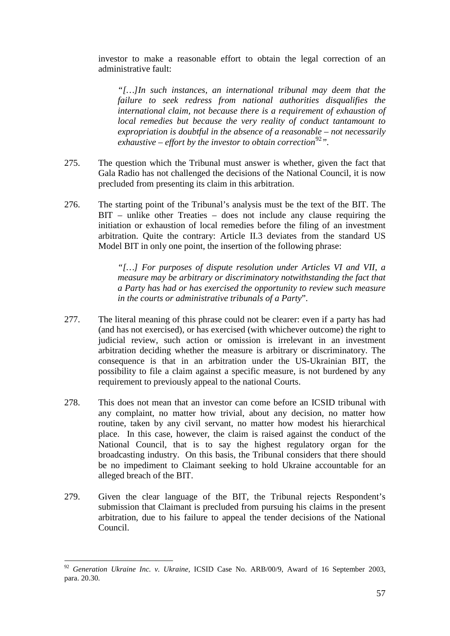investor to make a reasonable effort to obtain the legal correction of an administrative fault:

*"[…]In such instances, an international tribunal may deem that the failure to seek redress from national authorities disqualifies the international claim, not because there is a requirement of exhaustion of local remedies but because the very reality of conduct tantamount to expropriation is doubtful in the absence of a reasonable – not necessarily exhaustive – effort by the investor to obtain correction*<sup>[92](#page-56-0)</sup>.

- 275. The question which the Tribunal must answer is whether, given the fact that Gala Radio has not challenged the decisions of the National Council, it is now precluded from presenting its claim in this arbitration.
- 276. The starting point of the Tribunal's analysis must be the text of the BIT. The BIT – unlike other Treaties – does not include any clause requiring the initiation or exhaustion of local remedies before the filing of an investment arbitration. Quite the contrary: Article II.3 deviates from the standard US Model BIT in only one point, the insertion of the following phrase:

*"[…] For purposes of dispute resolution under Articles VI and VII, a measure may be arbitrary or discriminatory notwithstanding the fact that a Party has had or has exercised the opportunity to review such measure in the courts or administrative tribunals of a Party*".

- 277. The literal meaning of this phrase could not be clearer: even if a party has had (and has not exercised), or has exercised (with whichever outcome) the right to judicial review, such action or omission is irrelevant in an investment arbitration deciding whether the measure is arbitrary or discriminatory. The consequence is that in an arbitration under the US-Ukrainian BIT, the possibility to file a claim against a specific measure, is not burdened by any requirement to previously appeal to the national Courts.
- 278. This does not mean that an investor can come before an ICSID tribunal with any complaint, no matter how trivial, about any decision, no matter how routine, taken by any civil servant, no matter how modest his hierarchical place. In this case, however, the claim is raised against the conduct of the National Council, that is to say the highest regulatory organ for the broadcasting industry. On this basis, the Tribunal considers that there should be no impediment to Claimant seeking to hold Ukraine accountable for an alleged breach of the BIT.
- 279. Given the clear language of the BIT, the Tribunal rejects Respondent's submission that Claimant is precluded from pursuing his claims in the present arbitration, due to his failure to appeal the tender decisions of the National Council.

<span id="page-56-0"></span> <sup>92</sup> *Generation Ukraine Inc. v. Ukraine,* ICSID Case No. ARB/00/9, Award of 16 September 2003, para. 20.30.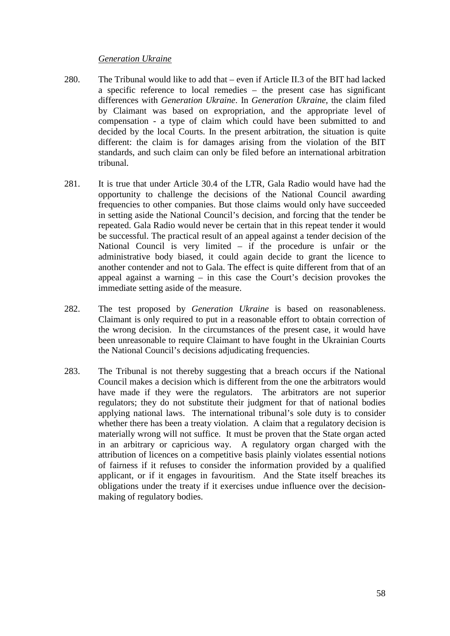#### *Generation Ukraine*

- 280. The Tribunal would like to add that even if Article II.3 of the BIT had lacked a specific reference to local remedies – the present case has significant differences with *Generation Ukraine*. In *Generation Ukraine*, the claim filed by Claimant was based on expropriation, and the appropriate level of compensation - a type of claim which could have been submitted to and decided by the local Courts. In the present arbitration, the situation is quite different: the claim is for damages arising from the violation of the BIT standards, and such claim can only be filed before an international arbitration tribunal.
- 281. It is true that under Article 30.4 of the LTR, Gala Radio would have had the opportunity to challenge the decisions of the National Council awarding frequencies to other companies. But those claims would only have succeeded in setting aside the National Council's decision, and forcing that the tender be repeated. Gala Radio would never be certain that in this repeat tender it would be successful. The practical result of an appeal against a tender decision of the National Council is very limited – if the procedure is unfair or the administrative body biased, it could again decide to grant the licence to another contender and not to Gala. The effect is quite different from that of an appeal against a warning  $-$  in this case the Court's decision provokes the immediate setting aside of the measure.
- 282. The test proposed by *Generation Ukraine* is based on reasonableness. Claimant is only required to put in a reasonable effort to obtain correction of the wrong decision. In the circumstances of the present case, it would have been unreasonable to require Claimant to have fought in the Ukrainian Courts the National Council's decisions adjudicating frequencies.
- 283. The Tribunal is not thereby suggesting that a breach occurs if the National Council makes a decision which is different from the one the arbitrators would have made if they were the regulators. The arbitrators are not superior regulators; they do not substitute their judgment for that of national bodies applying national laws. The international tribunal's sole duty is to consider whether there has been a treaty violation. A claim that a regulatory decision is materially wrong will not suffice. It must be proven that the State organ acted in an arbitrary or capricious way. A regulatory organ charged with the attribution of licences on a competitive basis plainly violates essential notions of fairness if it refuses to consider the information provided by a qualified applicant, or if it engages in favouritism. And the State itself breaches its obligations under the treaty if it exercises undue influence over the decisionmaking of regulatory bodies.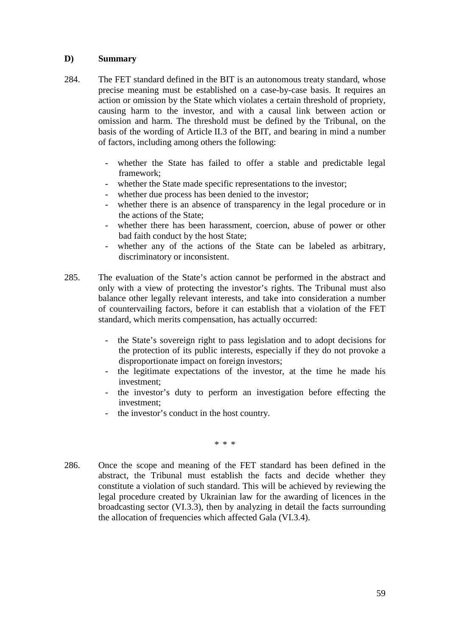## **D) Summary**

- 284. The FET standard defined in the BIT is an autonomous treaty standard, whose precise meaning must be established on a case-by-case basis. It requires an action or omission by the State which violates a certain threshold of propriety, causing harm to the investor, and with a causal link between action or omission and harm. The threshold must be defined by the Tribunal, on the basis of the wording of Article II.3 of the BIT, and bearing in mind a number of factors, including among others the following:
	- whether the State has failed to offer a stable and predictable legal framework;
	- whether the State made specific representations to the investor;
	- whether due process has been denied to the investor;
	- whether there is an absence of transparency in the legal procedure or in the actions of the State;
	- whether there has been harassment, coercion, abuse of power or other bad faith conduct by the host State;
	- whether any of the actions of the State can be labeled as arbitrary, discriminatory or inconsistent.
- 285. The evaluation of the State's action cannot be performed in the abstract and only with a view of protecting the investor's rights. The Tribunal must also balance other legally relevant interests, and take into consideration a number of countervailing factors, before it can establish that a violation of the FET standard, which merits compensation, has actually occurred:
	- the State's sovereign right to pass legislation and to adopt decisions for the protection of its public interests, especially if they do not provoke a disproportionate impact on foreign investors;
	- the legitimate expectations of the investor, at the time he made his investment;
	- the investor's duty to perform an investigation before effecting the investment;
	- the investor's conduct in the host country.

\* \* \*

286. Once the scope and meaning of the FET standard has been defined in the abstract, the Tribunal must establish the facts and decide whether they constitute a violation of such standard. This will be achieved by reviewing the legal procedure created by Ukrainian law for the awarding of licences in the broadcasting sector (VI.3.3), then by analyzing in detail the facts surrounding the allocation of frequencies which affected Gala (VI.3.4).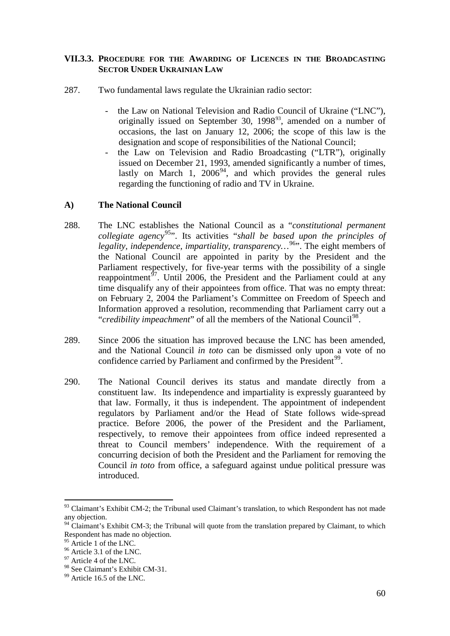## **VII.3.3. PROCEDURE FOR THE AWARDING OF LICENCES IN THE BROADCASTING SECTOR UNDER UKRAINIAN LAW**

- 287. Two fundamental laws regulate the Ukrainian radio sector:
	- the Law on National Television and Radio Council of Ukraine ("LNC"), originally issued on September 30, 1998 $93$ , amended on a number of occasions, the last on January 12, 2006; the scope of this law is the designation and scope of responsibilities of the National Council;
	- the Law on Television and Radio Broadcasting ("LTR"), originally issued on December 21, 1993, amended significantly a number of times, lastly on March 1,  $2006^{94}$  $2006^{94}$  $2006^{94}$ , and which provides the general rules regarding the functioning of radio and TV in Ukraine.

## **A) The National Council**

- 288. The LNC establishes the National Council as a "*constitutional permanent collegiate agency* [95](#page-59-2)". Its activities "*shall be based upon the principles of legality, independence, impartiality, transparency…*[96](#page-59-3)". The eight members of the National Council are appointed in parity by the President and the Parliament respectively, for five-year terms with the possibility of a single reappointment<sup> $97$ </sup>. Until 2006, the President and the Parliament could at any time disqualify any of their appointees from office. That was no empty threat: on February 2, 2004 the Parliament's Committee on Freedom of Speech and Information approved a resolution, recommending that Parliament carry out a "*credibility impeachment*" of all the members of the National Council<sup>[98](#page-59-5)</sup>.
- 289. Since 2006 the situation has improved because the LNC has been amended, and the National Council *in toto* can be dismissed only upon a vote of no confidence carried by Parliament and confirmed by the President<sup>99</sup>.
- 290. The National Council derives its status and mandate directly from a constituent law. Its independence and impartiality is expressly guaranteed by that law. Formally, it thus is independent. The appointment of independent regulators by Parliament and/or the Head of State follows wide-spread practice. Before 2006, the power of the President and the Parliament, respectively, to remove their appointees from office indeed represented a threat to Council members' independence. With the requirement of a concurring decision of both the President and the Parliament for removing the Council *in toto* from office, a safeguard against undue political pressure was introduced.

<span id="page-59-0"></span><sup>&</sup>lt;sup>93</sup> Claimant's Exhibit CM-2; the Tribunal used Claimant's translation, to which Respondent has not made any objection.

<span id="page-59-1"></span> $94$  Claimant's Exhibit CM-3; the Tribunal will quote from the translation prepared by Claimant, to which Respondent has made no objection.<br><sup>95</sup> Article 1 of the LNC.

<span id="page-59-3"></span><span id="page-59-2"></span><sup>96</sup> Article 3.1 of the LNC.<br>
97 Article 4 of the LNC.

<span id="page-59-6"></span><span id="page-59-5"></span><span id="page-59-4"></span><sup>&</sup>lt;sup>98</sup> See Claimant's Exhibit CM-31.<br><sup>99</sup> Article 16.5 of the LNC.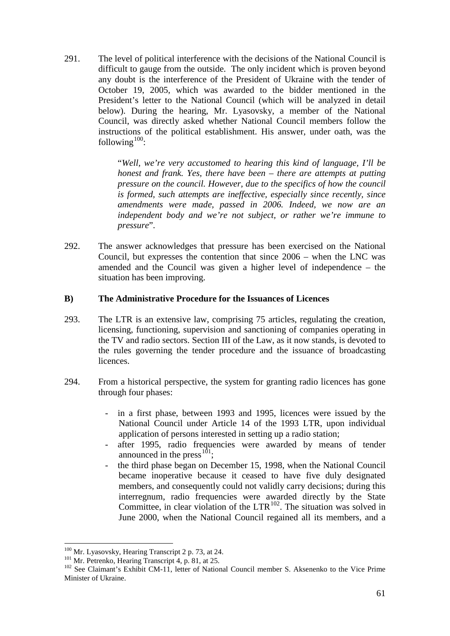291. The level of political interference with the decisions of the National Council is difficult to gauge from the outside. The only incident which is proven beyond any doubt is the interference of the President of Ukraine with the tender of October 19, 2005, which was awarded to the bidder mentioned in the President's letter to the National Council (which will be analyzed in detail below). During the hearing, Mr. Lyasovsky, a member of the National Council, was directly asked whether National Council members follow the instructions of the political establishment. His answer, under oath, was the following<sup>[100](#page-60-0)</sup>:

> "*Well, we're very accustomed to hearing this kind of language, I'll be honest and frank. Yes, there have been – there are attempts at putting pressure on the council. However, due to the specifics of how the council is formed, such attempts are ineffective, especially since recently, since amendments were made, passed in 2006. Indeed, we now are an independent body and we're not subject, or rather we're immune to pressure*".

292. The answer acknowledges that pressure has been exercised on the National Council, but expresses the contention that since 2006 – when the LNC was amended and the Council was given a higher level of independence – the situation has been improving.

## **B) The Administrative Procedure for the Issuances of Licences**

- 293. The LTR is an extensive law, comprising 75 articles, regulating the creation, licensing, functioning, supervision and sanctioning of companies operating in the TV and radio sectors. Section III of the Law, as it now stands, is devoted to the rules governing the tender procedure and the issuance of broadcasting licences.
- 294. From a historical perspective, the system for granting radio licences has gone through four phases:
	- in a first phase, between 1993 and 1995, licences were issued by the National Council under Article 14 of the 1993 LTR, upon individual application of persons interested in setting up a radio station;
	- after 1995, radio frequencies were awarded by means of tender announced in the press<sup>[101](#page-60-1)</sup>;
	- the third phase began on December 15, 1998, when the National Council became inoperative because it ceased to have five duly designated members, and consequently could not validly carry decisions; during this interregnum, radio frequencies were awarded directly by the State Committee, in clear violation of the  $LTR<sup>102</sup>$  $LTR<sup>102</sup>$  $LTR<sup>102</sup>$ . The situation was solved in June 2000, when the National Council regained all its members, and a

<span id="page-60-0"></span><sup>&</sup>lt;sup>100</sup> Mr. Lyasovsky, Hearing Transcript 2 p. 73, at 24.<br><sup>101</sup> Mr. Petrenko, Hearing Transcript 4, p. 81, at 25.

<span id="page-60-2"></span><span id="page-60-1"></span><sup>&</sup>lt;sup>102</sup> See Claimant's Exhibit CM-11, letter of National Council member S. Aksenenko to the Vice Prime Minister of Ukraine.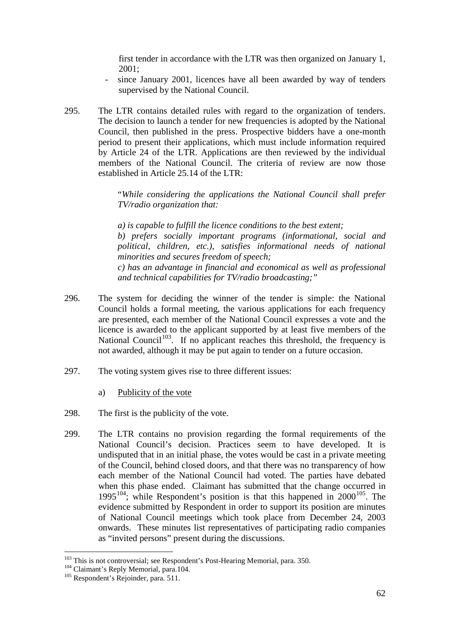first tender in accordance with the LTR was then organized on January 1, 2001;

- since January 2001, licences have all been awarded by way of tenders supervised by the National Council.
- 295. The LTR contains detailed rules with regard to the organization of tenders. The decision to launch a tender for new frequencies is adopted by the National Council, then published in the press. Prospective bidders have a one-month period to present their applications, which must include information required by Article 24 of the LTR. Applications are then reviewed by the individual members of the National Council. The criteria of review are now those established in Article 25.14 of the LTR:

"*While considering the applications the National Council shall prefer TV/radio organization that:*

*a) is capable to fulfill the licence conditions to the best extent; b) prefers socially important programs (informational, social and political, children, etc.), satisfies informational needs of national minorities and secures freedom of speech; c) has an advantage in financial and economical as well as professional and technical capabilities for TV/radio broadcasting;"*

- 296. The system for deciding the winner of the tender is simple: the National Council holds a formal meeting, the various applications for each frequency are presented, each member of the National Council expresses a vote and the licence is awarded to the applicant supported by at least five members of the National Council<sup>103</sup>. If no applicant reaches this threshold, the frequency is not awarded, although it may be put again to tender on a future occasion.
- 297. The voting system gives rise to three different issues:
	- a) Publicity of the vote
- 298. The first is the publicity of the vote.
- 299. The LTR contains no provision regarding the formal requirements of the National Council's decision. Practices seem to have developed. It is undisputed that in an initial phase, the votes would be cast in a private meeting of the Council, behind closed doors, and that there was no transparency of how each member of the National Council had voted. The parties have debated when this phase ended. Claimant has submitted that the change occurred in 1995<sup>104</sup>; while Respondent's position is that this happened in  $2000^{105}$  $2000^{105}$  $2000^{105}$ . The evidence submitted by Respondent in order to support its position are minutes of National Council meetings which took place from December 24, 2003 onwards. These minutes list representatives of participating radio companies as "invited persons" present during the discussions.

<span id="page-61-0"></span> <sup>103</sup> This is not controversial; see Respondent's Post-Hearing Memorial, para. 350.

<span id="page-61-2"></span><span id="page-61-1"></span><sup>104</sup> Claimant's Reply Memorial, para.104.<br><sup>105</sup> Respondent's Rejoinder, para. 511.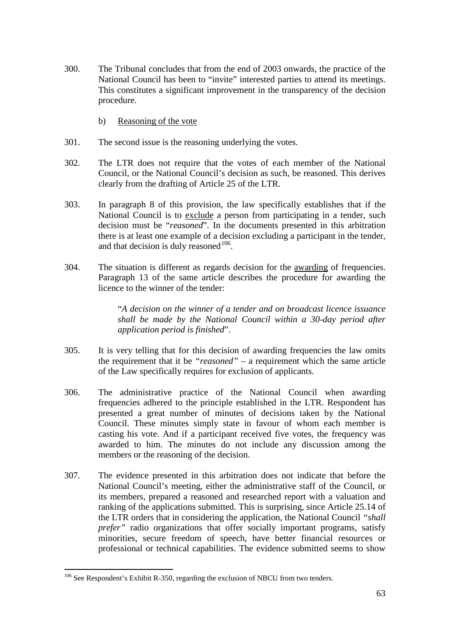- 300. The Tribunal concludes that from the end of 2003 onwards, the practice of the National Council has been to "invite" interested parties to attend its meetings. This constitutes a significant improvement in the transparency of the decision procedure.
	- b) Reasoning of the vote
- 301. The second issue is the reasoning underlying the votes.
- 302. The LTR does not require that the votes of each member of the National Council, or the National Council's decision as such, be reasoned. This derives clearly from the drafting of Article 25 of the LTR.
- 303. In paragraph 8 of this provision, the law specifically establishes that if the National Council is to exclude a person from participating in a tender, such decision must be "*reasoned*". In the documents presented in this arbitration there is at least one example of a decision excluding a participant in the tender, and that decision is duly reasoned  $106$ .
- 304. The situation is different as regards decision for the awarding of frequencies. Paragraph 13 of the same article describes the procedure for awarding the licence to the winner of the tender:

"*A decision on the winner of a tender and on broadcast licence issuance shall be made by the National Council within a 30-day period after application period is finished*".

- 305. It is very telling that for this decision of awarding frequencies the law omits the requirement that it be *"reasoned"* – a requirement which the same article of the Law specifically requires for exclusion of applicants.
- 306. The administrative practice of the National Council when awarding frequencies adhered to the principle established in the LTR. Respondent has presented a great number of minutes of decisions taken by the National Council. These minutes simply state in favour of whom each member is casting his vote. And if a participant received five votes, the frequency was awarded to him. The minutes do not include any discussion among the members or the reasoning of the decision.
- 307. The evidence presented in this arbitration does not indicate that before the National Council's meeting, either the administrative staff of the Council, or its members, prepared a reasoned and researched report with a valuation and ranking of the applications submitted. This is surprising, since Article 25.14 of the LTR orders that in considering the application, the National Council *"shall prefer"* radio organizations that offer socially important programs, satisfy minorities, secure freedom of speech, have better financial resources or professional or technical capabilities. The evidence submitted seems to show

<span id="page-62-0"></span> $106$  See Respondent's Exhibit R-350, regarding the exclusion of NBCU from two tenders.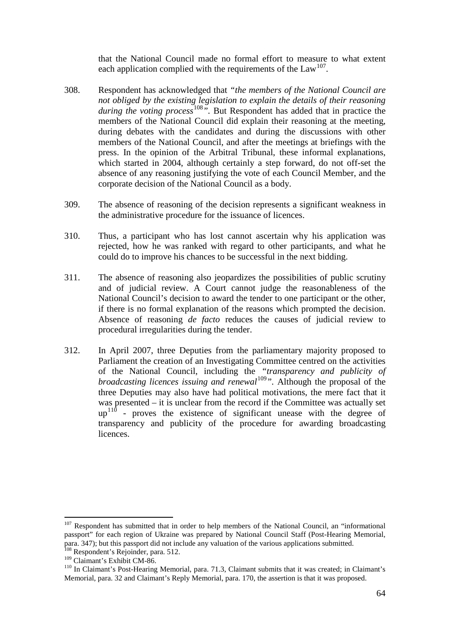that the National Council made no formal effort to measure to what extent each application complied with the requirements of the  $Law<sup>107</sup>$  $Law<sup>107</sup>$  $Law<sup>107</sup>$ .

- 308. Respondent has acknowledged that *"the members of the National Council are not obliged by the existing legislation to explain the details of their reasoning*  during the voting process<sup>[108](#page-63-1)</sup><sup>"</sup>. But Respondent has added that in practice the members of the National Council did explain their reasoning at the meeting, during debates with the candidates and during the discussions with other members of the National Council, and after the meetings at briefings with the press. In the opinion of the Arbitral Tribunal, these informal explanations, which started in 2004, although certainly a step forward, do not off-set the absence of any reasoning justifying the vote of each Council Member, and the corporate decision of the National Council as a body.
- 309. The absence of reasoning of the decision represents a significant weakness in the administrative procedure for the issuance of licences.
- 310. Thus, a participant who has lost cannot ascertain why his application was rejected, how he was ranked with regard to other participants, and what he could do to improve his chances to be successful in the next bidding.
- 311. The absence of reasoning also jeopardizes the possibilities of public scrutiny and of judicial review. A Court cannot judge the reasonableness of the National Council's decision to award the tender to one participant or the other, if there is no formal explanation of the reasons which prompted the decision. Absence of reasoning *de facto* reduces the causes of judicial review to procedural irregularities during the tender.
- 312. In April 2007, three Deputies from the parliamentary majority proposed to Parliament the creation of an Investigating Committee centred on the activities of the National Council, including the *"transparency and publicity of broadcasting licences issuing and renewal*<sup>[109](#page-63-2)</sup>*"*. Although the proposal of the three Deputies may also have had political motivations, the mere fact that it was presented – it is unclear from the record if the Committee was actually set  $up<sup>110</sup>$  $up<sup>110</sup>$  $up<sup>110</sup>$  - proves the existence of significant unease with the degree of transparency and publicity of the procedure for awarding broadcasting licences.

<span id="page-63-0"></span><sup>&</sup>lt;sup>107</sup> Respondent has submitted that in order to help members of the National Council, an "informational" passport" for each region of Ukraine was prepared by National Council Staff (Post-Hearing Memorial, para. 347); but this passport did not include any valuation of the various applications submitted.<br><sup>108</sup> Respondent's Rejoinder, para. 512.<br><sup>109</sup> Claimant's Exhibit CM-86.

<span id="page-63-2"></span><span id="page-63-1"></span>

<span id="page-63-3"></span> $110$  In Claimant's Post-Hearing Memorial, para. 71.3, Claimant submits that it was created; in Claimant's Memorial, para. 32 and Claimant's Reply Memorial, para. 170, the assertion is that it was proposed.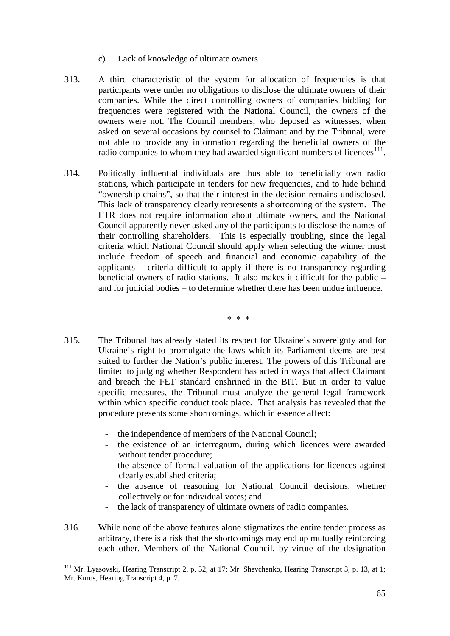#### c) Lack of knowledge of ultimate owners

- 313. A third characteristic of the system for allocation of frequencies is that participants were under no obligations to disclose the ultimate owners of their companies. While the direct controlling owners of companies bidding for frequencies were registered with the National Council, the owners of the owners were not. The Council members, who deposed as witnesses, when asked on several occasions by counsel to Claimant and by the Tribunal, were not able to provide any information regarding the beneficial owners of the radio companies to whom they had awarded significant numbers of licences<sup>[111](#page-64-0)</sup>.
- 314. Politically influential individuals are thus able to beneficially own radio stations, which participate in tenders for new frequencies, and to hide behind "ownership chains", so that their interest in the decision remains undisclosed. This lack of transparency clearly represents a shortcoming of the system. The LTR does not require information about ultimate owners, and the National Council apparently never asked any of the participants to disclose the names of their controlling shareholders. This is especially troubling, since the legal criteria which National Council should apply when selecting the winner must include freedom of speech and financial and economic capability of the applicants – criteria difficult to apply if there is no transparency regarding beneficial owners of radio stations. It also makes it difficult for the public – and for judicial bodies – to determine whether there has been undue influence.

\* \* \*

- 315. The Tribunal has already stated its respect for Ukraine's sovereignty and for Ukraine's right to promulgate the laws which its Parliament deems are best suited to further the Nation's public interest. The powers of this Tribunal are limited to judging whether Respondent has acted in ways that affect Claimant and breach the FET standard enshrined in the BIT. But in order to value specific measures, the Tribunal must analyze the general legal framework within which specific conduct took place. That analysis has revealed that the procedure presents some shortcomings, which in essence affect:
	- the independence of members of the National Council;
	- the existence of an interregnum, during which licences were awarded without tender procedure;
	- the absence of formal valuation of the applications for licences against clearly established criteria;
	- the absence of reasoning for National Council decisions, whether collectively or for individual votes; and
	- the lack of transparency of ultimate owners of radio companies.
- 316. While none of the above features alone stigmatizes the entire tender process as arbitrary, there is a risk that the shortcomings may end up mutually reinforcing each other. Members of the National Council, by virtue of the designation

<span id="page-64-0"></span><sup>&</sup>lt;sup>111</sup> Mr. Lyasovski, Hearing Transcript 2, p. 52, at 17; Mr. Shevchenko, Hearing Transcript 3, p. 13, at 1; Mr. Kurus, Hearing Transcript 4, p. 7.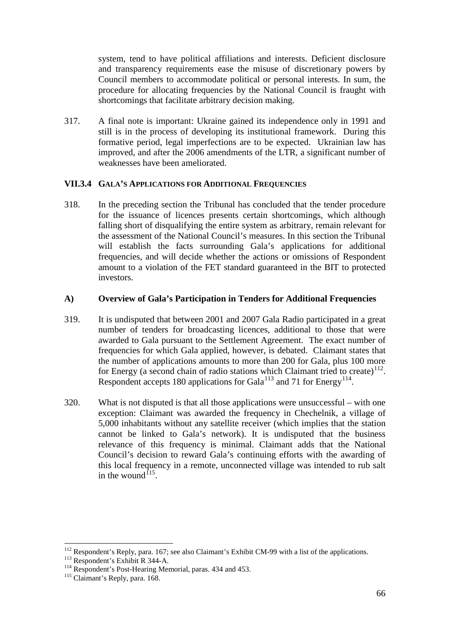system, tend to have political affiliations and interests. Deficient disclosure and transparency requirements ease the misuse of discretionary powers by Council members to accommodate political or personal interests. In sum, the procedure for allocating frequencies by the National Council is fraught with shortcomings that facilitate arbitrary decision making.

317. A final note is important: Ukraine gained its independence only in 1991 and still is in the process of developing its institutional framework. During this formative period, legal imperfections are to be expected. Ukrainian law has improved, and after the 2006 amendments of the LTR, a significant number of weaknesses have been ameliorated.

## **VII.3.4 GALA'S APPLICATIONS FOR ADDITIONAL FREQUENCIES**

318. In the preceding section the Tribunal has concluded that the tender procedure for the issuance of licences presents certain shortcomings, which although falling short of disqualifying the entire system as arbitrary, remain relevant for the assessment of the National Council's measures. In this section the Tribunal will establish the facts surrounding Gala's applications for additional frequencies, and will decide whether the actions or omissions of Respondent amount to a violation of the FET standard guaranteed in the BIT to protected investors.

## **A) Overview of Gala's Participation in Tenders for Additional Frequencies**

- 319. It is undisputed that between 2001 and 2007 Gala Radio participated in a great number of tenders for broadcasting licences, additional to those that were awarded to Gala pursuant to the Settlement Agreement. The exact number of frequencies for which Gala applied, however, is debated. Claimant states that the number of applications amounts to more than 200 for Gala, plus 100 more for Energy (a second chain of radio stations which Claimant tried to create)<sup>[112](#page-65-0)</sup>. Respondent accepts 180 applications for Gala<sup>[113](#page-65-1)</sup> and 71 for Energy<sup>[114](#page-65-2)</sup>.
- 320. What is not disputed is that all those applications were unsuccessful with one exception: Claimant was awarded the frequency in Chechelnik, a village of 5,000 inhabitants without any satellite receiver (which implies that the station cannot be linked to Gala's network). It is undisputed that the business relevance of this frequency is minimal. Claimant adds that the National Council's decision to reward Gala's continuing efforts with the awarding of this local frequency in a remote, unconnected village was intended to rub salt in the wound  $115$ .

<span id="page-65-1"></span><span id="page-65-0"></span><sup>&</sup>lt;sup>112</sup> Respondent's Reply, para. 167; see also Claimant's Exhibit CM-99 with a list of the applications.<br><sup>113</sup> Respondent's Exhibit R 344-A.<br><sup>114</sup> Respondent's Post-Hearing Memorial, paras. 434 and 453.<br><sup>115</sup> Claimant's Re

<span id="page-65-2"></span>

<span id="page-65-3"></span>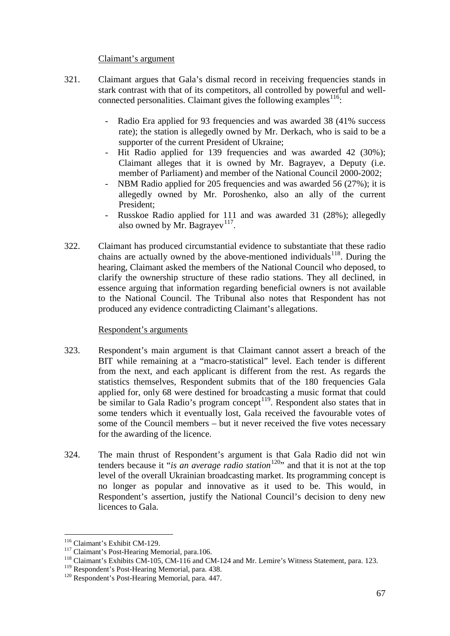## Claimant's argument

- 321. Claimant argues that Gala's dismal record in receiving frequencies stands in stark contrast with that of its competitors, all controlled by powerful and wellconnected personalities. Claimant gives the following examples  $116$ :
	- Radio Era applied for 93 frequencies and was awarded 38 (41% success) rate); the station is allegedly owned by Mr. Derkach, who is said to be a supporter of the current President of Ukraine;
	- Hit Radio applied for 139 frequencies and was awarded 42 (30%); Claimant alleges that it is owned by Mr. Bagrayev, a Deputy (i.e. member of Parliament) and member of the National Council 2000-2002;
	- NBM Radio applied for 205 frequencies and was awarded 56 (27%); it is allegedly owned by Mr. Poroshenko, also an ally of the current President;
	- Russkoe Radio applied for 111 and was awarded 31 (28%); allegedly also owned by Mr. Bagrayev<sup>117</sup>.
- 322. Claimant has produced circumstantial evidence to substantiate that these radio chains are actually owned by the above-mentioned individuals<sup>[118](#page-66-2)</sup>. During the hearing, Claimant asked the members of the National Council who deposed, to clarify the ownership structure of these radio stations. They all declined, in essence arguing that information regarding beneficial owners is not available to the National Council. The Tribunal also notes that Respondent has not produced any evidence contradicting Claimant's allegations.

# Respondent's arguments

- 323. Respondent's main argument is that Claimant cannot assert a breach of the BIT while remaining at a "macro-statistical" level. Each tender is different from the next, and each applicant is different from the rest. As regards the statistics themselves, Respondent submits that of the 180 frequencies Gala applied for, only 68 were destined for broadcasting a music format that could be similar to Gala Radio's program concept<sup>[119](#page-66-3)</sup>. Respondent also states that in some tenders which it eventually lost, Gala received the favourable votes of some of the Council members – but it never received the five votes necessary for the awarding of the licence.
- 324. The main thrust of Respondent's argument is that Gala Radio did not win tenders because it "*is an average radio station*<sup>[120](#page-66-4)</sup>" and that it is not at the top level of the overall Ukrainian broadcasting market. Its programming concept is no longer as popular and innovative as it used to be. This would, in Respondent's assertion, justify the National Council's decision to deny new licences to Gala.

<span id="page-66-1"></span><span id="page-66-0"></span><sup>&</sup>lt;sup>116</sup> Claimant's Exhibit CM-129.<br><sup>117</sup> Claimant's Post-Hearing Memorial, para.106.<br><sup>118</sup> Claimant's Exhibits CM-105, CM-116 and CM-124 and Mr. Lemire's Witness Statement, para. 123.<br><sup>119</sup> Respondent's Post-Hearing Memorial

<span id="page-66-3"></span><span id="page-66-2"></span>

<span id="page-66-4"></span><sup>&</sup>lt;sup>120</sup> Respondent's Post-Hearing Memorial, para. 447.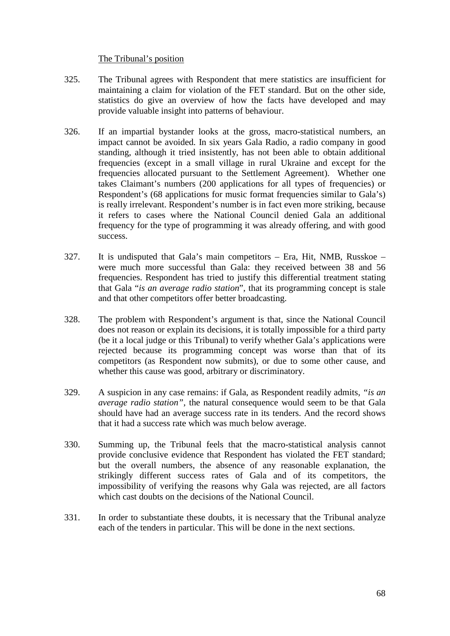#### The Tribunal's position

- 325. The Tribunal agrees with Respondent that mere statistics are insufficient for maintaining a claim for violation of the FET standard. But on the other side, statistics do give an overview of how the facts have developed and may provide valuable insight into patterns of behaviour.
- 326. If an impartial bystander looks at the gross, macro-statistical numbers, an impact cannot be avoided. In six years Gala Radio, a radio company in good standing, although it tried insistently, has not been able to obtain additional frequencies (except in a small village in rural Ukraine and except for the frequencies allocated pursuant to the Settlement Agreement). Whether one takes Claimant's numbers (200 applications for all types of frequencies) or Respondent's (68 applications for music format frequencies similar to Gala's) is really irrelevant. Respondent's number is in fact even more striking, because it refers to cases where the National Council denied Gala an additional frequency for the type of programming it was already offering, and with good success.
- 327. It is undisputed that Gala's main competitors Era, Hit, NMB, Russkoe were much more successful than Gala: they received between 38 and 56 frequencies. Respondent has tried to justify this differential treatment stating that Gala "*is an average radio station*", that its programming concept is stale and that other competitors offer better broadcasting.
- 328. The problem with Respondent's argument is that, since the National Council does not reason or explain its decisions, it is totally impossible for a third party (be it a local judge or this Tribunal) to verify whether Gala's applications were rejected because its programming concept was worse than that of its competitors (as Respondent now submits), or due to some other cause, and whether this cause was good, arbitrary or discriminatory.
- 329. A suspicion in any case remains: if Gala, as Respondent readily admits, *"is an average radio station"*, the natural consequence would seem to be that Gala should have had an average success rate in its tenders. And the record shows that it had a success rate which was much below average.
- 330. Summing up, the Tribunal feels that the macro-statistical analysis cannot provide conclusive evidence that Respondent has violated the FET standard; but the overall numbers, the absence of any reasonable explanation, the strikingly different success rates of Gala and of its competitors, the impossibility of verifying the reasons why Gala was rejected, are all factors which cast doubts on the decisions of the National Council.
- 331. In order to substantiate these doubts, it is necessary that the Tribunal analyze each of the tenders in particular. This will be done in the next sections.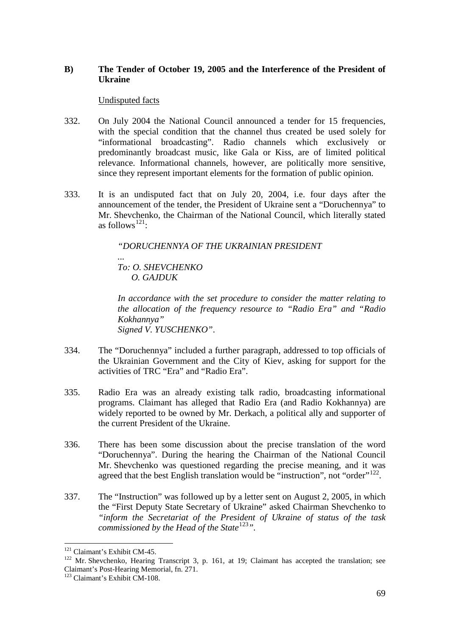## **B) The Tender of October 19, 2005 and the Interference of the President of Ukraine**

#### Undisputed facts

- 332. On July 2004 the National Council announced a tender for 15 frequencies, with the special condition that the channel thus created be used solely for "informational broadcasting". Radio channels which exclusively or predominantly broadcast music, like Gala or Kiss, are of limited political relevance. Informational channels, however, are politically more sensitive, since they represent important elements for the formation of public opinion.
- 333. It is an undisputed fact that on July 20, 2004, i.e. four days after the announcement of the tender, the President of Ukraine sent a "Doruchennya" to Mr. Shevchenko, the Chairman of the National Council, which literally stated as follows<sup>[121](#page-68-0)</sup>:

*"DORUCHENNYA OF THE UKRAINIAN PRESIDENT*

*... To: O. SHEVCHENKO O. GAJDUK*

*In accordance with the set procedure to consider the matter relating to the allocation of the frequency resource to "Radio Era" and "Radio Kokhannya" Signed V. YUSCHENKO"*.

- 334. The "Doruchennya" included a further paragraph, addressed to top officials of the Ukrainian Government and the City of Kiev, asking for support for the activities of TRC "Era" and "Radio Era".
- 335. Radio Era was an already existing talk radio, broadcasting informational programs. Claimant has alleged that Radio Era (and Radio Kokhannya) are widely reported to be owned by Mr. Derkach, a political ally and supporter of the current President of the Ukraine.
- 336. There has been some discussion about the precise translation of the word "Doruchennya". During the hearing the Chairman of the National Council Mr. Shevchenko was questioned regarding the precise meaning, and it was agreed that the best English translation would be "instruction", not "order"<sup>122</sup>.
- 337. The "Instruction" was followed up by a letter sent on August 2, 2005, in which the "First Deputy State Secretary of Ukraine" asked Chairman Shevchenko to *"inform the Secretariat of the President of Ukraine of status of the task commissioned by the Head of the State*[123](#page-68-2) *".*

<sup>&</sup>lt;sup>121</sup> Claimant's Exhibit CM-45.

<span id="page-68-1"></span><span id="page-68-0"></span><sup>&</sup>lt;sup>122</sup> Mr. Shevchenko, Hearing Transcript 3, p. 161, at 19; Claimant has accepted the translation; see Claimant's Post-Hearing Memorial, fn. 271. <sup>123</sup> Claimant's Exhibit CM-108.

<span id="page-68-2"></span>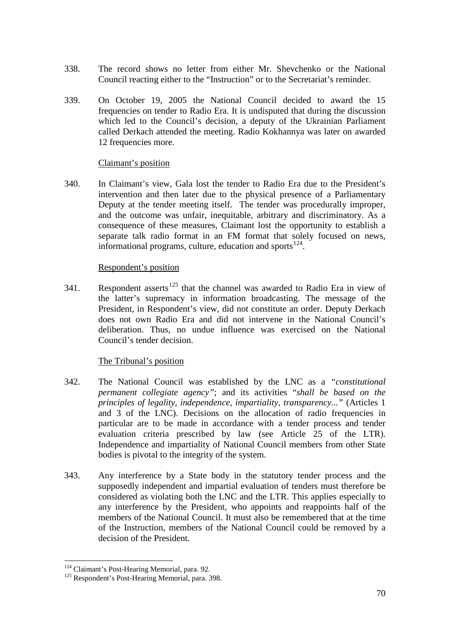- 338. The record shows no letter from either Mr. Shevchenko or the National Council reacting either to the "Instruction" or to the Secretariat's reminder.
- 339. On October 19, 2005 the National Council decided to award the 15 frequencies on tender to Radio Era. It is undisputed that during the discussion which led to the Council's decision, a deputy of the Ukrainian Parliament called Derkach attended the meeting. Radio Kokhannya was later on awarded 12 frequencies more.

## Claimant's position

340. In Claimant's view, Gala lost the tender to Radio Era due to the President's intervention and then later due to the physical presence of a Parliamentary Deputy at the tender meeting itself. The tender was procedurally improper, and the outcome was unfair, inequitable, arbitrary and discriminatory. As a consequence of these measures, Claimant lost the opportunity to establish a separate talk radio format in an FM format that solely focused on news, informational programs, culture, education and sports $^{124}$  $^{124}$  $^{124}$ .

## Respondent's position

341. Respondent asserts<sup>[125](#page-69-1)</sup> that the channel was awarded to Radio Era in view of the latter's supremacy in information broadcasting. The message of the President, in Respondent's view, did not constitute an order. Deputy Derkach does not own Radio Era and did not intervene in the National Council's deliberation. Thus, no undue influence was exercised on the National Council's tender decision.

# The Tribunal's position

- 342. The National Council was established by the LNC as a *"constitutional permanent collegiate agency"*; and its activities "*shall be based on the principles of legality, independence, impartiality, transparency..."* (Articles 1 and 3 of the LNC). Decisions on the allocation of radio frequencies in particular are to be made in accordance with a tender process and tender evaluation criteria prescribed by law (see Article 25 of the LTR). Independence and impartiality of National Council members from other State bodies is pivotal to the integrity of the system.
- 343. Any interference by a State body in the statutory tender process and the supposedly independent and impartial evaluation of tenders must therefore be considered as violating both the LNC and the LTR. This applies especially to any interference by the President, who appoints and reappoints half of the members of the National Council. It must also be remembered that at the time of the Instruction, members of the National Council could be removed by a decision of the President.

<span id="page-69-1"></span><span id="page-69-0"></span><sup>&</sup>lt;sup>124</sup> Claimant's Post-Hearing Memorial, para. 92.<br><sup>125</sup> Respondent's Post-Hearing Memorial, para. 398.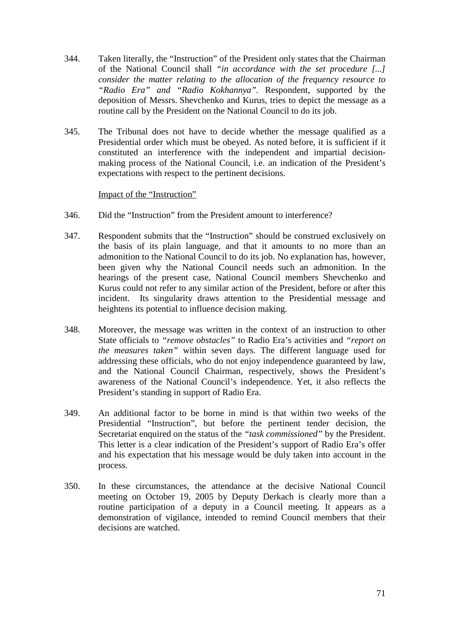- 344. Taken literally, the "Instruction" of the President only states that the Chairman of the National Council shall *"in accordance with the set procedure [...] consider the matter relating to the allocation of the frequency resource to "Radio Era" and "Radio Kokhannya".* Respondent, supported by the deposition of Messrs. Shevchenko and Kurus, tries to depict the message as a routine call by the President on the National Council to do its job.
- 345. The Tribunal does not have to decide whether the message qualified as a Presidential order which must be obeyed. As noted before, it is sufficient if it constituted an interference with the independent and impartial decisionmaking process of the National Council, i.e. an indication of the President's expectations with respect to the pertinent decisions.

# Impact of the "Instruction"

- 346. Did the "Instruction" from the President amount to interference?
- 347. Respondent submits that the "Instruction" should be construed exclusively on the basis of its plain language, and that it amounts to no more than an admonition to the National Council to do its job. No explanation has, however, been given why the National Council needs such an admonition. In the hearings of the present case, National Council members Shevchenko and Kurus could not refer to any similar action of the President, before or after this incident. Its singularity draws attention to the Presidential message and heightens its potential to influence decision making.
- 348. Moreover, the message was written in the context of an instruction to other State officials to *"remove obstacles"* to Radio Era's activities and *"report on the measures taken"* within seven days. The different language used for addressing these officials, who do not enjoy independence guaranteed by law, and the National Council Chairman, respectively, shows the President's awareness of the National Council's independence. Yet, it also reflects the President's standing in support of Radio Era.
- 349. An additional factor to be borne in mind is that within two weeks of the Presidential "Instruction", but before the pertinent tender decision, the Secretariat enquired on the status of the *"task commissioned"* by the President. This letter is a clear indication of the President's support of Radio Era's offer and his expectation that his message would be duly taken into account in the process.
- 350. In these circumstances, the attendance at the decisive National Council meeting on October 19, 2005 by Deputy Derkach is clearly more than a routine participation of a deputy in a Council meeting. It appears as a demonstration of vigilance, intended to remind Council members that their decisions are watched.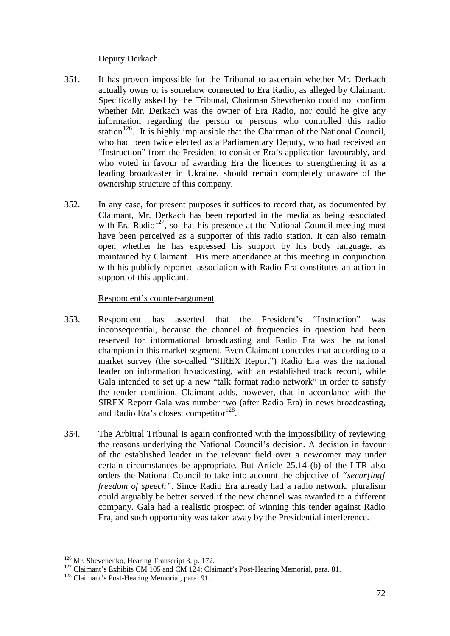#### Deputy Derkach

- 351. It has proven impossible for the Tribunal to ascertain whether Mr. Derkach actually owns or is somehow connected to Era Radio, as alleged by Claimant. Specifically asked by the Tribunal, Chairman Shevchenko could not confirm whether Mr. Derkach was the owner of Era Radio, nor could he give any information regarding the person or persons who controlled this radio station<sup>126</sup>. It is highly implausible that the Chairman of the National Council, who had been twice elected as a Parliamentary Deputy, who had received an "Instruction" from the President to consider Era's application favourably, and who voted in favour of awarding Era the licences to strengthening it as a leading broadcaster in Ukraine, should remain completely unaware of the ownership structure of this company.
- 352. In any case, for present purposes it suffices to record that, as documented by Claimant, Mr. Derkach has been reported in the media as being associated with Era Radio<sup>127</sup>, so that his presence at the National Council meeting must have been perceived as a supporter of this radio station. It can also remain open whether he has expressed his support by his body language, as maintained by Claimant. His mere attendance at this meeting in conjunction with his publicly reported association with Radio Era constitutes an action in support of this applicant.

## Respondent's counter-argument

- 353. Respondent has asserted that the President's "Instruction" was inconsequential, because the channel of frequencies in question had been reserved for informational broadcasting and Radio Era was the national champion in this market segment. Even Claimant concedes that according to a market survey (the so-called "SIREX Report") Radio Era was the national leader on information broadcasting, with an established track record, while Gala intended to set up a new "talk format radio network" in order to satisfy the tender condition. Claimant adds, however, that in accordance with the SIREX Report Gala was number two (after Radio Era) in news broadcasting, and Radio Era's closest competitor<sup>128</sup>.
- 354. The Arbitral Tribunal is again confronted with the impossibility of reviewing the reasons underlying the National Council's decision. A decision in favour of the established leader in the relevant field over a newcomer may under certain circumstances be appropriate. But Article 25.14 (b) of the LTR also orders the National Council to take into account the objective of *"secur[ing] freedom of speech"*. Since Radio Era already had a radio network, pluralism could arguably be better served if the new channel was awarded to a different company. Gala had a realistic prospect of winning this tender against Radio Era, and such opportunity was taken away by the Presidential interference.

<span id="page-71-0"></span><sup>&</sup>lt;sup>126</sup> Mr. Shevchenko, Hearing Transcript 3, p. 172.<br><sup>127</sup> Claimant's Exhibits CM 105 and CM 124; Claimant's Post-Hearing Memorial, para. 81.<br><sup>128</sup> Claimant's Post-Hearing Memorial, para. 91.

<span id="page-71-2"></span><span id="page-71-1"></span>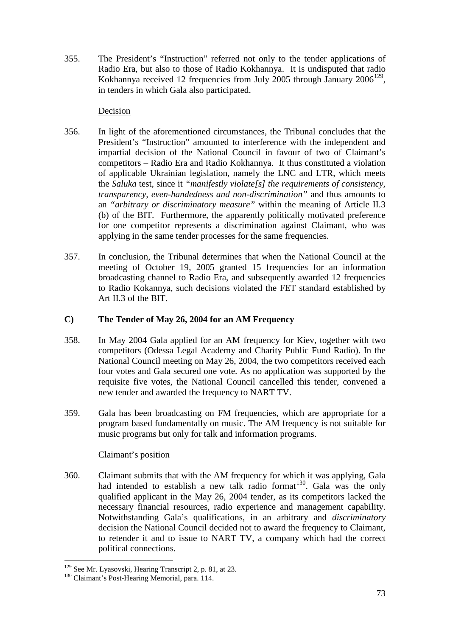355. The President's "Instruction" referred not only to the tender applications of Radio Era, but also to those of Radio Kokhannya. It is undisputed that radio Kokhannya received 12 frequencies from July 2005 through January  $2006^{129}$  $2006^{129}$  $2006^{129}$ , in tenders in which Gala also participated.

# Decision

- 356. In light of the aforementioned circumstances, the Tribunal concludes that the President's "Instruction" amounted to interference with the independent and impartial decision of the National Council in favour of two of Claimant's competitors – Radio Era and Radio Kokhannya. It thus constituted a violation of applicable Ukrainian legislation, namely the LNC and LTR, which meets the *Saluka* test, since it *"manifestly violate[s] the requirements of consistency, transparency, even-handedness and non-discrimination"* and thus amounts to an *"arbitrary or discriminatory measure"* within the meaning of Article II.3 (b) of the BIT. Furthermore, the apparently politically motivated preference for one competitor represents a discrimination against Claimant, who was applying in the same tender processes for the same frequencies.
- 357. In conclusion, the Tribunal determines that when the National Council at the meeting of October 19, 2005 granted 15 frequencies for an information broadcasting channel to Radio Era, and subsequently awarded 12 frequencies to Radio Kokannya, such decisions violated the FET standard established by Art II.3 of the BIT.

# **C) The Tender of May 26, 2004 for an AM Frequency**

- 358. In May 2004 Gala applied for an AM frequency for Kiev, together with two competitors (Odessa Legal Academy and Charity Public Fund Radio). In the National Council meeting on May 26, 2004, the two competitors received each four votes and Gala secured one vote. As no application was supported by the requisite five votes, the National Council cancelled this tender, convened a new tender and awarded the frequency to NART TV.
- 359. Gala has been broadcasting on FM frequencies, which are appropriate for a program based fundamentally on music. The AM frequency is not suitable for music programs but only for talk and information programs.

# Claimant's position

360. Claimant submits that with the AM frequency for which it was applying, Gala had intended to establish a new talk radio format<sup>[130](#page-72-1)</sup>. Gala was the only qualified applicant in the May 26, 2004 tender, as its competitors lacked the necessary financial resources, radio experience and management capability. Notwithstanding Gala's qualifications, in an arbitrary and *discriminatory* decision the National Council decided not to award the frequency to Claimant, to retender it and to issue to NART TV, a company which had the correct political connections.

<span id="page-72-0"></span> <sup>129</sup> See Mr. Lyasovski, Hearing Transcript 2, p. 81, at 23.

<span id="page-72-1"></span><sup>&</sup>lt;sup>130</sup> Claimant's Post-Hearing Memorial, para. 114.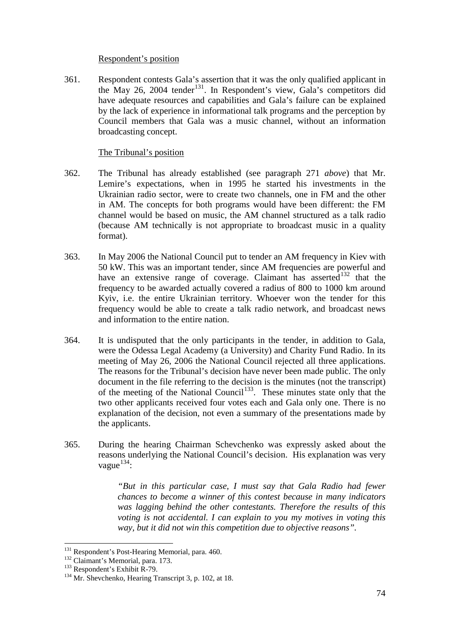### Respondent's position

361. Respondent contests Gala's assertion that it was the only qualified applicant in the May 26, 2004 tender<sup>[131](#page-73-0)</sup>. In Respondent's view, Gala's competitors did have adequate resources and capabilities and Gala's failure can be explained by the lack of experience in informational talk programs and the perception by Council members that Gala was a music channel, without an information broadcasting concept.

## The Tribunal's position

- 362. The Tribunal has already established (see paragraph 271 *above*) that Mr. Lemire's expectations, when in 1995 he started his investments in the Ukrainian radio sector, were to create two channels, one in FM and the other in AM. The concepts for both programs would have been different: the FM channel would be based on music, the AM channel structured as a talk radio (because AM technically is not appropriate to broadcast music in a quality format).
- 363. In May 2006 the National Council put to tender an AM frequency in Kiev with 50 kW. This was an important tender, since AM frequencies are powerful and have an extensive range of coverage. Claimant has asserted<sup>[132](#page-73-1)</sup> that the frequency to be awarded actually covered a radius of 800 to 1000 km around Kyiv, i.e. the entire Ukrainian territory. Whoever won the tender for this frequency would be able to create a talk radio network, and broadcast news and information to the entire nation.
- 364. It is undisputed that the only participants in the tender, in addition to Gala, were the Odessa Legal Academy (a University) and Charity Fund Radio. In its meeting of May 26, 2006 the National Council rejected all three applications. The reasons for the Tribunal's decision have never been made public. The only document in the file referring to the decision is the minutes (not the transcript) of the meeting of the National Council<sup>[133](#page-73-2)</sup>. These minutes state only that the two other applicants received four votes each and Gala only one. There is no explanation of the decision, not even a summary of the presentations made by the applicants.
- 365. During the hearing Chairman Schevchenko was expressly asked about the reasons underlying the National Council's decision. His explanation was very vague $^{134}$  $^{134}$  $^{134}$ :

*"But in this particular case, I must say that Gala Radio had fewer chances to become a winner of this contest because in many indicators was lagging behind the other contestants. Therefore the results of this voting is not accidental. I can explain to you my motives in voting this way, but it did not win this competition due to objective reasons".*

<span id="page-73-0"></span><sup>&</sup>lt;sup>131</sup> Respondent's Post-Hearing Memorial, para. 460.<br><sup>132</sup> Claimant's Memorial, para. 173.<br><sup>133</sup> Respondent's Exhibit R-79.<br><sup>134</sup> Mr. Shevchenko, Hearing Transcript 3, p. 102, at 18.

<span id="page-73-2"></span><span id="page-73-1"></span>

<span id="page-73-3"></span>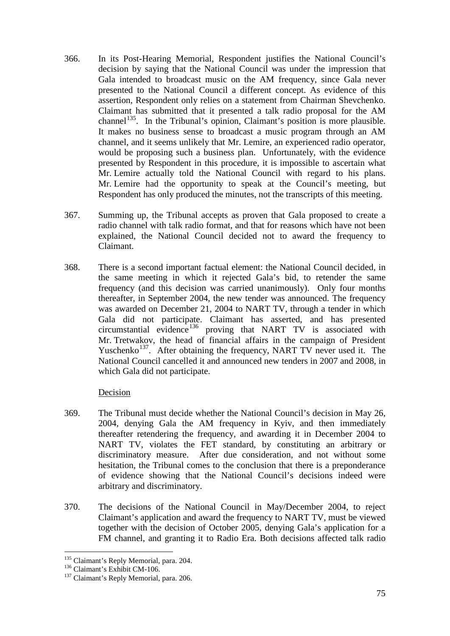- 366. In its Post-Hearing Memorial, Respondent justifies the National Council's decision by saying that the National Council was under the impression that Gala intended to broadcast music on the AM frequency, since Gala never presented to the National Council a different concept. As evidence of this assertion, Respondent only relies on a statement from Chairman Shevchenko. Claimant has submitted that it presented a talk radio proposal for the AM channel<sup>[135](#page-74-0)</sup>. In the Tribunal's opinion, Claimant's position is more plausible. It makes no business sense to broadcast a music program through an AM channel, and it seems unlikely that Mr. Lemire, an experienced radio operator, would be proposing such a business plan. Unfortunately, with the evidence presented by Respondent in this procedure, it is impossible to ascertain what Mr. Lemire actually told the National Council with regard to his plans. Mr. Lemire had the opportunity to speak at the Council's meeting, but Respondent has only produced the minutes, not the transcripts of this meeting.
- 367. Summing up, the Tribunal accepts as proven that Gala proposed to create a radio channel with talk radio format, and that for reasons which have not been explained, the National Council decided not to award the frequency to Claimant.
- 368. There is a second important factual element: the National Council decided, in the same meeting in which it rejected Gala's bid, to retender the same frequency (and this decision was carried unanimously). Only four months thereafter, in September 2004, the new tender was announced. The frequency was awarded on December 21, 2004 to NART TV, through a tender in which Gala did not participate. Claimant has asserted, and has presented circumstantial evidence<sup>[136](#page-74-1)</sup> proving that NART TV is associated with Mr. Tretwakov, the head of financial affairs in the campaign of President Yuschenko<sup>137</sup>. After obtaining the frequency, NART TV never used it. The National Council cancelled it and announced new tenders in 2007 and 2008, in which Gala did not participate.

# Decision

- 369. The Tribunal must decide whether the National Council's decision in May 26, 2004, denying Gala the AM frequency in Kyiv, and then immediately thereafter retendering the frequency, and awarding it in December 2004 to NART TV, violates the FET standard, by constituting an arbitrary or discriminatory measure. After due consideration, and not without some hesitation, the Tribunal comes to the conclusion that there is a preponderance of evidence showing that the National Council's decisions indeed were arbitrary and discriminatory.
- 370. The decisions of the National Council in May/December 2004, to reject Claimant's application and award the frequency to NART TV, must be viewed together with the decision of October 2005, denying Gala's application for a FM channel, and granting it to Radio Era. Both decisions affected talk radio

<span id="page-74-0"></span><sup>&</sup>lt;sup>135</sup> Claimant's Reply Memorial, para. 204.<br><sup>136</sup> Claimant's Exhibit CM-106.<br><sup>137</sup> Claimant's Reply Memorial, para. 206.

<span id="page-74-1"></span>

<span id="page-74-2"></span>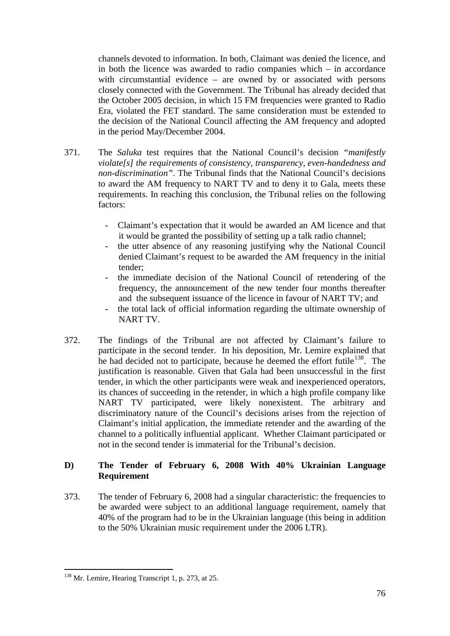channels devoted to information. In both, Claimant was denied the licence, and in both the licence was awarded to radio companies which – in accordance with circumstantial evidence – are owned by or associated with persons closely connected with the Government. The Tribunal has already decided that the October 2005 decision, in which 15 FM frequencies were granted to Radio Era, violated the FET standard. The same consideration must be extended to the decision of the National Council affecting the AM frequency and adopted in the period May/December 2004.

- 371. The *Saluka* test requires that the National Council's decision *"manifestly violate[s] the requirements of consistency, transparency, even-handedness and non-discrimination"*. The Tribunal finds that the National Council's decisions to award the AM frequency to NART TV and to deny it to Gala, meets these requirements. In reaching this conclusion, the Tribunal relies on the following factors:
	- Claimant's expectation that it would be awarded an AM licence and that it would be granted the possibility of setting up a talk radio channel;
	- the utter absence of any reasoning justifying why the National Council denied Claimant's request to be awarded the AM frequency in the initial tender;
	- the immediate decision of the National Council of retendering of the frequency, the announcement of the new tender four months thereafter and the subsequent issuance of the licence in favour of NART TV; and
	- the total lack of official information regarding the ultimate ownership of NART TV.
- 372. The findings of the Tribunal are not affected by Claimant's failure to participate in the second tender. In his deposition, Mr. Lemire explained that he had decided not to participate, because he deemed the effort futile<sup>[138](#page-75-0)</sup>. The justification is reasonable. Given that Gala had been unsuccessful in the first tender, in which the other participants were weak and inexperienced operators, its chances of succeeding in the retender, in which a high profile company like NART TV participated, were likely nonexistent. The arbitrary and discriminatory nature of the Council's decisions arises from the rejection of Claimant's initial application, the immediate retender and the awarding of the channel to a politically influential applicant. Whether Claimant participated or not in the second tender is immaterial for the Tribunal's decision.

# **D) The Tender of February 6, 2008 With 40% Ukrainian Language Requirement**

373. The tender of February 6, 2008 had a singular characteristic: the frequencies to be awarded were subject to an additional language requirement, namely that 40% of the program had to be in the Ukrainian language (this being in addition to the 50% Ukrainian music requirement under the 2006 LTR).

<span id="page-75-0"></span><sup>&</sup>lt;sup>138</sup> Mr. Lemire, Hearing Transcript 1, p. 273, at 25.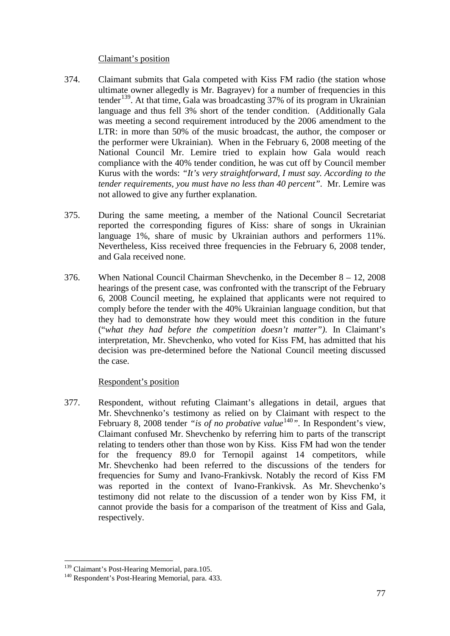## Claimant's position

- 374. Claimant submits that Gala competed with Kiss FM radio (the station whose ultimate owner allegedly is Mr. Bagrayev) for a number of frequencies in this tender<sup>139</sup>. At that time, Gala was broadcasting 37% of its program in Ukrainian language and thus fell 3% short of the tender condition. (Additionally Gala was meeting a second requirement introduced by the 2006 amendment to the LTR: in more than 50% of the music broadcast, the author, the composer or the performer were Ukrainian). When in the February 6, 2008 meeting of the National Council Mr. Lemire tried to explain how Gala would reach compliance with the 40% tender condition, he was cut off by Council member Kurus with the words: *"It's very straightforward, I must say. According to the tender requirements, you must have no less than 40 percent".* Mr. Lemire was not allowed to give any further explanation.
- 375. During the same meeting, a member of the National Council Secretariat reported the corresponding figures of Kiss: share of songs in Ukrainian language 1%, share of music by Ukrainian authors and performers 11%. Nevertheless, Kiss received three frequencies in the February 6, 2008 tender, and Gala received none.
- 376. When National Council Chairman Shevchenko, in the December 8 12, 2008 hearings of the present case, was confronted with the transcript of the February 6, 2008 Council meeting, he explained that applicants were not required to comply before the tender with the 40% Ukrainian language condition, but that they had to demonstrate how they would meet this condition in the future ("*what they had before the competition doesn't matter")*. In Claimant's interpretation, Mr. Shevchenko, who voted for Kiss FM, has admitted that his decision was pre-determined before the National Council meeting discussed the case.

# Respondent's position

377. Respondent, without refuting Claimant's allegations in detail, argues that Mr. Shevchnenko's testimony as relied on by Claimant with respect to the February 8, 2008 tender "*is of no probative value*<sup>[140](#page-76-1)</sup>". In Respondent's view, Claimant confused Mr. Shevchenko by referring him to parts of the transcript relating to tenders other than those won by Kiss. Kiss FM had won the tender for the frequency 89.0 for Ternopil against 14 competitors, while Mr. Shevchenko had been referred to the discussions of the tenders for frequencies for Sumy and Ivano-Frankivsk. Notably the record of Kiss FM was reported in the context of Ivano-Frankivsk. As Mr. Shevchenko's testimony did not relate to the discussion of a tender won by Kiss FM, it cannot provide the basis for a comparison of the treatment of Kiss and Gala, respectively.

<span id="page-76-1"></span><span id="page-76-0"></span><sup>&</sup>lt;sup>139</sup> Claimant's Post-Hearing Memorial, para.105.<br><sup>140</sup> Respondent's Post-Hearing Memorial, para. 433.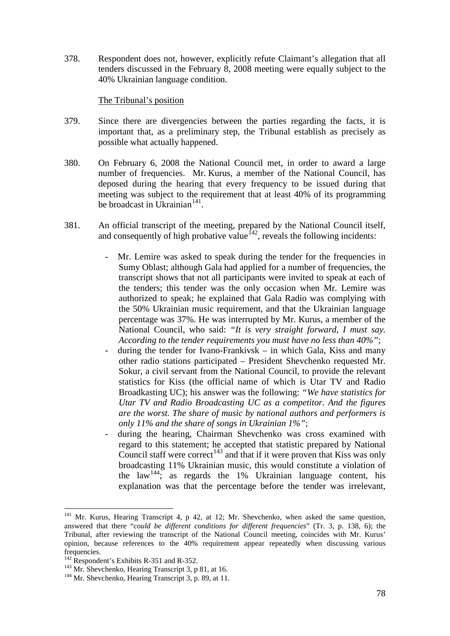378. Respondent does not, however, explicitly refute Claimant's allegation that all tenders discussed in the February 8, 2008 meeting were equally subject to the 40% Ukrainian language condition.

### The Tribunal's position

- 379. Since there are divergencies between the parties regarding the facts, it is important that, as a preliminary step, the Tribunal establish as precisely as possible what actually happened.
- 380. On February 6, 2008 the National Council met, in order to award a large number of frequencies. Mr. Kurus, a member of the National Council, has deposed during the hearing that every frequency to be issued during that meeting was subject to the requirement that at least 40% of its programming be broadcast in Ukrainian<sup>[141](#page-77-0)</sup>.
- 381. An official transcript of the meeting, prepared by the National Council itself, and consequently of high probative value  $^{142}$  $^{142}$  $^{142}$ , reveals the following incidents:
	- Mr. Lemire was asked to speak during the tender for the frequencies in Sumy Oblast; although Gala had applied for a number of frequencies, the transcript shows that not all participants were invited to speak at each of the tenders; this tender was the only occasion when Mr. Lemire was authorized to speak; he explained that Gala Radio was complying with the 50% Ukrainian music requirement, and that the Ukrainian language percentage was 37%. He was interrupted by Mr. Kurus, a member of the National Council, who said: *"It is very straight forward, I must say. According to the tender requirements you must have no less than 40%"*;
	- during the tender for Ivano-Frankivsk in which Gala, Kiss and many other radio stations participated – President Shevchenko requested Mr. Sokur, a civil servant from the National Council, to provide the relevant statistics for Kiss (the official name of which is Utar TV and Radio Broadkasting UC); his answer was the following: *"We have statistics for Utar TV and Radio Broadcasting UC as a competitor. And the figures are the worst. The share of music by national authors and performers is only 11% and the share of songs in Ukrainian 1%"*;
	- during the hearing, Chairman Shevchenko was cross examined with regard to this statement; he accepted that statistic prepared by National Council staff were correct<sup> $143$ </sup> and that if it were proven that Kiss was only broadcasting 11% Ukrainian music, this would constitute a violation of the law<sup>[144](#page-77-3)</sup>; as regards the 1% Ukrainian language content, his explanation was that the percentage before the tender was irrelevant,

<span id="page-77-0"></span><sup>&</sup>lt;sup>141</sup> Mr. Kurus, Hearing Transcript 4, p 42, at 12; Mr. Shevchenko, when asked the same question, answered that there "*could be different conditions for different frequencies*" (Tr. 3, p. 138, 6); the Tribunal, after reviewing the transcript of the National Council meeting, coincides with Mr. Kurus' opinion, because references to the 40% requirement appear repeatedly when discussing various frequencies.<br><sup>142</sup> Respondent's Exhibits R-351 and R-352.

<span id="page-77-1"></span>

<span id="page-77-3"></span><span id="page-77-2"></span><sup>&</sup>lt;sup>143</sup> Mr. Shevchenko, Hearing Transcript 3, p 81, at 16. <sup>144</sup> Mr. Shevchenko, Hearing Transcript 3, p. 89, at 11.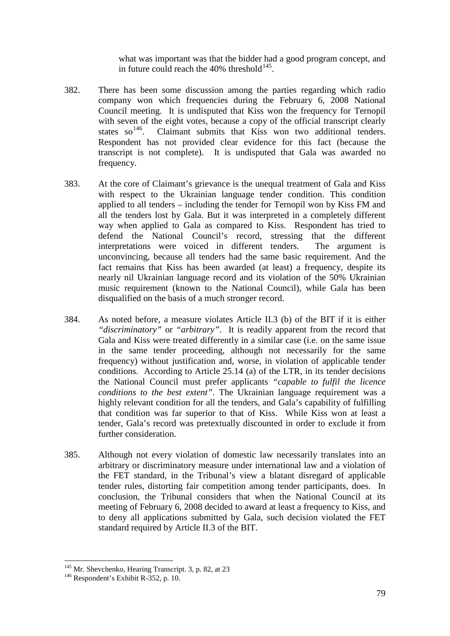what was important was that the bidder had a good program concept, and in future could reach the  $40\%$  threshold<sup>145</sup>.

- 382. There has been some discussion among the parties regarding which radio company won which frequencies during the February 6, 2008 National Council meeting. It is undisputed that Kiss won the frequency for Ternopil with seven of the eight votes, because a copy of the official transcript clearly states so<sup>146</sup>. Claimant submits that Kiss won two additional tenders. Claimant submits that Kiss won two additional tenders. Respondent has not provided clear evidence for this fact (because the transcript is not complete). It is undisputed that Gala was awarded no frequency.
- 383. At the core of Claimant's grievance is the unequal treatment of Gala and Kiss with respect to the Ukrainian language tender condition. This condition applied to all tenders – including the tender for Ternopil won by Kiss FM and all the tenders lost by Gala. But it was interpreted in a completely different way when applied to Gala as compared to Kiss. Respondent has tried to defend the National Council's record, stressing that the different interpretations were voiced in different tenders. The argument is unconvincing, because all tenders had the same basic requirement. And the fact remains that Kiss has been awarded (at least) a frequency, despite its nearly nil Ukrainian language record and its violation of the 50% Ukrainian music requirement (known to the National Council), while Gala has been disqualified on the basis of a much stronger record.
- 384. As noted before, a measure violates Article II.3 (b) of the BIT if it is either *"discriminatory"* or *"arbitrary"*. It is readily apparent from the record that Gala and Kiss were treated differently in a similar case (i.e. on the same issue in the same tender proceeding, although not necessarily for the same frequency) without justification and, worse, in violation of applicable tender conditions. According to Article 25.14 (a) of the LTR, in its tender decisions the National Council must prefer applicants *"capable to fulfil the licence conditions to the best extent"*. The Ukrainian language requirement was a highly relevant condition for all the tenders, and Gala's capability of fulfilling that condition was far superior to that of Kiss. While Kiss won at least a tender, Gala's record was pretextually discounted in order to exclude it from further consideration.
- 385. Although not every violation of domestic law necessarily translates into an arbitrary or discriminatory measure under international law and a violation of the FET standard, in the Tribunal's view a blatant disregard of applicable tender rules, distorting fair competition among tender participants, does. In conclusion, the Tribunal considers that when the National Council at its meeting of February 6, 2008 decided to award at least a frequency to Kiss, and to deny all applications submitted by Gala, such decision violated the FET standard required by Article II.3 of the BIT.

<span id="page-78-0"></span><sup>&</sup>lt;sup>145</sup> Mr. Shevchenko, Hearing Transcript. 3, p. 82, at 23 <sup>146</sup> Respondent's Exhibit R-352, p. 10.

<span id="page-78-1"></span>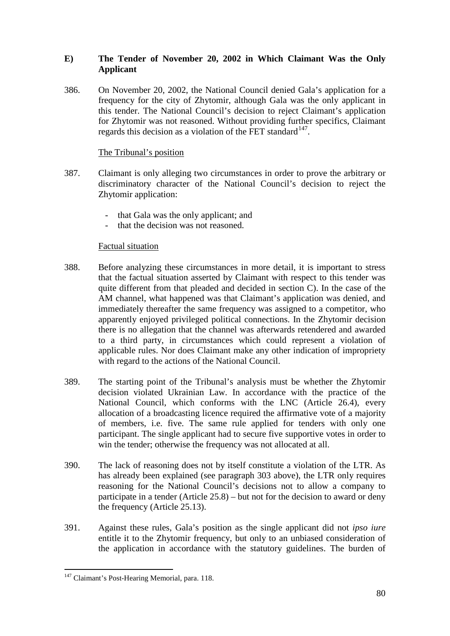# **E) The Tender of November 20, 2002 in Which Claimant Was the Only Applicant**

386. On November 20, 2002, the National Council denied Gala's application for a frequency for the city of Zhytomir, although Gala was the only applicant in this tender. The National Council's decision to reject Claimant's application for Zhytomir was not reasoned. Without providing further specifics, Claimant regards this decision as a violation of the FET standard<sup>[147](#page-79-0)</sup>.

# The Tribunal's position

- 387. Claimant is only alleging two circumstances in order to prove the arbitrary or discriminatory character of the National Council's decision to reject the Zhytomir application:
	- that Gala was the only applicant; and
	- that the decision was not reasoned.

## Factual situation

- 388. Before analyzing these circumstances in more detail, it is important to stress that the factual situation asserted by Claimant with respect to this tender was quite different from that pleaded and decided in section C). In the case of the AM channel, what happened was that Claimant's application was denied, and immediately thereafter the same frequency was assigned to a competitor, who apparently enjoyed privileged political connections. In the Zhytomir decision there is no allegation that the channel was afterwards retendered and awarded to a third party, in circumstances which could represent a violation of applicable rules. Nor does Claimant make any other indication of impropriety with regard to the actions of the National Council.
- 389. The starting point of the Tribunal's analysis must be whether the Zhytomir decision violated Ukrainian Law. In accordance with the practice of the National Council, which conforms with the LNC (Article 26.4), every allocation of a broadcasting licence required the affirmative vote of a majority of members, i.e. five. The same rule applied for tenders with only one participant. The single applicant had to secure five supportive votes in order to win the tender; otherwise the frequency was not allocated at all.
- 390. The lack of reasoning does not by itself constitute a violation of the LTR. As has already been explained (see paragraph 303 above), the LTR only requires reasoning for the National Council's decisions not to allow a company to participate in a tender (Article 25.8) – but not for the decision to award or deny the frequency (Article 25.13).
- 391. Against these rules, Gala's position as the single applicant did not *ipso iure* entitle it to the Zhytomir frequency, but only to an unbiased consideration of the application in accordance with the statutory guidelines. The burden of

<span id="page-79-0"></span><sup>&</sup>lt;sup>147</sup> Claimant's Post-Hearing Memorial, para. 118.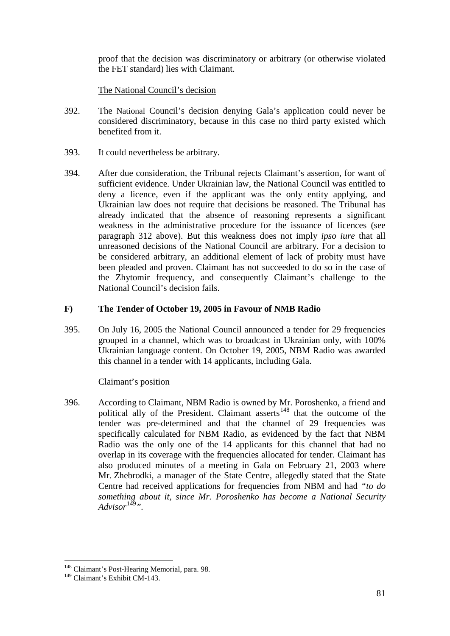proof that the decision was discriminatory or arbitrary (or otherwise violated the FET standard) lies with Claimant.

The National Council's decision

- 392. The National Council's decision denying Gala's application could never be considered discriminatory, because in this case no third party existed which benefited from it.
- 393. It could nevertheless be arbitrary.
- 394. After due consideration, the Tribunal rejects Claimant's assertion, for want of sufficient evidence. Under Ukrainian law, the National Council was entitled to deny a licence, even if the applicant was the only entity applying, and Ukrainian law does not require that decisions be reasoned. The Tribunal has already indicated that the absence of reasoning represents a significant weakness in the administrative procedure for the issuance of licences (see paragraph 312 above). But this weakness does not imply *ipso iure* that all unreasoned decisions of the National Council are arbitrary. For a decision to be considered arbitrary, an additional element of lack of probity must have been pleaded and proven. Claimant has not succeeded to do so in the case of the Zhytomir frequency, and consequently Claimant's challenge to the National Council's decision fails.

# **F) The Tender of October 19, 2005 in Favour of NMB Radio**

395. On July 16, 2005 the National Council announced a tender for 29 frequencies grouped in a channel, which was to broadcast in Ukrainian only, with 100% Ukrainian language content. On October 19, 2005, NBM Radio was awarded this channel in a tender with 14 applicants, including Gala.

### Claimant's position

396. According to Claimant, NBM Radio is owned by Mr. Poroshenko, a friend and political ally of the President. Claimant asserts<sup>[148](#page-80-0)</sup> that the outcome of the tender was pre-determined and that the channel of 29 frequencies was specifically calculated for NBM Radio, as evidenced by the fact that NBM Radio was the only one of the 14 applicants for this channel that had no overlap in its coverage with the frequencies allocated for tender. Claimant has also produced minutes of a meeting in Gala on February 21, 2003 where Mr. Zhebrodki, a manager of the State Centre, allegedly stated that the State Centre had received applications for frequencies from NBM and had *"to do something about it, since Mr. Poroshenko has become a National Security Advisor*[149](#page-80-1)*".*

<span id="page-80-0"></span><sup>&</sup>lt;sup>148</sup> Claimant's Post-Hearing Memorial, para. 98.<br><sup>149</sup> Claimant's Exhibit CM-143.

<span id="page-80-1"></span>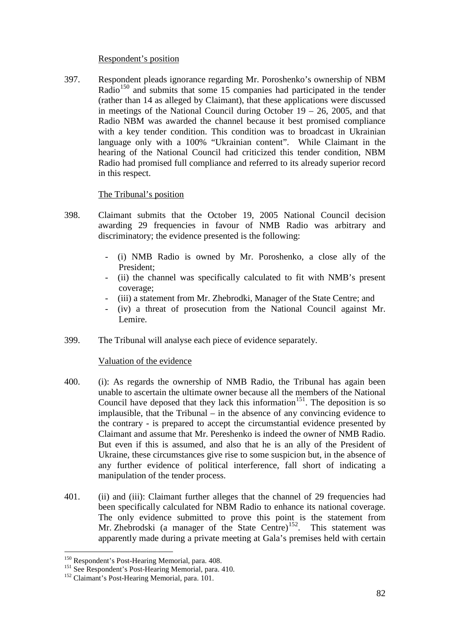## Respondent's position

397. Respondent pleads ignorance regarding Mr. Poroshenko's ownership of NBM Radio<sup>[150](#page-81-0)</sup> and submits that some 15 companies had participated in the tender (rather than 14 as alleged by Claimant), that these applications were discussed in meetings of the National Council during October  $19 - 26$ , 2005, and that Radio NBM was awarded the channel because it best promised compliance with a key tender condition. This condition was to broadcast in Ukrainian language only with a 100% "Ukrainian content". While Claimant in the hearing of the National Council had criticized this tender condition, NBM Radio had promised full compliance and referred to its already superior record in this respect.

# The Tribunal's position

- 398. Claimant submits that the October 19, 2005 National Council decision awarding 29 frequencies in favour of NMB Radio was arbitrary and discriminatory; the evidence presented is the following:
	- (i) NMB Radio is owned by Mr. Poroshenko, a close ally of the President;
	- (ii) the channel was specifically calculated to fit with NMB's present coverage;
	- (iii) a statement from Mr. Zhebrodki, Manager of the State Centre; and
	- (iv) a threat of prosecution from the National Council against Mr. Lemire.
- 399. The Tribunal will analyse each piece of evidence separately.

### Valuation of the evidence

- 400. (i): As regards the ownership of NMB Radio, the Tribunal has again been unable to ascertain the ultimate owner because all the members of the National Council have deposed that they lack this information<sup>[151](#page-81-1)</sup>. The deposition is so implausible, that the Tribunal – in the absence of any convincing evidence to the contrary - is prepared to accept the circumstantial evidence presented by Claimant and assume that Mr. Pereshenko is indeed the owner of NMB Radio. But even if this is assumed, and also that he is an ally of the President of Ukraine, these circumstances give rise to some suspicion but, in the absence of any further evidence of political interference, fall short of indicating a manipulation of the tender process.
- 401. (ii) and (iii): Claimant further alleges that the channel of 29 frequencies had been specifically calculated for NBM Radio to enhance its national coverage. The only evidence submitted to prove this point is the statement from Mr. Zhebrodski (a manager of the State Centre)<sup>[152](#page-81-2)</sup>. This statement was apparently made during a private meeting at Gala's premises held with certain

<span id="page-81-0"></span> <sup>150</sup> Respondent's Post-Hearing Memorial, para. 408.

<span id="page-81-1"></span><sup>151</sup> See Respondent's Post-Hearing Memorial, para. 410.<br><sup>152</sup> Claimant's Post-Hearing Memorial, para. 101.

<span id="page-81-2"></span>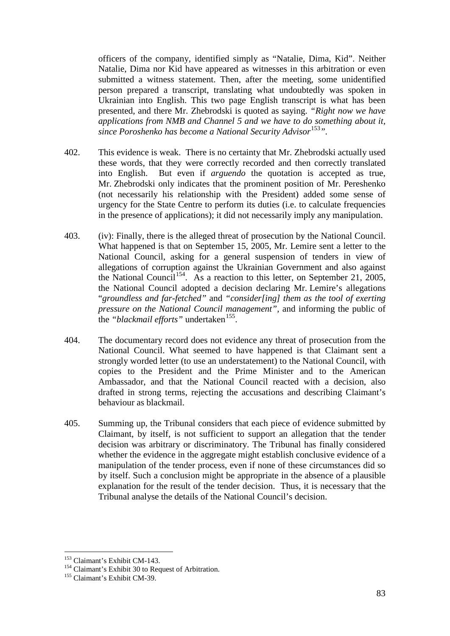officers of the company, identified simply as "Natalie, Dima, Kid". Neither Natalie, Dima nor Kid have appeared as witnesses in this arbitration or even submitted a witness statement. Then, after the meeting, some unidentified person prepared a transcript, translating what undoubtedly was spoken in Ukrainian into English. This two page English transcript is what has been presented, and there Mr. Zhebrodski is quoted as saying. *"Right now we have applications from NMB and Channel 5 and we have to do something about it, since Poroshenko has become a National Security Advisor*[153](#page-82-0)*".*

- 402. This evidence is weak. There is no certainty that Mr. Zhebrodski actually used these words, that they were correctly recorded and then correctly translated into English. But even if *arguendo* the quotation is accepted as true, Mr. Zhebrodski only indicates that the prominent position of Mr. Pereshenko (not necessarily his relationship with the President) added some sense of urgency for the State Centre to perform its duties (i.e. to calculate frequencies in the presence of applications); it did not necessarily imply any manipulation.
- 403. (iv): Finally, there is the alleged threat of prosecution by the National Council. What happened is that on September 15, 2005, Mr. Lemire sent a letter to the National Council, asking for a general suspension of tenders in view of allegations of corruption against the Ukrainian Government and also against the National Council<sup>[154](#page-82-1)</sup>. As a reaction to this letter, on September 21, 2005, the National Council adopted a decision declaring Mr. Lemire's allegations "*groundless and far-fetched"* and *"consider[ing] them as the tool of exerting pressure on the National Council management"*, and informing the public of the *"blackmail efforts*" undertaken<sup>[155](#page-82-2)</sup>.
- 404. The documentary record does not evidence any threat of prosecution from the National Council. What seemed to have happened is that Claimant sent a strongly worded letter (to use an understatement) to the National Council, with copies to the President and the Prime Minister and to the American Ambassador, and that the National Council reacted with a decision, also drafted in strong terms, rejecting the accusations and describing Claimant's behaviour as blackmail.
- 405. Summing up, the Tribunal considers that each piece of evidence submitted by Claimant, by itself, is not sufficient to support an allegation that the tender decision was arbitrary or discriminatory. The Tribunal has finally considered whether the evidence in the aggregate might establish conclusive evidence of a manipulation of the tender process, even if none of these circumstances did so by itself. Such a conclusion might be appropriate in the absence of a plausible explanation for the result of the tender decision. Thus, it is necessary that the Tribunal analyse the details of the National Council's decision.

<span id="page-82-1"></span><span id="page-82-0"></span><sup>&</sup>lt;sup>153</sup> Claimant's Exhibit CM-143.<br><sup>154</sup> Claimant's Exhibit 30 to Request of Arbitration.<br><sup>155</sup> Claimant's Exhibit CM-39.

<span id="page-82-2"></span>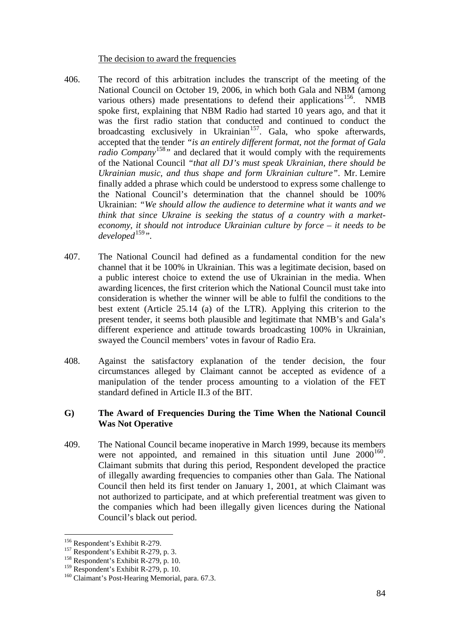#### The decision to award the frequencies

- 406. The record of this arbitration includes the transcript of the meeting of the National Council on October 19, 2006, in which both Gala and NBM (among various others) made presentations to defend their applications<sup>[156](#page-83-0)</sup>. NMB spoke first, explaining that NBM Radio had started 10 years ago, and that it was the first radio station that conducted and continued to conduct the broadcasting exclusively in Ukrainian<sup>[157](#page-83-1)</sup>. Gala, who spoke afterwards, accepted that the tender *"is an entirely different format, not the format of Gala radio Company*<sup>[158](#page-83-2)</sup><sup>*"*</sup> and declared that it would comply with the requirements of the National Council *"that all DJ's must speak Ukrainian, there should be Ukrainian music, and thus shape and form Ukrainian culture"*. Mr. Lemire finally added a phrase which could be understood to express some challenge to the National Council's determination that the channel should be 100% Ukrainian: *"We should allow the audience to determine what it wants and we think that since Ukraine is seeking the status of a country with a marketeconomy, it should not introduce Ukrainian culture by force – it needs to be developed*[159](#page-83-3)*".*
- 407. The National Council had defined as a fundamental condition for the new channel that it be 100% in Ukrainian. This was a legitimate decision, based on a public interest choice to extend the use of Ukrainian in the media. When awarding licences, the first criterion which the National Council must take into consideration is whether the winner will be able to fulfil the conditions to the best extent (Article 25.14 (a) of the LTR). Applying this criterion to the present tender, it seems both plausible and legitimate that NMB's and Gala's different experience and attitude towards broadcasting 100% in Ukrainian, swayed the Council members' votes in favour of Radio Era.
- 408. Against the satisfactory explanation of the tender decision, the four circumstances alleged by Claimant cannot be accepted as evidence of a manipulation of the tender process amounting to a violation of the FET standard defined in Article II.3 of the BIT.

## **G) The Award of Frequencies During the Time When the National Council Was Not Operative**

409. The National Council became inoperative in March 1999, because its members were not appointed, and remained in this situation until June  $2000^{160}$  $2000^{160}$  $2000^{160}$ . Claimant submits that during this period, Respondent developed the practice of illegally awarding frequencies to companies other than Gala. The National Council then held its first tender on January 1, 2001, at which Claimant was not authorized to participate, and at which preferential treatment was given to the companies which had been illegally given licences during the National Council's black out period.

<span id="page-83-1"></span><span id="page-83-0"></span><sup>&</sup>lt;sup>156</sup> Respondent's Exhibit R-279.<br><sup>157</sup> Respondent's Exhibit R-279, p. 3.

<span id="page-83-2"></span><sup>&</sup>lt;sup>158</sup> Respondent's Exhibit R-279, p. 10.<br><sup>159</sup> Respondent's Exhibit R-279, p. 10.

<span id="page-83-3"></span>

<span id="page-83-4"></span> $160$  Claimant's Post-Hearing Memorial, para. 67.3.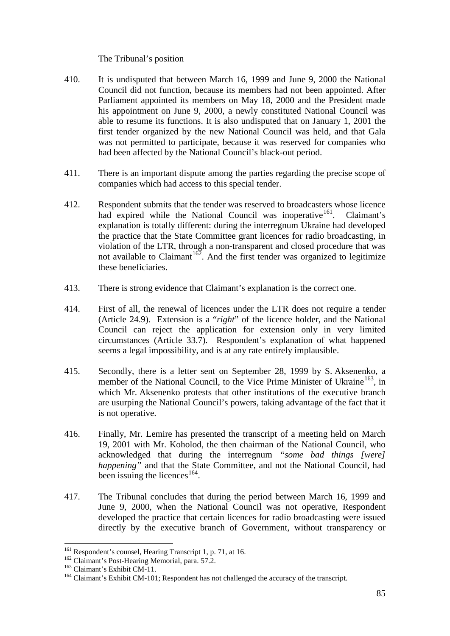### The Tribunal's position

- 410. It is undisputed that between March 16, 1999 and June 9, 2000 the National Council did not function, because its members had not been appointed. After Parliament appointed its members on May 18, 2000 and the President made his appointment on June 9, 2000, a newly constituted National Council was able to resume its functions. It is also undisputed that on January 1, 2001 the first tender organized by the new National Council was held, and that Gala was not permitted to participate, because it was reserved for companies who had been affected by the National Council's black-out period.
- 411. There is an important dispute among the parties regarding the precise scope of companies which had access to this special tender.
- 412. Respondent submits that the tender was reserved to broadcasters whose licence had expired while the National Council was inoperative<sup>[161](#page-84-0)</sup>. Claimant's explanation is totally different: during the interregnum Ukraine had developed the practice that the State Committee grant licences for radio broadcasting, in violation of the LTR, through a non-transparent and closed procedure that was not available to Claimant<sup>[162](#page-84-1)</sup>. And the first tender was organized to legitimize these beneficiaries.
- 413. There is strong evidence that Claimant's explanation is the correct one.
- 414. First of all, the renewal of licences under the LTR does not require a tender (Article 24.9). Extension is a "*right*" of the licence holder, and the National Council can reject the application for extension only in very limited circumstances (Article 33.7). Respondent's explanation of what happened seems a legal impossibility, and is at any rate entirely implausible.
- 415. Secondly, there is a letter sent on September 28, 1999 by S. Aksenenko, a member of the National Council, to the Vice Prime Minister of Ukraine<sup>163</sup>, in which Mr. Aksenenko protests that other institutions of the executive branch are usurping the National Council's powers, taking advantage of the fact that it is not operative.
- 416. Finally, Mr. Lemire has presented the transcript of a meeting held on March 19, 2001 with Mr. Koholod, the then chairman of the National Council, who acknowledged that during the interregnum *"some bad things [were] happening*" and that the State Committee, and not the National Council, had been issuing the licences<sup>164</sup>.
- 417. The Tribunal concludes that during the period between March 16, 1999 and June 9, 2000, when the National Council was not operative, Respondent developed the practice that certain licences for radio broadcasting were issued directly by the executive branch of Government, without transparency or

<span id="page-84-3"></span><span id="page-84-2"></span>

<span id="page-84-1"></span><span id="page-84-0"></span><sup>&</sup>lt;sup>161</sup> Respondent's counsel, Hearing Transcript 1, p. 71, at 16.<br><sup>162</sup> Claimant's Post-Hearing Memorial, para. 57.2.<br><sup>163</sup> Claimant's Exhibit CM-11.<br><sup>164</sup> Claimant's Exhibit CM-101; Respondent has not challenged the accura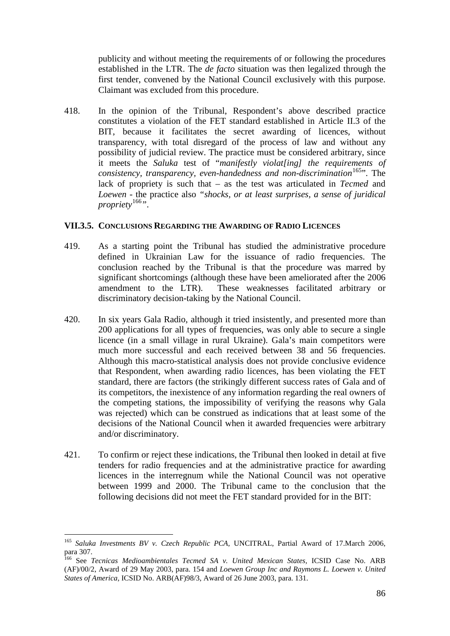publicity and without meeting the requirements of or following the procedures established in the LTR. The *de facto* situation was then legalized through the first tender, convened by the National Council exclusively with this purpose. Claimant was excluded from this procedure.

418. In the opinion of the Tribunal, Respondent's above described practice constitutes a violation of the FET standard established in Article II.3 of the BIT, because it facilitates the secret awarding of licences, without transparency, with total disregard of the process of law and without any possibility of judicial review. The practice must be considered arbitrary, since it meets the *Saluka* test of "*manifestly violat[ing] the requirements of consistency, transparency, even-handedness and non-discrimination*[165"](#page-85-0). The lack of propriety is such that – as the test was articulated in *Tecmed* and *Loewen* - the practice also *"shocks, or at least surprises, a sense of juridical propriety*[166](#page-85-1)*"*.

### **VII.3.5. CONCLUSIONS REGARDING THE AWARDING OF RADIO LICENCES**

- 419. As a starting point the Tribunal has studied the administrative procedure defined in Ukrainian Law for the issuance of radio frequencies. The conclusion reached by the Tribunal is that the procedure was marred by significant shortcomings (although these have been ameliorated after the 2006 amendment to the LTR). These weaknesses facilitated arbitrary or discriminatory decision-taking by the National Council.
- 420. In six years Gala Radio, although it tried insistently, and presented more than 200 applications for all types of frequencies, was only able to secure a single licence (in a small village in rural Ukraine). Gala's main competitors were much more successful and each received between 38 and 56 frequencies. Although this macro-statistical analysis does not provide conclusive evidence that Respondent, when awarding radio licences, has been violating the FET standard, there are factors (the strikingly different success rates of Gala and of its competitors, the inexistence of any information regarding the real owners of the competing stations, the impossibility of verifying the reasons why Gala was rejected) which can be construed as indications that at least some of the decisions of the National Council when it awarded frequencies were arbitrary and/or discriminatory.
- 421. To confirm or reject these indications, the Tribunal then looked in detail at five tenders for radio frequencies and at the administrative practice for awarding licences in the interregnum while the National Council was not operative between 1999 and 2000. The Tribunal came to the conclusion that the following decisions did not meet the FET standard provided for in the BIT:

<span id="page-85-0"></span> <sup>165</sup> *Saluka Investments BV v. Czech Republic PCA,* UNCITRAL, Partial Award of 17.March 2006,

<span id="page-85-1"></span>para 307.<br><sup>166</sup> See *Tecnicas Medioambientales Tecmed SA v. United Mexican States, ICSID Case No. ARB* (AF)/00/2, Award of 29 May 2003, para. 154 and *Loewen Group Inc and Raymons L. Loewen v. United States of America,* ICSID No. ARB(AF)98/3, Award of 26 June 2003, para. 131.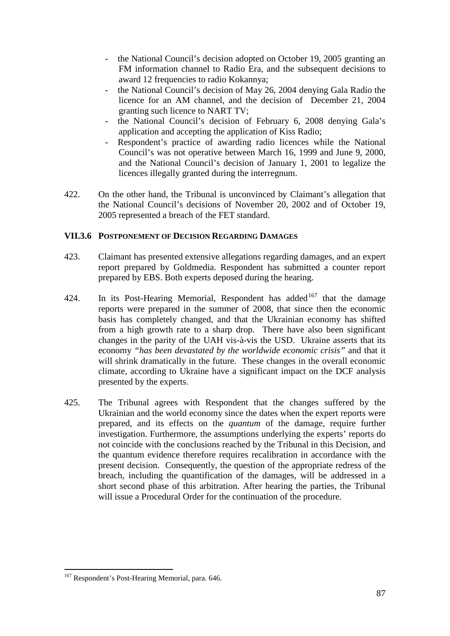- the National Council's decision adopted on October 19, 2005 granting an FM information channel to Radio Era, and the subsequent decisions to award 12 frequencies to radio Kokannya;
- the National Council's decision of May 26, 2004 denying Gala Radio the licence for an AM channel, and the decision of December 21, 2004 granting such licence to NART TV;
- the National Council's decision of February 6, 2008 denying Gala's application and accepting the application of Kiss Radio;
- Respondent's practice of awarding radio licences while the National Council's was not operative between March 16, 1999 and June 9, 2000, and the National Council's decision of January 1, 2001 to legalize the licences illegally granted during the interregnum.
- 422. On the other hand, the Tribunal is unconvinced by Claimant's allegation that the National Council's decisions of November 20, 2002 and of October 19, 2005 represented a breach of the FET standard.

# **VII.3.6 POSTPONEMENT OF DECISION REGARDING DAMAGES**

- 423. Claimant has presented extensive allegations regarding damages, and an expert report prepared by Goldmedia. Respondent has submitted a counter report prepared by EBS. Both experts deposed during the hearing.
- 424. In its Post-Hearing Memorial, Respondent has added<sup>[167](#page-86-0)</sup> that the damage reports were prepared in the summer of 2008, that since then the economic basis has completely changed, and that the Ukrainian economy has shifted from a high growth rate to a sharp drop. There have also been significant changes in the parity of the UAH vis-à-vis the USD. Ukraine asserts that its economy *"has been devastated by the worldwide economic crisis"* and that it will shrink dramatically in the future. These changes in the overall economic climate, according to Ukraine have a significant impact on the DCF analysis presented by the experts.
- 425. The Tribunal agrees with Respondent that the changes suffered by the Ukrainian and the world economy since the dates when the expert reports were prepared, and its effects on the *quantum* of the damage, require further investigation. Furthermore, the assumptions underlying the experts' reports do not coincide with the conclusions reached by the Tribunal in this Decision, and the quantum evidence therefore requires recalibration in accordance with the present decision. Consequently, the question of the appropriate redress of the breach, including the quantification of the damages, will be addressed in a short second phase of this arbitration. After hearing the parties, the Tribunal will issue a Procedural Order for the continuation of the procedure.

<span id="page-86-0"></span><sup>&</sup>lt;sup>167</sup> Respondent's Post-Hearing Memorial, para. 646.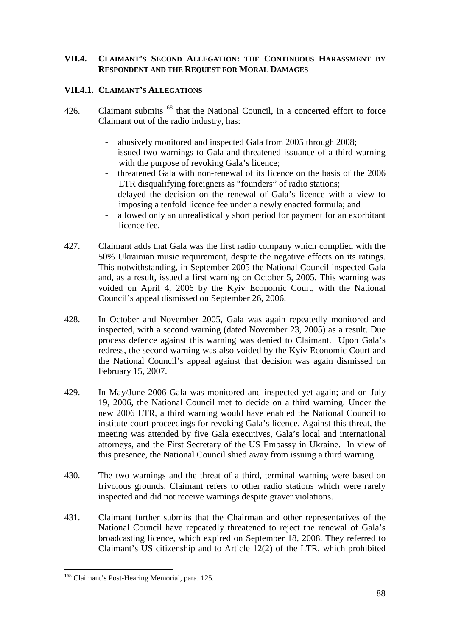# **VII.4. CLAIMANT'S SECOND ALLEGATION: THE CONTINUOUS HARASSMENT BY RESPONDENT AND THE REQUEST FOR MORAL DAMAGES**

# **VII.4.1. CLAIMANT'S ALLEGATIONS**

- 426. Claimant submits<sup>[168](#page-87-0)</sup> that the National Council, in a concerted effort to force Claimant out of the radio industry, has:
	- abusively monitored and inspected Gala from 2005 through 2008;
	- issued two warnings to Gala and threatened issuance of a third warning with the purpose of revoking Gala's licence:
	- threatened Gala with non-renewal of its licence on the basis of the 2006 LTR disqualifying foreigners as "founders" of radio stations;
	- delayed the decision on the renewal of Gala's licence with a view to imposing a tenfold licence fee under a newly enacted formula; and
	- allowed only an unrealistically short period for payment for an exorbitant licence fee.
- 427. Claimant adds that Gala was the first radio company which complied with the 50% Ukrainian music requirement, despite the negative effects on its ratings. This notwithstanding, in September 2005 the National Council inspected Gala and, as a result, issued a first warning on October 5, 2005. This warning was voided on April 4, 2006 by the Kyiv Economic Court, with the National Council's appeal dismissed on September 26, 2006.
- 428. In October and November 2005, Gala was again repeatedly monitored and inspected, with a second warning (dated November 23, 2005) as a result. Due process defence against this warning was denied to Claimant. Upon Gala's redress, the second warning was also voided by the Kyiv Economic Court and the National Council's appeal against that decision was again dismissed on February 15, 2007.
- 429. In May/June 2006 Gala was monitored and inspected yet again; and on July 19, 2006, the National Council met to decide on a third warning. Under the new 2006 LTR, a third warning would have enabled the National Council to institute court proceedings for revoking Gala's licence. Against this threat, the meeting was attended by five Gala executives, Gala's local and international attorneys, and the First Secretary of the US Embassy in Ukraine. In view of this presence, the National Council shied away from issuing a third warning.
- 430. The two warnings and the threat of a third, terminal warning were based on frivolous grounds. Claimant refers to other radio stations which were rarely inspected and did not receive warnings despite graver violations.
- 431. Claimant further submits that the Chairman and other representatives of the National Council have repeatedly threatened to reject the renewal of Gala's broadcasting licence, which expired on September 18, 2008. They referred to Claimant's US citizenship and to Article 12(2) of the LTR, which prohibited

<span id="page-87-0"></span> <sup>168</sup> Claimant's Post-Hearing Memorial, para. 125.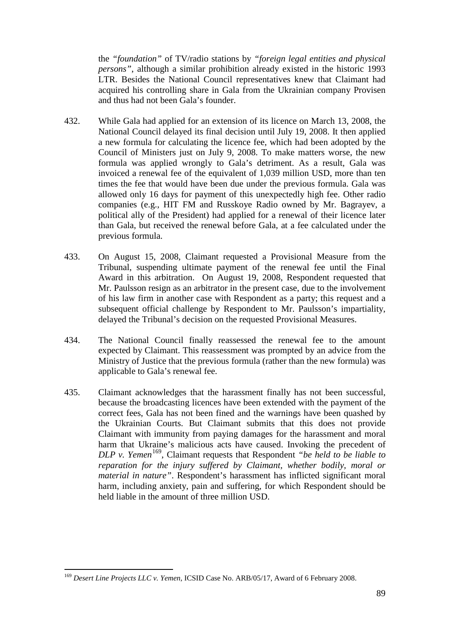the *"foundation"* of TV/radio stations by *"foreign legal entities and physical persons"*, although a similar prohibition already existed in the historic 1993 LTR. Besides the National Council representatives knew that Claimant had acquired his controlling share in Gala from the Ukrainian company Provisen and thus had not been Gala's founder.

- 432. While Gala had applied for an extension of its licence on March 13, 2008, the National Council delayed its final decision until July 19, 2008. It then applied a new formula for calculating the licence fee, which had been adopted by the Council of Ministers just on July 9, 2008. To make matters worse, the new formula was applied wrongly to Gala's detriment. As a result, Gala was invoiced a renewal fee of the equivalent of 1,039 million USD, more than ten times the fee that would have been due under the previous formula. Gala was allowed only 16 days for payment of this unexpectedly high fee. Other radio companies (e.g., HIT FM and Russkoye Radio owned by Mr. Bagrayev, a political ally of the President) had applied for a renewal of their licence later than Gala, but received the renewal before Gala, at a fee calculated under the previous formula.
- 433. On August 15, 2008, Claimant requested a Provisional Measure from the Tribunal, suspending ultimate payment of the renewal fee until the Final Award in this arbitration. On August 19, 2008, Respondent requested that Mr. Paulsson resign as an arbitrator in the present case, due to the involvement of his law firm in another case with Respondent as a party; this request and a subsequent official challenge by Respondent to Mr. Paulsson's impartiality, delayed the Tribunal's decision on the requested Provisional Measures.
- 434. The National Council finally reassessed the renewal fee to the amount expected by Claimant. This reassessment was prompted by an advice from the Ministry of Justice that the previous formula (rather than the new formula) was applicable to Gala's renewal fee.
- 435. Claimant acknowledges that the harassment finally has not been successful, because the broadcasting licences have been extended with the payment of the correct fees, Gala has not been fined and the warnings have been quashed by the Ukrainian Courts. But Claimant submits that this does not provide Claimant with immunity from paying damages for the harassment and moral harm that Ukraine's malicious acts have caused. Invoking the precedent of *DLP v. Yemen*<sup>169</sup>, Claimant requests that Respondent *"be held to be liable to reparation for the injury suffered by Claimant, whether bodily, moral or material in nature"*. Respondent's harassment has inflicted significant moral harm, including anxiety, pain and suffering, for which Respondent should be held liable in the amount of three million USD.

<span id="page-88-0"></span> <sup>169</sup> *Desert Line Projects LLC v. Yemen*, ICSID Case No. ARB/05/17, Award of 6 February 2008.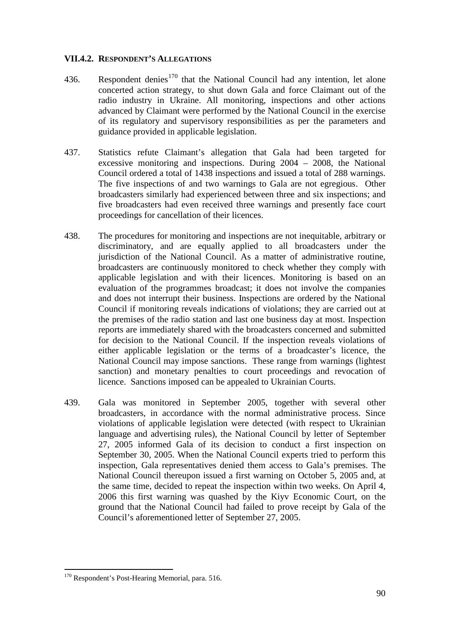### **VII.4.2. RESPONDENT'S ALLEGATIONS**

- 436. Respondent denies<sup>[170](#page-89-0)</sup> that the National Council had any intention, let alone concerted action strategy, to shut down Gala and force Claimant out of the radio industry in Ukraine. All monitoring, inspections and other actions advanced by Claimant were performed by the National Council in the exercise of its regulatory and supervisory responsibilities as per the parameters and guidance provided in applicable legislation.
- 437. Statistics refute Claimant's allegation that Gala had been targeted for excessive monitoring and inspections. During 2004 – 2008, the National Council ordered a total of 1438 inspections and issued a total of 288 warnings. The five inspections of and two warnings to Gala are not egregious. Other broadcasters similarly had experienced between three and six inspections; and five broadcasters had even received three warnings and presently face court proceedings for cancellation of their licences.
- 438. The procedures for monitoring and inspections are not inequitable, arbitrary or discriminatory, and are equally applied to all broadcasters under the jurisdiction of the National Council. As a matter of administrative routine, broadcasters are continuously monitored to check whether they comply with applicable legislation and with their licences. Monitoring is based on an evaluation of the programmes broadcast; it does not involve the companies and does not interrupt their business. Inspections are ordered by the National Council if monitoring reveals indications of violations; they are carried out at the premises of the radio station and last one business day at most. Inspection reports are immediately shared with the broadcasters concerned and submitted for decision to the National Council. If the inspection reveals violations of either applicable legislation or the terms of a broadcaster's licence, the National Council may impose sanctions. These range from warnings (lightest sanction) and monetary penalties to court proceedings and revocation of licence. Sanctions imposed can be appealed to Ukrainian Courts.
- 439. Gala was monitored in September 2005, together with several other broadcasters, in accordance with the normal administrative process. Since violations of applicable legislation were detected (with respect to Ukrainian language and advertising rules), the National Council by letter of September 27, 2005 informed Gala of its decision to conduct a first inspection on September 30, 2005. When the National Council experts tried to perform this inspection, Gala representatives denied them access to Gala's premises. The National Council thereupon issued a first warning on October 5, 2005 and, at the same time, decided to repeat the inspection within two weeks. On April 4, 2006 this first warning was quashed by the Kiyv Economic Court, on the ground that the National Council had failed to prove receipt by Gala of the Council's aforementioned letter of September 27, 2005.

<span id="page-89-0"></span><sup>&</sup>lt;sup>170</sup> Respondent's Post-Hearing Memorial, para. 516.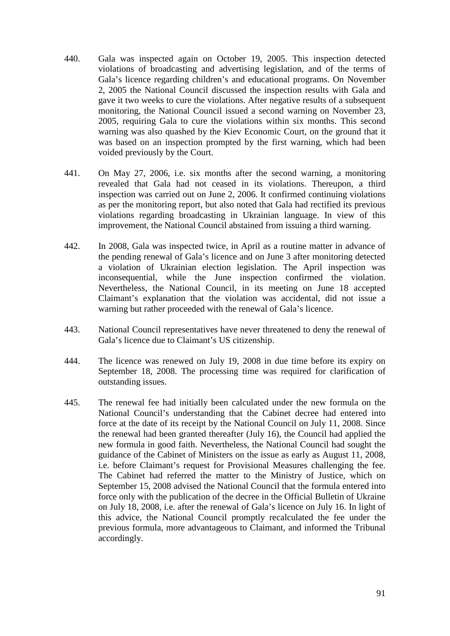- 440. Gala was inspected again on October 19, 2005. This inspection detected violations of broadcasting and advertising legislation, and of the terms of Gala's licence regarding children's and educational programs. On November 2, 2005 the National Council discussed the inspection results with Gala and gave it two weeks to cure the violations. After negative results of a subsequent monitoring, the National Council issued a second warning on November 23, 2005, requiring Gala to cure the violations within six months. This second warning was also quashed by the Kiev Economic Court, on the ground that it was based on an inspection prompted by the first warning, which had been voided previously by the Court.
- 441. On May 27, 2006, i.e. six months after the second warning, a monitoring revealed that Gala had not ceased in its violations. Thereupon, a third inspection was carried out on June 2, 2006. It confirmed continuing violations as per the monitoring report, but also noted that Gala had rectified its previous violations regarding broadcasting in Ukrainian language. In view of this improvement, the National Council abstained from issuing a third warning.
- 442. In 2008, Gala was inspected twice, in April as a routine matter in advance of the pending renewal of Gala's licence and on June 3 after monitoring detected a violation of Ukrainian election legislation. The April inspection was inconsequential, while the June inspection confirmed the violation. Nevertheless, the National Council, in its meeting on June 18 accepted Claimant's explanation that the violation was accidental, did not issue a warning but rather proceeded with the renewal of Gala's licence.
- 443. National Council representatives have never threatened to deny the renewal of Gala's licence due to Claimant's US citizenship.
- 444. The licence was renewed on July 19, 2008 in due time before its expiry on September 18, 2008. The processing time was required for clarification of outstanding issues.
- 445. The renewal fee had initially been calculated under the new formula on the National Council's understanding that the Cabinet decree had entered into force at the date of its receipt by the National Council on July 11, 2008. Since the renewal had been granted thereafter (July 16), the Council had applied the new formula in good faith. Nevertheless, the National Council had sought the guidance of the Cabinet of Ministers on the issue as early as August 11, 2008, i.e. before Claimant's request for Provisional Measures challenging the fee. The Cabinet had referred the matter to the Ministry of Justice, which on September 15, 2008 advised the National Council that the formula entered into force only with the publication of the decree in the Official Bulletin of Ukraine on July 18, 2008, i.e. after the renewal of Gala's licence on July 16. In light of this advice, the National Council promptly recalculated the fee under the previous formula, more advantageous to Claimant, and informed the Tribunal accordingly.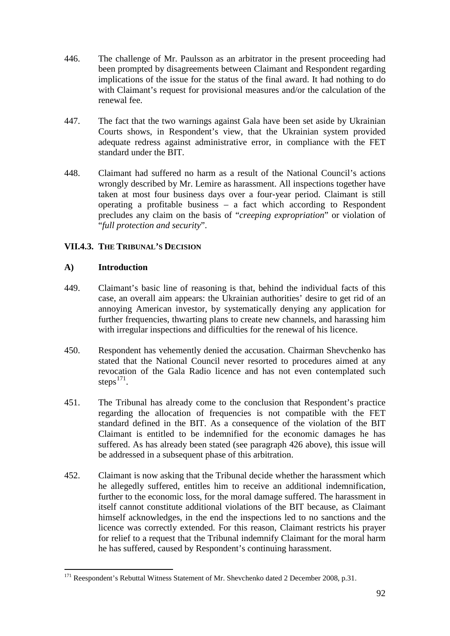- 446. The challenge of Mr. Paulsson as an arbitrator in the present proceeding had been prompted by disagreements between Claimant and Respondent regarding implications of the issue for the status of the final award. It had nothing to do with Claimant's request for provisional measures and/or the calculation of the renewal fee.
- 447. The fact that the two warnings against Gala have been set aside by Ukrainian Courts shows, in Respondent's view, that the Ukrainian system provided adequate redress against administrative error, in compliance with the FET standard under the BIT.
- 448. Claimant had suffered no harm as a result of the National Council's actions wrongly described by Mr. Lemire as harassment. All inspections together have taken at most four business days over a four-year period. Claimant is still operating a profitable business – a fact which according to Respondent precludes any claim on the basis of "*creeping expropriation*" or violation of "*full protection and security*".

# **VII.4.3. THE TRIBUNAL'S DECISION**

## **A) Introduction**

- 449. Claimant's basic line of reasoning is that, behind the individual facts of this case, an overall aim appears: the Ukrainian authorities' desire to get rid of an annoying American investor, by systematically denying any application for further frequencies, thwarting plans to create new channels, and harassing him with irregular inspections and difficulties for the renewal of his licence.
- 450. Respondent has vehemently denied the accusation. Chairman Shevchenko has stated that the National Council never resorted to procedures aimed at any revocation of the Gala Radio licence and has not even contemplated such steps $^{171}$ .
- 451. The Tribunal has already come to the conclusion that Respondent's practice regarding the allocation of frequencies is not compatible with the FET standard defined in the BIT. As a consequence of the violation of the BIT Claimant is entitled to be indemnified for the economic damages he has suffered. As has already been stated (see paragraph 426 above), this issue will be addressed in a subsequent phase of this arbitration.
- 452. Claimant is now asking that the Tribunal decide whether the harassment which he allegedly suffered, entitles him to receive an additional indemnification, further to the economic loss, for the moral damage suffered. The harassment in itself cannot constitute additional violations of the BIT because, as Claimant himself acknowledges, in the end the inspections led to no sanctions and the licence was correctly extended. For this reason, Claimant restricts his prayer for relief to a request that the Tribunal indemnify Claimant for the moral harm he has suffered, caused by Respondent's continuing harassment.

<span id="page-91-0"></span><sup>&</sup>lt;sup>171</sup> Reespondent's Rebuttal Witness Statement of Mr. Shevchenko dated 2 December 2008, p.31.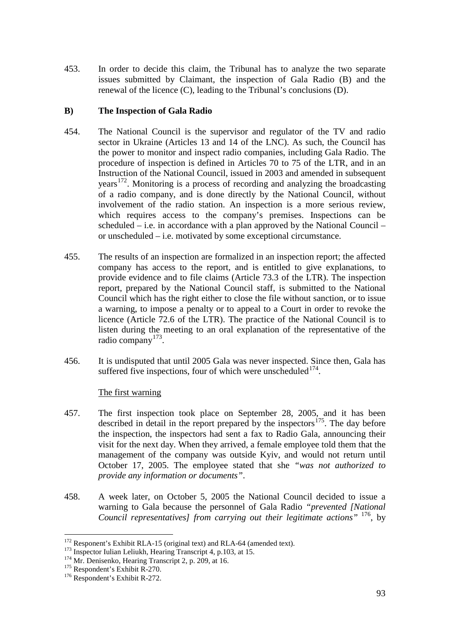453. In order to decide this claim, the Tribunal has to analyze the two separate issues submitted by Claimant, the inspection of Gala Radio (B) and the renewal of the licence (C), leading to the Tribunal's conclusions (D).

## **B) The Inspection of Gala Radio**

- 454. The National Council is the supervisor and regulator of the TV and radio sector in Ukraine (Articles 13 and 14 of the LNC). As such, the Council has the power to monitor and inspect radio companies, including Gala Radio. The procedure of inspection is defined in Articles 70 to 75 of the LTR, and in an Instruction of the National Council, issued in 2003 and amended in subsequent years<sup>[172](#page-92-0)</sup>. Monitoring is a process of recording and analyzing the broadcasting of a radio company, and is done directly by the National Council, without involvement of the radio station. An inspection is a more serious review, which requires access to the company's premises. Inspections can be scheduled – i.e. in accordance with a plan approved by the National Council – or unscheduled – i.e. motivated by some exceptional circumstance.
- 455. The results of an inspection are formalized in an inspection report; the affected company has access to the report, and is entitled to give explanations, to provide evidence and to file claims (Article 73.3 of the LTR). The inspection report, prepared by the National Council staff, is submitted to the National Council which has the right either to close the file without sanction, or to issue a warning, to impose a penalty or to appeal to a Court in order to revoke the licence (Article 72.6 of the LTR). The practice of the National Council is to listen during the meeting to an oral explanation of the representative of the radio company<sup>[173](#page-92-1)</sup>.
- 456. It is undisputed that until 2005 Gala was never inspected. Since then, Gala has suffered five inspections, four of which were unscheduled<sup>[174](#page-92-2)</sup>.

The first warning

- 457. The first inspection took place on September 28, 2005, and it has been described in detail in the report prepared by the inspectors<sup>[175](#page-92-3)</sup>. The day before the inspection, the inspectors had sent a fax to Radio Gala, announcing their visit for the next day. When they arrived, a female employee told them that the management of the company was outside Kyiv, and would not return until October 17, 2005. The employee stated that she *"was not authorized to provide any information or documents"*.
- 458. A week later, on October 5, 2005 the National Council decided to issue a warning to Gala because the personnel of Gala Radio *"prevented [National Council representatives] from carrying out their legitimate actions"* [176](#page-92-4) , by

<span id="page-92-0"></span><sup>&</sup>lt;sup>172</sup> Responent's Exhibit RLA-15 (original text) and RLA-64 (amended text).<br><sup>173</sup> Inspector Iulian Leliukh, Hearing Transcript 4, p.103, at 15.

<span id="page-92-2"></span><span id="page-92-1"></span><sup>174</sup> Mr. Denisenko, Hearing Transcript 2, p. 209, at 16.  $175$  Respondent's Exhibit R-270.  $176$  Respondent's Exhibit R-272.

<span id="page-92-3"></span>

<span id="page-92-4"></span>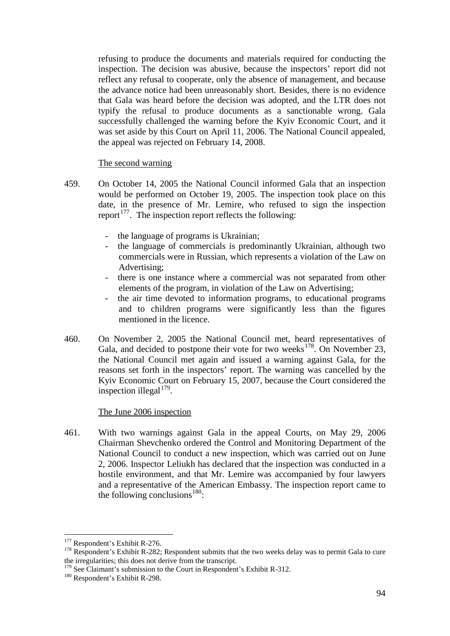refusing to produce the documents and materials required for conducting the inspection. The decision was abusive, because the inspectors' report did not reflect any refusal to cooperate, only the absence of management, and because the advance notice had been unreasonably short. Besides, there is no evidence that Gala was heard before the decision was adopted, and the LTR does not typify the refusal to produce documents as a sanctionable wrong. Gala successfully challenged the warning before the Kyiv Economic Court, and it was set aside by this Court on April 11, 2006. The National Council appealed, the appeal was rejected on February 14, 2008.

### The second warning

- 459. On October 14, 2005 the National Council informed Gala that an inspection would be performed on October 19, 2005. The inspection took place on this date, in the presence of Mr. Lemire, who refused to sign the inspection report<sup>[177](#page-93-0)</sup>. The inspection report reflects the following:
	- the language of programs is Ukrainian;
	- the language of commercials is predominantly Ukrainian, although two commercials were in Russian, which represents a violation of the Law on Advertising;
	- there is one instance where a commercial was not separated from other elements of the program, in violation of the Law on Advertising;
	- the air time devoted to information programs, to educational programs and to children programs were significantly less than the figures mentioned in the licence.
- 460. On November 2, 2005 the National Council met, heard representatives of Gala, and decided to postpone their vote for two weeks<sup>178</sup>. On November 23, the National Council met again and issued a warning against Gala, for the reasons set forth in the inspectors' report. The warning was cancelled by the Kyiv Economic Court on February 15, 2007, because the Court considered the inspection illegal $179$ .

### The June 2006 inspection

461. With two warnings against Gala in the appeal Courts, on May 29, 2006 Chairman Shevchenko ordered the Control and Monitoring Department of the National Council to conduct a new inspection, which was carried out on June 2, 2006. Inspector Leliukh has declared that the inspection was conducted in a hostile environment, and that Mr. Lemire was accompanied by four lawyers and a representative of the American Embassy. The inspection report came to the following conclusions $180$ :

<span id="page-93-1"></span><span id="page-93-0"></span><sup>&</sup>lt;sup>177</sup> Respondent's Exhibit R-276.<br><sup>178</sup> Respondent's Exhibit R-282; Respondent submits that the two weeks delay was to permit Gala to cure the irregularities; this does not derive from the transcript.

<span id="page-93-2"></span><sup>&</sup>lt;sup>179</sup> See Claimant's submission to the Court in Respondent's Exhibit R-312.<br><sup>180</sup> Respondent's Exhibit R-298.

<span id="page-93-3"></span>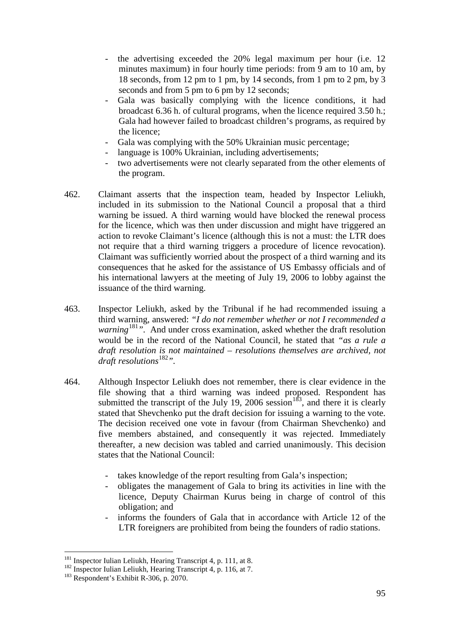- the advertising exceeded the 20% legal maximum per hour (i.e. 12) minutes maximum) in four hourly time periods: from 9 am to 10 am, by 18 seconds, from 12 pm to 1 pm, by 14 seconds, from 1 pm to 2 pm, by 3 seconds and from 5 pm to 6 pm by 12 seconds;
- Gala was basically complying with the licence conditions, it had broadcast 6.36 h. of cultural programs, when the licence required 3.50 h.; Gala had however failed to broadcast children's programs, as required by the licence;
- Gala was complying with the 50% Ukrainian music percentage;
- language is 100% Ukrainian, including advertisements;
- two advertisements were not clearly separated from the other elements of the program.
- 462. Claimant asserts that the inspection team, headed by Inspector Leliukh, included in its submission to the National Council a proposal that a third warning be issued. A third warning would have blocked the renewal process for the licence, which was then under discussion and might have triggered an action to revoke Claimant's licence (although this is not a must: the LTR does not require that a third warning triggers a procedure of licence revocation). Claimant was sufficiently worried about the prospect of a third warning and its consequences that he asked for the assistance of US Embassy officials and of his international lawyers at the meeting of July 19, 2006 to lobby against the issuance of the third warning.
- 463. Inspector Leliukh, asked by the Tribunal if he had recommended issuing a third warning, answered: *"I do not remember whether or not I recommended a warning*<sup>[181](#page-94-0)</sup>, And under cross examination, asked whether the draft resolution would be in the record of the National Council, he stated that *"as a rule a draft resolution is not maintained – resolutions themselves are archived, not draft resolutions*[182](#page-94-1)*".*
- 464. Although Inspector Leliukh does not remember, there is clear evidence in the file showing that a third warning was indeed proposed. Respondent has submitted the transcript of the July 19, 2006 session  $1^{83}$ , and there it is clearly stated that Shevchenko put the draft decision for issuing a warning to the vote. The decision received one vote in favour (from Chairman Shevchenko) and five members abstained, and consequently it was rejected. Immediately thereafter, a new decision was tabled and carried unanimously. This decision states that the National Council:
	- takes knowledge of the report resulting from Gala's inspection;
	- obligates the management of Gala to bring its activities in line with the licence, Deputy Chairman Kurus being in charge of control of this obligation; and
	- informs the founders of Gala that in accordance with Article 12 of the LTR foreigners are prohibited from being the founders of radio stations.

<span id="page-94-1"></span><span id="page-94-0"></span><sup>&</sup>lt;sup>181</sup> Inspector Iulian Leliukh, Hearing Transcript 4, p. 111, at 8.<br><sup>182</sup> Inspector Iulian Leliukh, Hearing Transcript 4, p. 116, at 7.<br><sup>183</sup> Respondent's Exhibit R-306, p. 2070.

<span id="page-94-2"></span>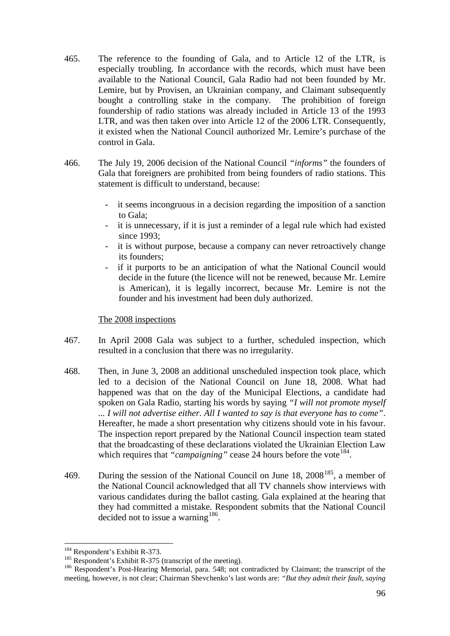- 465. The reference to the founding of Gala, and to Article 12 of the LTR, is especially troubling. In accordance with the records, which must have been available to the National Council, Gala Radio had not been founded by Mr. Lemire, but by Provisen, an Ukrainian company, and Claimant subsequently bought a controlling stake in the company. The prohibition of foreign foundership of radio stations was already included in Article 13 of the 1993 LTR, and was then taken over into Article 12 of the 2006 LTR. Consequently, it existed when the National Council authorized Mr. Lemire's purchase of the control in Gala.
- 466. The July 19, 2006 decision of the National Council *"informs"* the founders of Gala that foreigners are prohibited from being founders of radio stations. This statement is difficult to understand, because:
	- it seems incongruous in a decision regarding the imposition of a sanction to Gala;
	- it is unnecessary, if it is just a reminder of a legal rule which had existed since 1993:
	- it is without purpose, because a company can never retroactively change its founders;
	- if it purports to be an anticipation of what the National Council would decide in the future (the licence will not be renewed, because Mr. Lemire is American), it is legally incorrect, because Mr. Lemire is not the founder and his investment had been duly authorized.

## The 2008 inspections

- 467. In April 2008 Gala was subject to a further, scheduled inspection, which resulted in a conclusion that there was no irregularity.
- 468. Then, in June 3, 2008 an additional unscheduled inspection took place, which led to a decision of the National Council on June 18, 2008. What had happened was that on the day of the Municipal Elections, a candidate had spoken on Gala Radio, starting his words by saying *"I will not promote myself ... I will not advertise either. All I wanted to say is that everyone has to come"*. Hereafter, he made a short presentation why citizens should vote in his favour. The inspection report prepared by the National Council inspection team stated that the broadcasting of these declarations violated the Ukrainian Election Law which requires that *"campaigning"* cease 24 hours before the vote<sup>[184](#page-95-0)</sup>.
- 469. During the session of the National Council on June 18,  $2008^{185}$  $2008^{185}$  $2008^{185}$ , a member of the National Council acknowledged that all TV channels show interviews with various candidates during the ballot casting. Gala explained at the hearing that they had committed a mistake. Respondent submits that the National Council decided not to issue a warning  $186$ .

<span id="page-95-0"></span><sup>&</sup>lt;sup>184</sup> Respondent's Exhibit R-373.<br><sup>185</sup> Respondent's Exhibit R-375 (transcript of the meeting).

<span id="page-95-2"></span><span id="page-95-1"></span><sup>&</sup>lt;sup>186</sup> Respondent's Post-Hearing Memorial, para. 548; not contradicted by Claimant; the transcript of the meeting, however, is not clear; Chairman Shevchenko's last words are: *"But they admit their fault, saying*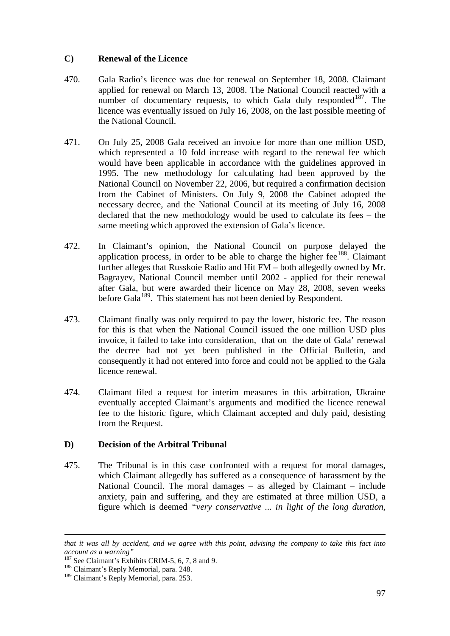## **C) Renewal of the Licence**

- 470. Gala Radio's licence was due for renewal on September 18, 2008. Claimant applied for renewal on March 13, 2008. The National Council reacted with a number of documentary requests, to which Gala duly responded<sup>[187](#page-96-0)</sup>. The licence was eventually issued on July 16, 2008, on the last possible meeting of the National Council.
- 471. On July 25, 2008 Gala received an invoice for more than one million USD, which represented a 10 fold increase with regard to the renewal fee which would have been applicable in accordance with the guidelines approved in 1995. The new methodology for calculating had been approved by the National Council on November 22, 2006, but required a confirmation decision from the Cabinet of Ministers. On July 9, 2008 the Cabinet adopted the necessary decree, and the National Council at its meeting of July 16, 2008 declared that the new methodology would be used to calculate its fees – the same meeting which approved the extension of Gala's licence.
- 472. In Claimant's opinion, the National Council on purpose delayed the application process, in order to be able to charge the higher fee $^{188}$  $^{188}$  $^{188}$ . Claimant further alleges that Russkoie Radio and Hit FM – both allegedly owned by Mr. Bagrayev, National Council member until 2002 - applied for their renewal after Gala, but were awarded their licence on May 28, 2008, seven weeks before Gala<sup>[189](#page-96-2)</sup>. This statement has not been denied by Respondent.
- 473. Claimant finally was only required to pay the lower, historic fee. The reason for this is that when the National Council issued the one million USD plus invoice, it failed to take into consideration, that on the date of Gala' renewal the decree had not yet been published in the Official Bulletin, and consequently it had not entered into force and could not be applied to the Gala licence renewal.
- 474. Claimant filed a request for interim measures in this arbitration, Ukraine eventually accepted Claimant's arguments and modified the licence renewal fee to the historic figure, which Claimant accepted and duly paid, desisting from the Request.

# **D) Decision of the Arbitral Tribunal**

475. The Tribunal is in this case confronted with a request for moral damages, which Claimant allegedly has suffered as a consequence of harassment by the National Council. The moral damages – as alleged by Claimant – include anxiety, pain and suffering, and they are estimated at three million USD, a figure which is deemed *"very conservative ... in light of the long duration,* 

 $\overline{a}$ 

*that it was all by accident, and we agree with this point, advising the company to take this fact into account as a warning"*

<span id="page-96-1"></span><span id="page-96-0"></span><sup>&</sup>lt;sup>187</sup> See Claimant's Exhibits CRIM-5, 6, 7, 8 and 9.<br><sup>188</sup> Claimant's Reply Memorial, para. 248.<br><sup>189</sup> Claimant's Reply Memorial, para. 253.

<span id="page-96-2"></span>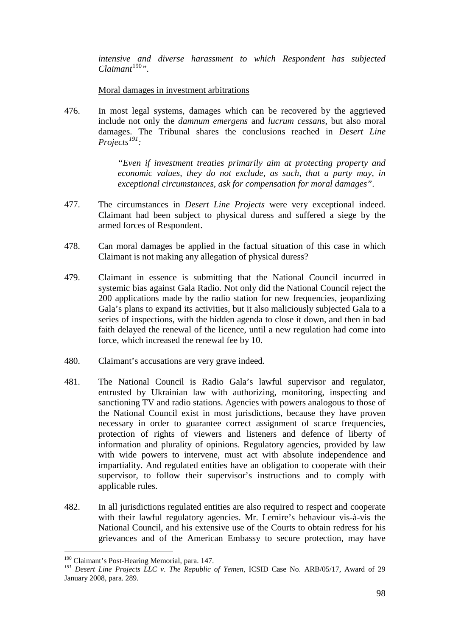*intensive and diverse harassment to which Respondent has subjected*   $Claimant<sup>190</sup>$  $Claimant<sup>190</sup>$  $Claimant<sup>190</sup>$ 

Moral damages in investment arbitrations

476. In most legal systems, damages which can be recovered by the aggrieved include not only the *damnum emergens* and *lucrum cessans*, but also moral damages. The Tribunal shares the conclusions reached in *Desert Line Projects[191](#page-97-1) :*

> *"Even if investment treaties primarily aim at protecting property and economic values, they do not exclude, as such, that a party may, in exceptional circumstances, ask for compensation for moral damages"*.

- 477. The circumstances in *Desert Line Projects* were very exceptional indeed. Claimant had been subject to physical duress and suffered a siege by the armed forces of Respondent.
- 478. Can moral damages be applied in the factual situation of this case in which Claimant is not making any allegation of physical duress?
- 479. Claimant in essence is submitting that the National Council incurred in systemic bias against Gala Radio. Not only did the National Council reject the 200 applications made by the radio station for new frequencies, jeopardizing Gala's plans to expand its activities, but it also maliciously subjected Gala to a series of inspections, with the hidden agenda to close it down, and then in bad faith delayed the renewal of the licence, until a new regulation had come into force, which increased the renewal fee by 10.
- 480. Claimant's accusations are very grave indeed.
- 481. The National Council is Radio Gala's lawful supervisor and regulator, entrusted by Ukrainian law with authorizing, monitoring, inspecting and sanctioning TV and radio stations. Agencies with powers analogous to those of the National Council exist in most jurisdictions, because they have proven necessary in order to guarantee correct assignment of scarce frequencies, protection of rights of viewers and listeners and defence of liberty of information and plurality of opinions. Regulatory agencies, provided by law with wide powers to intervene, must act with absolute independence and impartiality. And regulated entities have an obligation to cooperate with their supervisor, to follow their supervisor's instructions and to comply with applicable rules.
- 482. In all jurisdictions regulated entities are also required to respect and cooperate with their lawful regulatory agencies. Mr. Lemire's behaviour vis-à-vis the National Council, and his extensive use of the Courts to obtain redress for his grievances and of the American Embassy to secure protection, may have

<span id="page-97-1"></span><span id="page-97-0"></span><sup>190</sup> Claimant's Post-Hearing Memorial, para. 147. *<sup>191</sup> Desert Line Projects LLC v. The Republic of Yemen*, ICSID Case No. ARB/05/17, Award of 29 January 2008, para. 289.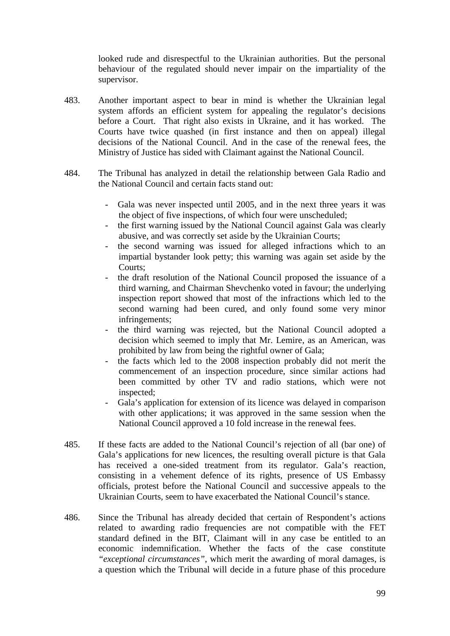looked rude and disrespectful to the Ukrainian authorities. But the personal behaviour of the regulated should never impair on the impartiality of the supervisor.

- 483. Another important aspect to bear in mind is whether the Ukrainian legal system affords an efficient system for appealing the regulator's decisions before a Court. That right also exists in Ukraine, and it has worked. The Courts have twice quashed (in first instance and then on appeal) illegal decisions of the National Council. And in the case of the renewal fees, the Ministry of Justice has sided with Claimant against the National Council.
- 484. The Tribunal has analyzed in detail the relationship between Gala Radio and the National Council and certain facts stand out:
	- Gala was never inspected until 2005, and in the next three years it was the object of five inspections, of which four were unscheduled;
	- the first warning issued by the National Council against Gala was clearly abusive, and was correctly set aside by the Ukrainian Courts;
	- the second warning was issued for alleged infractions which to an impartial bystander look petty; this warning was again set aside by the Courts;
	- the draft resolution of the National Council proposed the issuance of a third warning, and Chairman Shevchenko voted in favour; the underlying inspection report showed that most of the infractions which led to the second warning had been cured, and only found some very minor infringements;
	- the third warning was rejected, but the National Council adopted a decision which seemed to imply that Mr. Lemire, as an American, was prohibited by law from being the rightful owner of Gala;
	- the facts which led to the 2008 inspection probably did not merit the commencement of an inspection procedure, since similar actions had been committed by other TV and radio stations, which were not inspected;
	- Gala's application for extension of its licence was delayed in comparison with other applications; it was approved in the same session when the National Council approved a 10 fold increase in the renewal fees.
- 485. If these facts are added to the National Council's rejection of all (bar one) of Gala's applications for new licences, the resulting overall picture is that Gala has received a one-sided treatment from its regulator. Gala's reaction, consisting in a vehement defence of its rights, presence of US Embassy officials, protest before the National Council and successive appeals to the Ukrainian Courts, seem to have exacerbated the National Council's stance.
- 486. Since the Tribunal has already decided that certain of Respondent's actions related to awarding radio frequencies are not compatible with the FET standard defined in the BIT, Claimant will in any case be entitled to an economic indemnification. Whether the facts of the case constitute *"exceptional circumstances"*, which merit the awarding of moral damages, is a question which the Tribunal will decide in a future phase of this procedure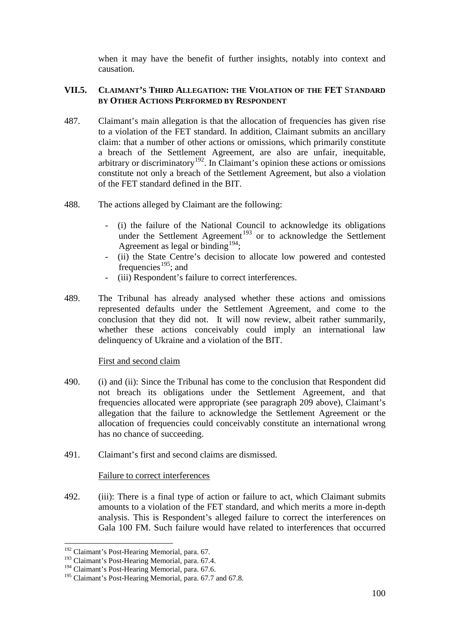when it may have the benefit of further insights, notably into context and causation.

## **VII.5. CLAIMANT'S THIRD ALLEGATION: THE VIOLATION OF THE FET** S**TANDARD BY OTHER ACTIONS PERFORMED BY RESPONDENT**

- 487. Claimant's main allegation is that the allocation of frequencies has given rise to a violation of the FET standard. In addition, Claimant submits an ancillary claim: that a number of other actions or omissions, which primarily constitute a breach of the Settlement Agreement, are also are unfair, inequitable, arbitrary or discriminatory<sup>[192](#page-99-0)</sup>. In Claimant's opinion these actions or omissions constitute not only a breach of the Settlement Agreement, but also a violation of the FET standard defined in the BIT.
- 488. The actions alleged by Claimant are the following:
	- (i) the failure of the National Council to acknowledge its obligations under the Settlement Agreement<sup>[193](#page-99-1)</sup> or to acknowledge the Settlement Agreement as legal or binding<sup>[194](#page-99-2)</sup>;
	- (ii) the State Centre's decision to allocate low powered and contested frequencies<sup>[195](#page-99-3)</sup>; and
	- (iii) Respondent's failure to correct interferences.
- 489. The Tribunal has already analysed whether these actions and omissions represented defaults under the Settlement Agreement, and come to the conclusion that they did not. It will now review, albeit rather summarily, whether these actions conceivably could imply an international law delinquency of Ukraine and a violation of the BIT.

### First and second claim

- 490. (i) and (ii): Since the Tribunal has come to the conclusion that Respondent did not breach its obligations under the Settlement Agreement, and that frequencies allocated were appropriate (see paragraph 209 above), Claimant's allegation that the failure to acknowledge the Settlement Agreement or the allocation of frequencies could conceivably constitute an international wrong has no chance of succeeding.
- 491. Claimant's first and second claims are dismissed.

### Failure to correct interferences

492. (iii): There is a final type of action or failure to act, which Claimant submits amounts to a violation of the FET standard, and which merits a more in-depth analysis. This is Respondent's alleged failure to correct the interferences on Gala 100 FM. Such failure would have related to interferences that occurred

<span id="page-99-0"></span><sup>&</sup>lt;sup>192</sup> Claimant's Post-Hearing Memorial, para. 67.<br><sup>193</sup> Claimant's Post-Hearing Memorial, para. 67.4.

<span id="page-99-2"></span><span id="page-99-1"></span><sup>&</sup>lt;sup>194</sup> Claimant's Post-Hearing Memorial, para. 67.6.

<span id="page-99-3"></span><sup>&</sup>lt;sup>195</sup> Claimant's Post-Hearing Memorial, para. 67.7 and 67.8.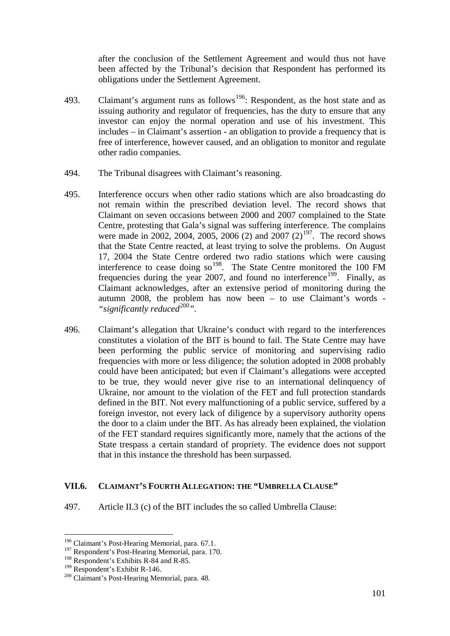after the conclusion of the Settlement Agreement and would thus not have been affected by the Tribunal's decision that Respondent has performed its obligations under the Settlement Agreement.

- 493. Claimant's argument runs as follows<sup>[196](#page-100-0)</sup>: Respondent, as the host state and as issuing authority and regulator of frequencies, has the duty to ensure that any investor can enjoy the normal operation and use of his investment. This includes – in Claimant's assertion - an obligation to provide a frequency that is free of interference, however caused, and an obligation to monitor and regulate other radio companies.
- 494. The Tribunal disagrees with Claimant's reasoning.
- 495. Interference occurs when other radio stations which are also broadcasting do not remain within the prescribed deviation level. The record shows that Claimant on seven occasions between 2000 and 2007 complained to the State Centre, protesting that Gala's signal was suffering interference. The complains were made in 2002, 2004, 2005, 2006 (2) and 2007 (2)<sup>[197](#page-100-1)</sup>. The record shows that the State Centre reacted, at least trying to solve the problems. On August 17, 2004 the State Centre ordered two radio stations which were causing interference to cease doing so<sup>198</sup>. The State Centre monitored the 100 FM frequencies during the year 2007, and found no interference<sup>199</sup>. Finally, as Claimant acknowledges, after an extensive period of monitoring during the autumn 2008, the problem has now been – to use Claimant's words - "*significantly reduced*<sup>[200](#page-100-4)</sup>".
- 496. Claimant's allegation that Ukraine's conduct with regard to the interferences constitutes a violation of the BIT is bound to fail. The State Centre may have been performing the public service of monitoring and supervising radio frequencies with more or less diligence; the solution adopted in 2008 probably could have been anticipated; but even if Claimant's allegations were accepted to be true, they would never give rise to an international delinquency of Ukraine, nor amount to the violation of the FET and full protection standards defined in the BIT. Not every malfunctioning of a public service, suffered by a foreign investor, not every lack of diligence by a supervisory authority opens the door to a claim under the BIT. As has already been explained, the violation of the FET standard requires significantly more, namely that the actions of the State trespass a certain standard of propriety. The evidence does not support that in this instance the threshold has been surpassed.

# **VII.6. CLAIMANT'S FOURTH ALLEGATION: THE "UMBRELLA CLAUSE"**

497. Article II.3 (c) of the BIT includes the so called Umbrella Clause:

<span id="page-100-1"></span><span id="page-100-0"></span><sup>&</sup>lt;sup>196</sup> Claimant's Post-Hearing Memorial, para. 67.1.<br><sup>197</sup> Respondent's Post-Hearing Memorial, para. 170.<br><sup>198</sup> Respondent's Exhibit R-84 and R-85.<br><sup>199</sup> Respondent's Exhibit R-146.<br><sup>200</sup> Claimant's Post-Hearing Memorial,

<span id="page-100-2"></span>

<span id="page-100-3"></span>

<span id="page-100-4"></span>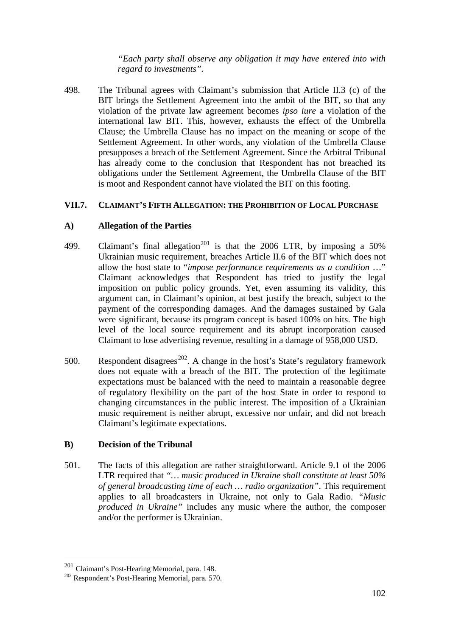*"Each party shall observe any obligation it may have entered into with regard to investments".*

498. The Tribunal agrees with Claimant's submission that Article II.3 (c) of the BIT brings the Settlement Agreement into the ambit of the BIT, so that any violation of the private law agreement becomes *ipso iure* a violation of the international law BIT. This, however, exhausts the effect of the Umbrella Clause; the Umbrella Clause has no impact on the meaning or scope of the Settlement Agreement. In other words, any violation of the Umbrella Clause presupposes a breach of the Settlement Agreement. Since the Arbitral Tribunal has already come to the conclusion that Respondent has not breached its obligations under the Settlement Agreement, the Umbrella Clause of the BIT is moot and Respondent cannot have violated the BIT on this footing.

## **VII.7. CLAIMANT'S FIFTH ALLEGATION: THE PROHIBITION OF LOCAL PURCHASE**

## **A) Allegation of the Parties**

- 499. Claimant's final allegation<sup>[201](#page-101-0)</sup> is that the 2006 LTR, by imposing a 50% Ukrainian music requirement, breaches Article II.6 of the BIT which does not allow the host state to "*impose performance requirements as a condition* …" Claimant acknowledges that Respondent has tried to justify the legal imposition on public policy grounds. Yet, even assuming its validity, this argument can, in Claimant's opinion, at best justify the breach, subject to the payment of the corresponding damages. And the damages sustained by Gala were significant, because its program concept is based 100% on hits. The high level of the local source requirement and its abrupt incorporation caused Claimant to lose advertising revenue, resulting in a damage of 958,000 USD.
- 500. Respondent disagrees<sup>202</sup>. A change in the host's State's regulatory framework does not equate with a breach of the BIT. The protection of the legitimate expectations must be balanced with the need to maintain a reasonable degree of regulatory flexibility on the part of the host State in order to respond to changing circumstances in the public interest. The imposition of a Ukrainian music requirement is neither abrupt, excessive nor unfair, and did not breach Claimant's legitimate expectations.

### **B) Decision of the Tribunal**

501. The facts of this allegation are rather straightforward. Article 9.1 of the 2006 LTR required that *"… music produced in Ukraine shall constitute at least 50% of general broadcasting time of each … radio organization"*. This requirement applies to all broadcasters in Ukraine, not only to Gala Radio. *"Music produced in Ukraine"* includes any music where the author, the composer and/or the performer is Ukrainian.

<span id="page-101-0"></span> <sup>201</sup> Claimant's Post-Hearing Memorial, para. 148.

<span id="page-101-1"></span><sup>202</sup> Respondent's Post-Hearing Memorial, para. 570.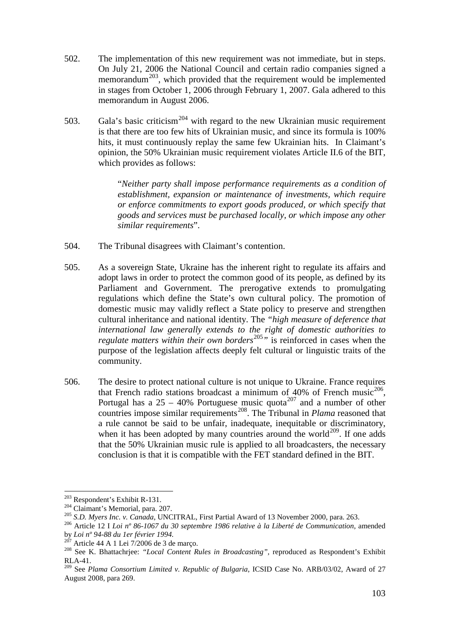- 502. The implementation of this new requirement was not immediate, but in steps. On July 21, 2006 the National Council and certain radio companies signed a memorandum<sup>203</sup>, which provided that the requirement would be implemented in stages from October 1, 2006 through February 1, 2007. Gala adhered to this memorandum in August 2006.
- 503. Gala's basic criticism<sup>[204](#page-102-1)</sup> with regard to the new Ukrainian music requirement is that there are too few hits of Ukrainian music, and since its formula is 100% hits, it must continuously replay the same few Ukrainian hits. In Claimant's opinion, the 50% Ukrainian music requirement violates Article II.6 of the BIT, which provides as follows:

"*Neither party shall impose performance requirements as a condition of establishment, expansion or maintenance of investments, which require or enforce commitments to export goods produced, or which specify that goods and services must be purchased locally, or which impose any other similar requirements*".

- 504. The Tribunal disagrees with Claimant's contention.
- 505. As a sovereign State, Ukraine has the inherent right to regulate its affairs and adopt laws in order to protect the common good of its people, as defined by its Parliament and Government. The prerogative extends to promulgating regulations which define the State's own cultural policy. The promotion of domestic music may validly reflect a State policy to preserve and strengthen cultural inheritance and national identity. The *"high measure of deference that international law generally extends to the right of domestic authorities to regulate matters within their own borders*<sup>[205](#page-102-2)</sup>*"* is reinforced in cases when the purpose of the legislation affects deeply felt cultural or linguistic traits of the community.
- 506. The desire to protect national culture is not unique to Ukraine. France requires that French radio stations broadcast a minimum of 40% of French music<sup>[206](#page-102-3)</sup>, Portugal has a  $25 - 40\%$  Portuguese music quota<sup>[207](#page-102-4)</sup> and a number of other countries impose similar requirements<sup>[208](#page-102-5)</sup>. The Tribunal in *Plama* reasoned that a rule cannot be said to be unfair, inadequate, inequitable or discriminatory, when it has been adopted by many countries around the world<sup>209</sup>. If one adds that the 50% Ukrainian music rule is applied to all broadcasters, the necessary conclusion is that it is compatible with the FET standard defined in the BIT.

<span id="page-102-3"></span><span id="page-102-2"></span>

<span id="page-102-1"></span><span id="page-102-0"></span><sup>&</sup>lt;sup>203</sup> Respondent's Exhibit R-131.<br><sup>204</sup> Claimant's Memorial, para. 207.<br><sup>205</sup> S.D. Myers Inc. v. Canada, UNCITRAL, First Partial Award of 13 November 2000, para. 263.<br><sup>205</sup> S.D. Myers Inc. v. Canada, UNCITRAL, First Parti

<span id="page-102-5"></span><span id="page-102-4"></span><sup>&</sup>lt;sup>207</sup> Article 44-A 1 Lei 7/2006 de 3 de março.<br><sup>208</sup> See K. Bhattachrjee: *"Local Content Rules in Broadcasting"*, reproduced as Respondent's Exhibit  $RI.A-41.$ 

<span id="page-102-6"></span><sup>209</sup> See *Plama Consortium Limited v. Republic of Bulgaria*, ICSID Case No. ARB/03/02, Award of 27 August 2008, para 269.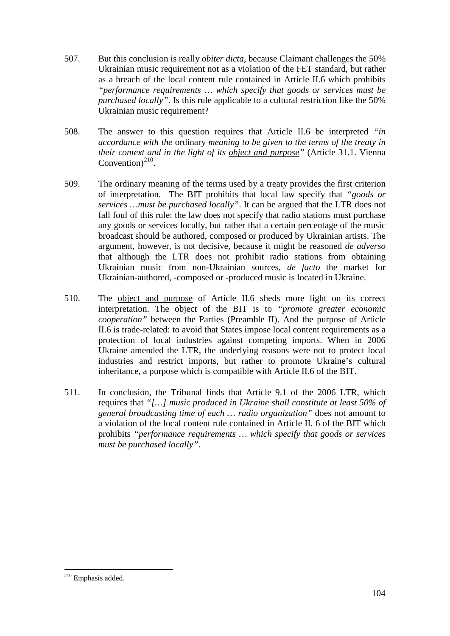- 507. But this conclusion is really *obiter dicta*, because Claimant challenges the 50% Ukrainian music requirement not as a violation of the FET standard, but rather as a breach of the local content rule contained in Article II.6 which prohibits *"performance requirements … which specify that goods or services must be purchased locally"*. Is this rule applicable to a cultural restriction like the 50% Ukrainian music requirement?
- 508. The answer to this question requires that Article II.6 be interpreted *"in accordance with the* ordinary *meaning to be given to the terms of the treaty in their context and in the light of its object and purpose"* (Article 31.1. Vienna Convention) $^{210}$ .
- 509. The ordinary meaning of the terms used by a treaty provides the first criterion of interpretation. The BIT prohibits that local law specify that *"goods or services …must be purchased locally"*. It can be argued that the LTR does not fall foul of this rule: the law does not specify that radio stations must purchase any goods or services locally, but rather that a certain percentage of the music broadcast should be authored, composed or produced by Ukrainian artists. The argument, however, is not decisive, because it might be reasoned *de adverso* that although the LTR does not prohibit radio stations from obtaining Ukrainian music from non-Ukrainian sources, *de facto* the market for Ukrainian-authored, -composed or -produced music is located in Ukraine.
- 510. The object and purpose of Article II.6 sheds more light on its correct interpretation. The object of the BIT is to *"promote greater economic cooperation"* between the Parties (Preamble II). And the purpose of Article II.6 is trade-related: to avoid that States impose local content requirements as a protection of local industries against competing imports. When in 2006 Ukraine amended the LTR, the underlying reasons were not to protect local industries and restrict imports, but rather to promote Ukraine's cultural inheritance, a purpose which is compatible with Article II.6 of the BIT.
- 511. In conclusion, the Tribunal finds that Article 9.1 of the 2006 LTR, which requires that *"[…] music produced in Ukraine shall constitute at least 50% of general broadcasting time of each … radio organization"* does not amount to a violation of the local content rule contained in Article II. 6 of the BIT which prohibits *"performance requirements … which specify that goods or services must be purchased locally"*.

<span id="page-103-0"></span> <sup>210</sup> Emphasis added.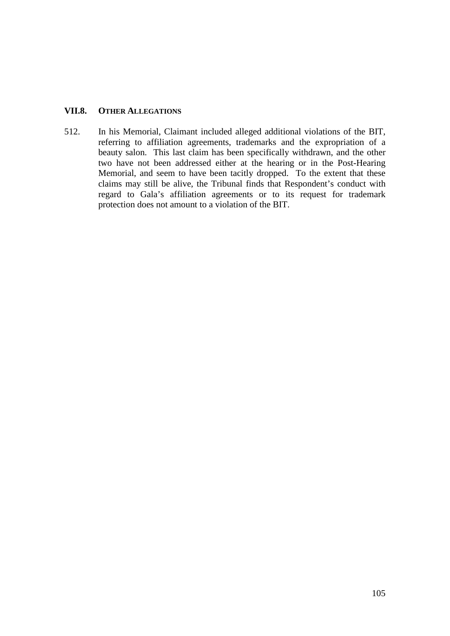## **VII.8. OTHER ALLEGATIONS**

512. In his Memorial, Claimant included alleged additional violations of the BIT, referring to affiliation agreements, trademarks and the expropriation of a beauty salon. This last claim has been specifically withdrawn, and the other two have not been addressed either at the hearing or in the Post-Hearing Memorial, and seem to have been tacitly dropped. To the extent that these claims may still be alive, the Tribunal finds that Respondent's conduct with regard to Gala's affiliation agreements or to its request for trademark protection does not amount to a violation of the BIT.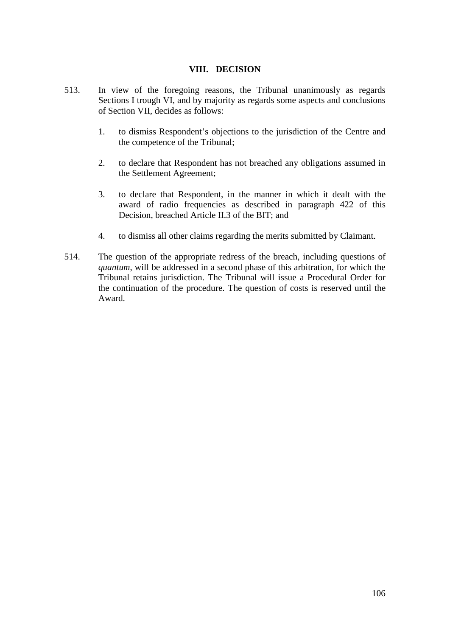### **VIII. DECISION**

- 513. In view of the foregoing reasons, the Tribunal unanimously as regards Sections I trough VI, and by majority as regards some aspects and conclusions of Section VII, decides as follows:
	- 1. to dismiss Respondent's objections to the jurisdiction of the Centre and the competence of the Tribunal;
	- 2. to declare that Respondent has not breached any obligations assumed in the Settlement Agreement;
	- 3. to declare that Respondent, in the manner in which it dealt with the award of radio frequencies as described in paragraph 422 of this Decision, breached Article II.3 of the BIT; and
	- 4. to dismiss all other claims regarding the merits submitted by Claimant.
- 514. The question of the appropriate redress of the breach, including questions of *quantum*, will be addressed in a second phase of this arbitration, for which the Tribunal retains jurisdiction. The Tribunal will issue a Procedural Order for the continuation of the procedure. The question of costs is reserved until the Award.